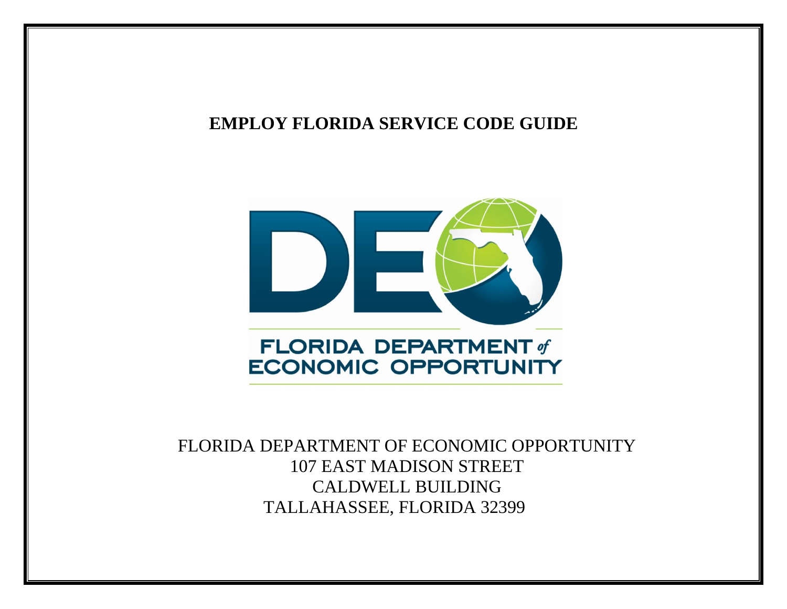## **EMPLOY FLORIDA SERVICE CODE GUIDE**



FLORIDA DEPARTMENT OF ECONOMIC OPPORTUNITY 107 EAST MADISON STREET CALDWELL BUILDING TALLAHASSEE, FLORIDA 32399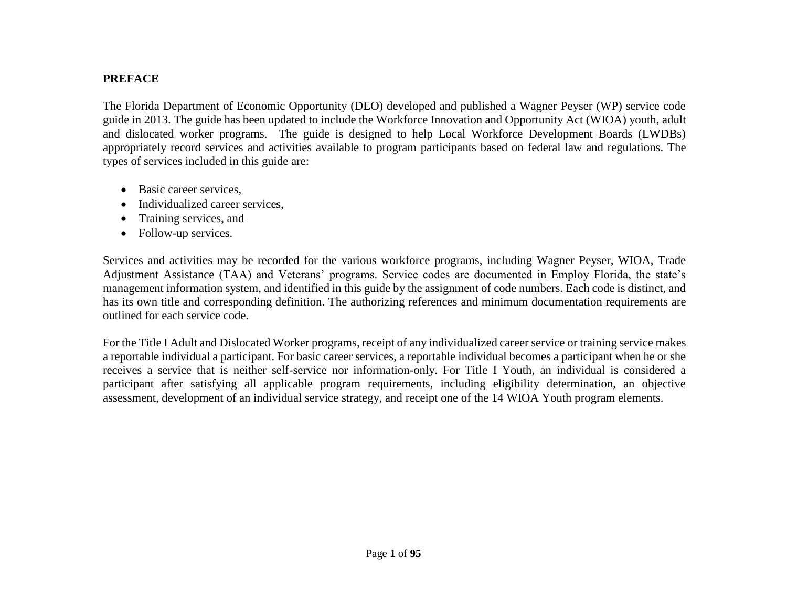## **PREFACE**

The Florida Department of Economic Opportunity (DEO) developed and published a Wagner Peyser (WP) service code guide in 2013. The guide has been updated to include the Workforce Innovation and Opportunity Act (WIOA) youth, adult and dislocated worker programs. The guide is designed to help Local Workforce Development Boards (LWDBs) appropriately record services and activities available to program participants based on federal law and regulations. The types of services included in this guide are:

- Basic career services.
- Individualized career services.
- Training services, and
- Follow-up services.

Services and activities may be recorded for the various workforce programs, including Wagner Peyser, WIOA, Trade Adjustment Assistance (TAA) and Veterans' programs. Service codes are documented in Employ Florida, the state's management information system, and identified in this guide by the assignment of code numbers. Each code is distinct, and has its own title and corresponding definition. The authorizing references and minimum documentation requirements are outlined for each service code.

For the Title I Adult and Dislocated Worker programs, receipt of any individualized career service or training service makes a reportable individual a participant. For basic career services, a reportable individual becomes a participant when he or she receives a service that is neither self-service nor information-only. For Title I Youth, an individual is considered a participant after satisfying all applicable program requirements, including eligibility determination, an objective assessment, development of an individual service strategy, and receipt one of the 14 WIOA Youth program elements.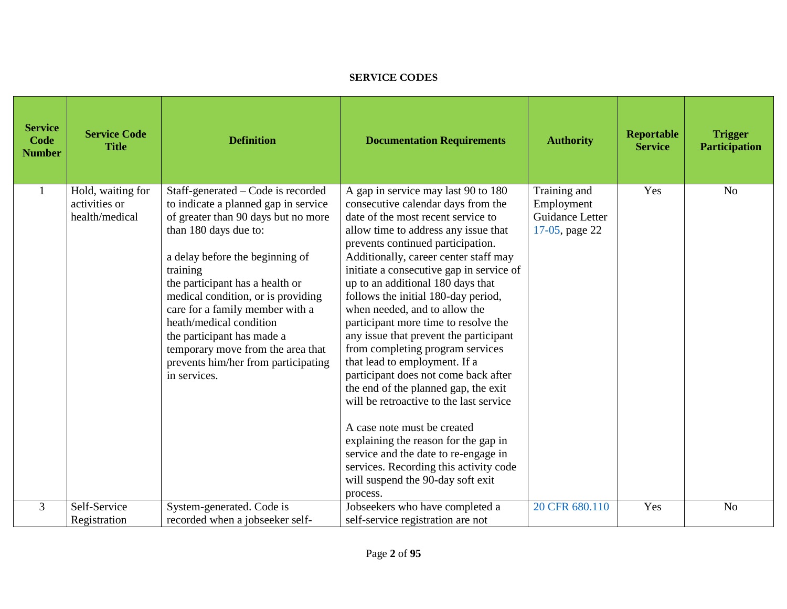## **SERVICE CODES**

| <b>Service</b><br><b>Code</b><br><b>Number</b> | <b>Service Code</b><br><b>Title</b>                  | <b>Definition</b>                                                                                                                                                                                                                                                                                                                                                                                                                                          | <b>Documentation Requirements</b>                                                                                                                                                                                                                                                                                                                                                                                                                                                                                                                                                                                                                                                                                                                                                                                                                                                          | <b>Authority</b>                                                | <b>Reportable</b><br><b>Service</b> | <b>Trigger</b><br><b>Participation</b> |
|------------------------------------------------|------------------------------------------------------|------------------------------------------------------------------------------------------------------------------------------------------------------------------------------------------------------------------------------------------------------------------------------------------------------------------------------------------------------------------------------------------------------------------------------------------------------------|--------------------------------------------------------------------------------------------------------------------------------------------------------------------------------------------------------------------------------------------------------------------------------------------------------------------------------------------------------------------------------------------------------------------------------------------------------------------------------------------------------------------------------------------------------------------------------------------------------------------------------------------------------------------------------------------------------------------------------------------------------------------------------------------------------------------------------------------------------------------------------------------|-----------------------------------------------------------------|-------------------------------------|----------------------------------------|
|                                                | Hold, waiting for<br>activities or<br>health/medical | Staff-generated – Code is recorded<br>to indicate a planned gap in service<br>of greater than 90 days but no more<br>than 180 days due to:<br>a delay before the beginning of<br>training<br>the participant has a health or<br>medical condition, or is providing<br>care for a family member with a<br>heath/medical condition<br>the participant has made a<br>temporary move from the area that<br>prevents him/her from participating<br>in services. | A gap in service may last 90 to 180<br>consecutive calendar days from the<br>date of the most recent service to<br>allow time to address any issue that<br>prevents continued participation.<br>Additionally, career center staff may<br>initiate a consecutive gap in service of<br>up to an additional 180 days that<br>follows the initial 180-day period,<br>when needed, and to allow the<br>participant more time to resolve the<br>any issue that prevent the participant<br>from completing program services<br>that lead to employment. If a<br>participant does not come back after<br>the end of the planned gap, the exit<br>will be retroactive to the last service<br>A case note must be created<br>explaining the reason for the gap in<br>service and the date to re-engage in<br>services. Recording this activity code<br>will suspend the 90-day soft exit<br>process. | Training and<br>Employment<br>Guidance Letter<br>17-05, page 22 | Yes                                 | N <sub>o</sub>                         |
| $\overline{3}$                                 | Self-Service<br>Registration                         | System-generated. Code is<br>recorded when a jobseeker self-                                                                                                                                                                                                                                                                                                                                                                                               | Jobseekers who have completed a<br>self-service registration are not                                                                                                                                                                                                                                                                                                                                                                                                                                                                                                                                                                                                                                                                                                                                                                                                                       | 20 CFR 680.110                                                  | Yes                                 | N <sub>o</sub>                         |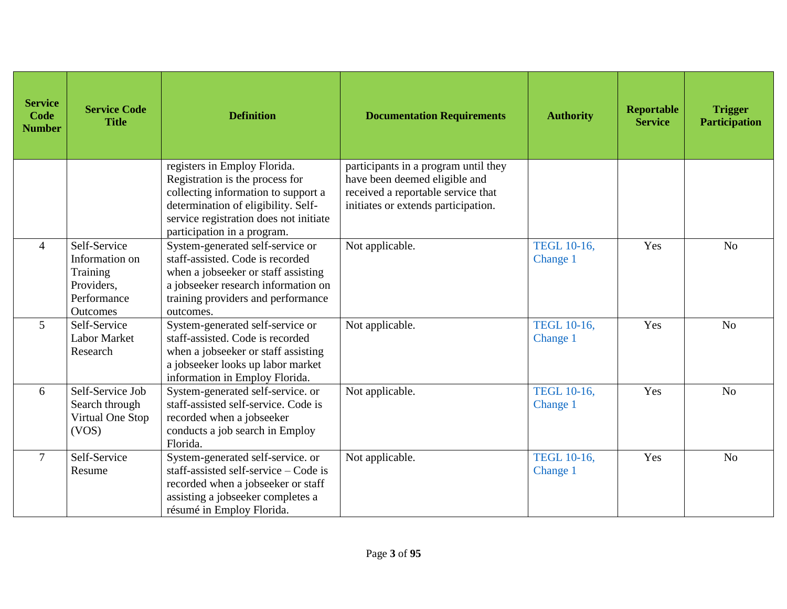| <b>Service</b><br>Code<br><b>Number</b> | <b>Service Code</b><br><b>Title</b>                                                 | <b>Definition</b>                                                                                                                                                                                                      | <b>Documentation Requirements</b>                                                                                                                  | <b>Authority</b>               | <b>Reportable</b><br><b>Service</b> | <b>Trigger</b><br><b>Participation</b> |
|-----------------------------------------|-------------------------------------------------------------------------------------|------------------------------------------------------------------------------------------------------------------------------------------------------------------------------------------------------------------------|----------------------------------------------------------------------------------------------------------------------------------------------------|--------------------------------|-------------------------------------|----------------------------------------|
|                                         |                                                                                     | registers in Employ Florida.<br>Registration is the process for<br>collecting information to support a<br>determination of eligibility. Self-<br>service registration does not initiate<br>participation in a program. | participants in a program until they<br>have been deemed eligible and<br>received a reportable service that<br>initiates or extends participation. |                                |                                     |                                        |
| 4                                       | Self-Service<br>Information on<br>Training<br>Providers,<br>Performance<br>Outcomes | System-generated self-service or<br>staff-assisted. Code is recorded<br>when a jobseeker or staff assisting<br>a jobseeker research information on<br>training providers and performance<br>outcomes.                  | Not applicable.                                                                                                                                    | <b>TEGL 10-16,</b><br>Change 1 | Yes                                 | N <sub>o</sub>                         |
| $5\overline{)}$                         | Self-Service<br><b>Labor Market</b><br>Research                                     | System-generated self-service or<br>staff-assisted. Code is recorded<br>when a jobseeker or staff assisting<br>a jobseeker looks up labor market<br>information in Employ Florida.                                     | Not applicable.                                                                                                                                    | <b>TEGL 10-16.</b><br>Change 1 | Yes                                 | N <sub>o</sub>                         |
| 6                                       | Self-Service Job<br>Search through<br>Virtual One Stop<br>(VOS)                     | System-generated self-service. or<br>staff-assisted self-service. Code is<br>recorded when a jobseeker<br>conducts a job search in Employ<br>Florida.                                                                  | Not applicable.                                                                                                                                    | <b>TEGL 10-16,</b><br>Change 1 | Yes                                 | N <sub>o</sub>                         |
| $\tau$                                  | Self-Service<br>Resume                                                              | System-generated self-service. or<br>staff-assisted self-service – Code is<br>recorded when a jobseeker or staff<br>assisting a jobseeker completes a<br>résumé in Employ Florida.                                     | Not applicable.                                                                                                                                    | <b>TEGL 10-16,</b><br>Change 1 | Yes                                 | N <sub>o</sub>                         |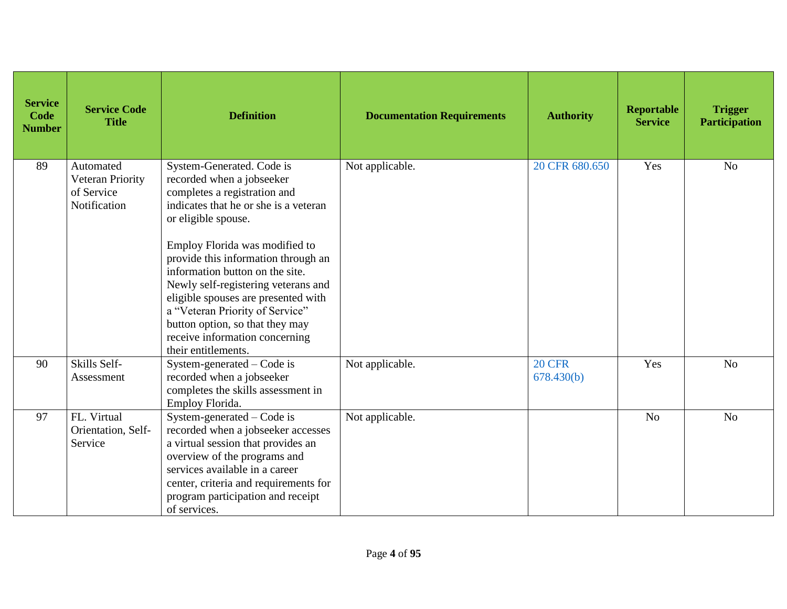| <b>Service</b><br>Code<br><b>Number</b> | <b>Service Code</b><br><b>Title</b>                         | <b>Definition</b>                                                                                                                                                                                                                                                                                                                                                                                                                                                               | <b>Documentation Requirements</b> | <b>Authority</b>            | <b>Reportable</b><br><b>Service</b> | <b>Trigger</b><br><b>Participation</b> |
|-----------------------------------------|-------------------------------------------------------------|---------------------------------------------------------------------------------------------------------------------------------------------------------------------------------------------------------------------------------------------------------------------------------------------------------------------------------------------------------------------------------------------------------------------------------------------------------------------------------|-----------------------------------|-----------------------------|-------------------------------------|----------------------------------------|
| 89                                      | Automated<br>Veteran Priority<br>of Service<br>Notification | System-Generated. Code is<br>recorded when a jobseeker<br>completes a registration and<br>indicates that he or she is a veteran<br>or eligible spouse.<br>Employ Florida was modified to<br>provide this information through an<br>information button on the site.<br>Newly self-registering veterans and<br>eligible spouses are presented with<br>a "Veteran Priority of Service"<br>button option, so that they may<br>receive information concerning<br>their entitlements. | Not applicable.                   | 20 CFR 680.650              | Yes                                 | N <sub>o</sub>                         |
| 90                                      | Skills Self-<br>Assessment                                  | System-generated – Code is<br>recorded when a jobseeker<br>completes the skills assessment in<br>Employ Florida.                                                                                                                                                                                                                                                                                                                                                                | Not applicable.                   | <b>20 CFR</b><br>678.430(b) | Yes                                 | N <sub>o</sub>                         |
| 97                                      | FL. Virtual<br>Orientation, Self-<br>Service                | System-generated – Code is<br>recorded when a jobseeker accesses<br>a virtual session that provides an<br>overview of the programs and<br>services available in a career<br>center, criteria and requirements for<br>program participation and receipt<br>of services.                                                                                                                                                                                                          | Not applicable.                   |                             | N <sub>o</sub>                      | N <sub>o</sub>                         |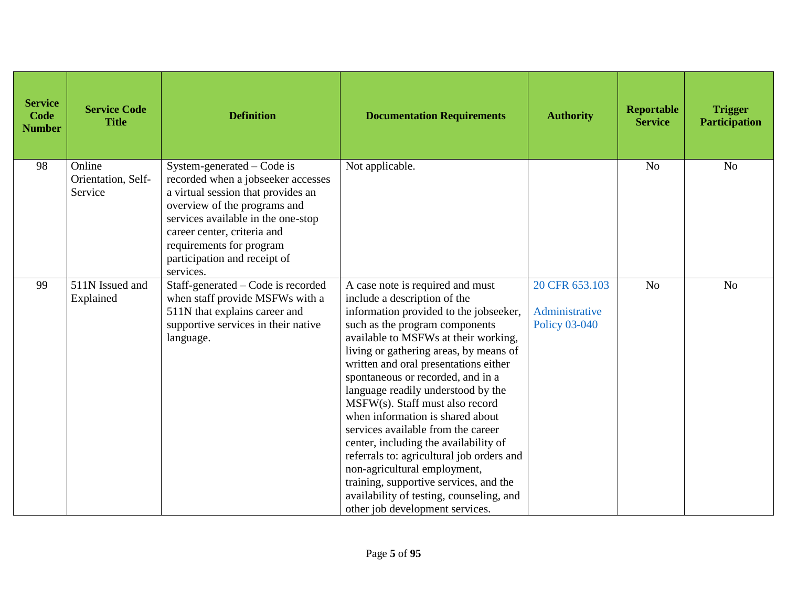| <b>Service</b><br>Code<br><b>Number</b> | <b>Service Code</b><br><b>Title</b>     | <b>Definition</b>                                                                                                                                                                                                                                                                    | <b>Documentation Requirements</b>                                                                                                                                                                                                                                                                                                                                                                                                                                                                                                                                                                                                                                                                              | <b>Authority</b>                                         | Reportable<br><b>Service</b> | <b>Trigger</b><br><b>Participation</b> |
|-----------------------------------------|-----------------------------------------|--------------------------------------------------------------------------------------------------------------------------------------------------------------------------------------------------------------------------------------------------------------------------------------|----------------------------------------------------------------------------------------------------------------------------------------------------------------------------------------------------------------------------------------------------------------------------------------------------------------------------------------------------------------------------------------------------------------------------------------------------------------------------------------------------------------------------------------------------------------------------------------------------------------------------------------------------------------------------------------------------------------|----------------------------------------------------------|------------------------------|----------------------------------------|
| 98                                      | Online<br>Orientation, Self-<br>Service | System-generated – Code is<br>recorded when a jobseeker accesses<br>a virtual session that provides an<br>overview of the programs and<br>services available in the one-stop<br>career center, criteria and<br>requirements for program<br>participation and receipt of<br>services. | Not applicable.                                                                                                                                                                                                                                                                                                                                                                                                                                                                                                                                                                                                                                                                                                |                                                          | N <sub>o</sub>               | N <sub>o</sub>                         |
| 99                                      | 511N Issued and<br>Explained            | Staff-generated – Code is recorded<br>when staff provide MSFWs with a<br>511N that explains career and<br>supportive services in their native<br>language.                                                                                                                           | A case note is required and must<br>include a description of the<br>information provided to the jobseeker,<br>such as the program components<br>available to MSFWs at their working,<br>living or gathering areas, by means of<br>written and oral presentations either<br>spontaneous or recorded, and in a<br>language readily understood by the<br>MSFW(s). Staff must also record<br>when information is shared about<br>services available from the career<br>center, including the availability of<br>referrals to: agricultural job orders and<br>non-agricultural employment,<br>training, supportive services, and the<br>availability of testing, counseling, and<br>other job development services. | 20 CFR 653.103<br>Administrative<br><b>Policy 03-040</b> | N <sub>o</sub>               | N <sub>o</sub>                         |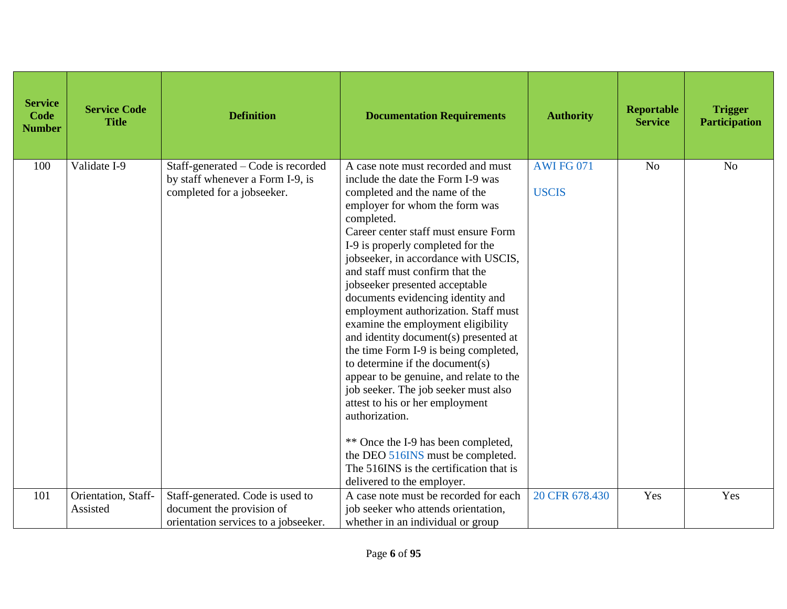| <b>Service</b><br>Code<br><b>Number</b> | <b>Service Code</b><br><b>Title</b> | <b>Definition</b>                                                                                     | <b>Documentation Requirements</b>                                                                                                                                                                                                                                                                                                                                                                                                                                                                                                                                                                                                                                                                                                                                                                                                                                                       | <b>Authority</b>                  | <b>Reportable</b><br><b>Service</b> | <b>Trigger</b><br><b>Participation</b> |
|-----------------------------------------|-------------------------------------|-------------------------------------------------------------------------------------------------------|-----------------------------------------------------------------------------------------------------------------------------------------------------------------------------------------------------------------------------------------------------------------------------------------------------------------------------------------------------------------------------------------------------------------------------------------------------------------------------------------------------------------------------------------------------------------------------------------------------------------------------------------------------------------------------------------------------------------------------------------------------------------------------------------------------------------------------------------------------------------------------------------|-----------------------------------|-------------------------------------|----------------------------------------|
| 100                                     | Validate I-9                        | Staff-generated – Code is recorded<br>by staff whenever a Form I-9, is<br>completed for a jobseeker.  | A case note must recorded and must<br>include the date the Form I-9 was<br>completed and the name of the<br>employer for whom the form was<br>completed.<br>Career center staff must ensure Form<br>I-9 is properly completed for the<br>jobseeker, in accordance with USCIS,<br>and staff must confirm that the<br>jobseeker presented acceptable<br>documents evidencing identity and<br>employment authorization. Staff must<br>examine the employment eligibility<br>and identity document(s) presented at<br>the time Form I-9 is being completed,<br>to determine if the document(s)<br>appear to be genuine, and relate to the<br>job seeker. The job seeker must also<br>attest to his or her employment<br>authorization.<br>** Once the I-9 has been completed,<br>the DEO 516INS must be completed.<br>The 516INS is the certification that is<br>delivered to the employer. | <b>AWI FG 071</b><br><b>USCIS</b> | N <sub>o</sub>                      | N <sub>o</sub>                         |
| 101                                     | Orientation, Staff-<br>Assisted     | Staff-generated. Code is used to<br>document the provision of<br>orientation services to a jobseeker. | A case note must be recorded for each<br>job seeker who attends orientation,<br>whether in an individual or group                                                                                                                                                                                                                                                                                                                                                                                                                                                                                                                                                                                                                                                                                                                                                                       | 20 CFR 678.430                    | Yes                                 | Yes                                    |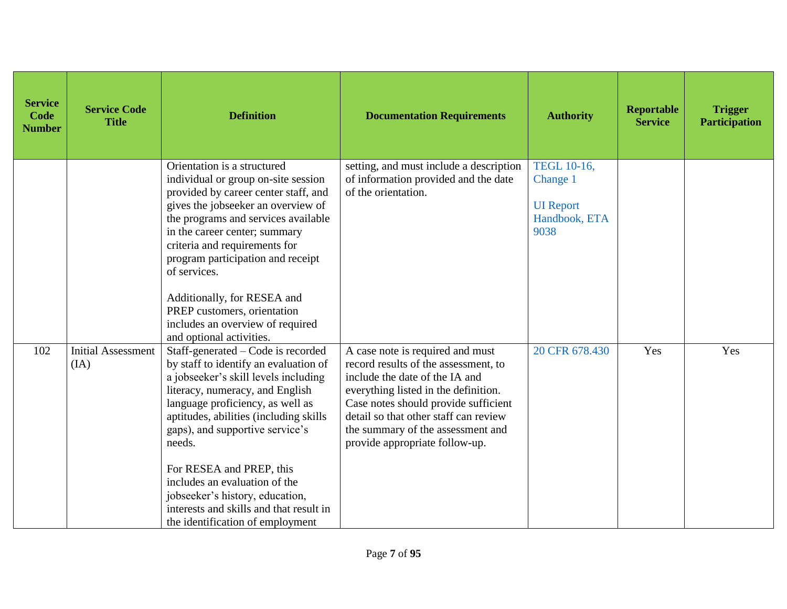| <b>Service</b><br>Code<br><b>Number</b> | <b>Service Code</b><br><b>Title</b> | <b>Definition</b>                                                                                                                                                                                                                                                                                                                                                                  | <b>Documentation Requirements</b>                                                                                                                                                                                                                                                                          | <b>Authority</b>                                                     | <b>Reportable</b><br><b>Service</b> | <b>Trigger</b><br><b>Participation</b> |
|-----------------------------------------|-------------------------------------|------------------------------------------------------------------------------------------------------------------------------------------------------------------------------------------------------------------------------------------------------------------------------------------------------------------------------------------------------------------------------------|------------------------------------------------------------------------------------------------------------------------------------------------------------------------------------------------------------------------------------------------------------------------------------------------------------|----------------------------------------------------------------------|-------------------------------------|----------------------------------------|
|                                         |                                     | Orientation is a structured<br>individual or group on-site session<br>provided by career center staff, and<br>gives the jobseeker an overview of<br>the programs and services available<br>in the career center; summary<br>criteria and requirements for<br>program participation and receipt<br>of services.                                                                     | setting, and must include a description<br>of information provided and the date<br>of the orientation.                                                                                                                                                                                                     | TEGL 10-16,<br>Change 1<br><b>UI</b> Report<br>Handbook, ETA<br>9038 |                                     |                                        |
|                                         |                                     | Additionally, for RESEA and<br>PREP customers, orientation<br>includes an overview of required<br>and optional activities.                                                                                                                                                                                                                                                         |                                                                                                                                                                                                                                                                                                            |                                                                      |                                     |                                        |
| 102                                     | <b>Initial Assessment</b><br>(IA)   | Staff-generated – Code is recorded<br>by staff to identify an evaluation of<br>a jobseeker's skill levels including<br>literacy, numeracy, and English<br>language proficiency, as well as<br>aptitudes, abilities (including skills)<br>gaps), and supportive service's<br>needs.<br>For RESEA and PREP, this<br>includes an evaluation of the<br>jobseeker's history, education, | A case note is required and must<br>record results of the assessment, to<br>include the date of the IA and<br>everything listed in the definition.<br>Case notes should provide sufficient<br>detail so that other staff can review<br>the summary of the assessment and<br>provide appropriate follow-up. | 20 CFR 678.430                                                       | Yes                                 | Yes                                    |
|                                         |                                     | interests and skills and that result in<br>the identification of employment                                                                                                                                                                                                                                                                                                        |                                                                                                                                                                                                                                                                                                            |                                                                      |                                     |                                        |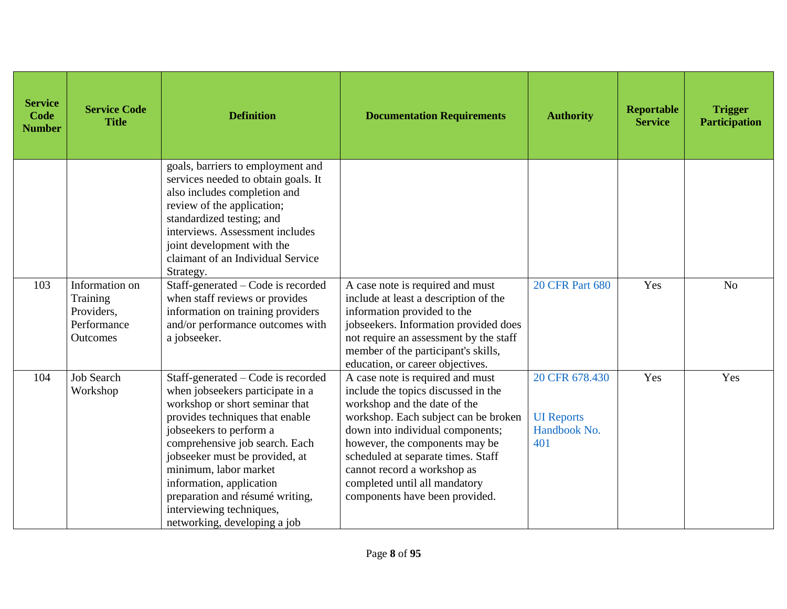| <b>Service</b><br>Code<br><b>Number</b> | <b>Service Code</b><br><b>Title</b>                                 | <b>Definition</b>                                                                                                                                                                                                                                                                                                                                                                              | <b>Documentation Requirements</b>                                                                                                                                                                                                                                                                                                                             | <b>Authority</b>                                           | Reportable<br><b>Service</b> | <b>Trigger</b><br><b>Participation</b> |
|-----------------------------------------|---------------------------------------------------------------------|------------------------------------------------------------------------------------------------------------------------------------------------------------------------------------------------------------------------------------------------------------------------------------------------------------------------------------------------------------------------------------------------|---------------------------------------------------------------------------------------------------------------------------------------------------------------------------------------------------------------------------------------------------------------------------------------------------------------------------------------------------------------|------------------------------------------------------------|------------------------------|----------------------------------------|
|                                         |                                                                     | goals, barriers to employment and<br>services needed to obtain goals. It<br>also includes completion and<br>review of the application;<br>standardized testing; and<br>interviews. Assessment includes<br>joint development with the<br>claimant of an Individual Service<br>Strategy.                                                                                                         |                                                                                                                                                                                                                                                                                                                                                               |                                                            |                              |                                        |
| 103                                     | Information on<br>Training<br>Providers,<br>Performance<br>Outcomes | Staff-generated – Code is recorded<br>when staff reviews or provides<br>information on training providers<br>and/or performance outcomes with<br>a jobseeker.                                                                                                                                                                                                                                  | A case note is required and must<br>include at least a description of the<br>information provided to the<br>jobseekers. Information provided does<br>not require an assessment by the staff<br>member of the participant's skills,<br>education, or career objectives.                                                                                        | <b>20 CFR Part 680</b>                                     | Yes                          | N <sub>o</sub>                         |
| 104                                     | <b>Job Search</b><br>Workshop                                       | Staff-generated – Code is recorded<br>when jobseekers participate in a<br>workshop or short seminar that<br>provides techniques that enable<br>jobseekers to perform a<br>comprehensive job search. Each<br>jobseeker must be provided, at<br>minimum, labor market<br>information, application<br>preparation and résumé writing,<br>interviewing techniques,<br>networking, developing a job | A case note is required and must<br>include the topics discussed in the<br>workshop and the date of the<br>workshop. Each subject can be broken<br>down into individual components;<br>however, the components may be<br>scheduled at separate times. Staff<br>cannot record a workshop as<br>completed until all mandatory<br>components have been provided. | 20 CFR 678.430<br><b>UI</b> Reports<br>Handbook No.<br>401 | Yes                          | Yes                                    |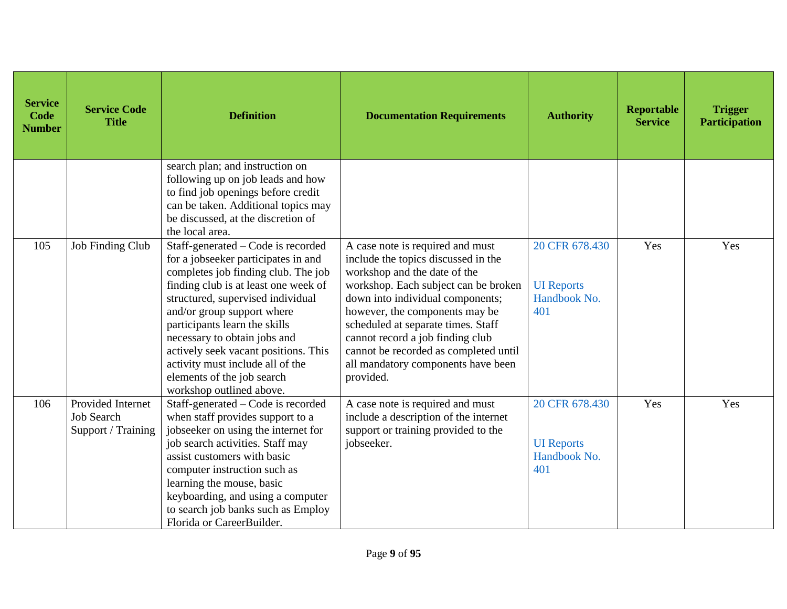| <b>Service</b><br>Code<br><b>Number</b> | <b>Service Code</b><br><b>Title</b>                          | <b>Definition</b>                                                                                                                                                                                                                                                                                                                                                                                                                  | <b>Documentation Requirements</b>                                                                                                                                                                                                                                                                                                                                                           | <b>Authority</b>                                           | Reportable<br><b>Service</b> | <b>Trigger</b><br><b>Participation</b> |
|-----------------------------------------|--------------------------------------------------------------|------------------------------------------------------------------------------------------------------------------------------------------------------------------------------------------------------------------------------------------------------------------------------------------------------------------------------------------------------------------------------------------------------------------------------------|---------------------------------------------------------------------------------------------------------------------------------------------------------------------------------------------------------------------------------------------------------------------------------------------------------------------------------------------------------------------------------------------|------------------------------------------------------------|------------------------------|----------------------------------------|
|                                         |                                                              | search plan; and instruction on<br>following up on job leads and how<br>to find job openings before credit<br>can be taken. Additional topics may<br>be discussed, at the discretion of<br>the local area.                                                                                                                                                                                                                         |                                                                                                                                                                                                                                                                                                                                                                                             |                                                            |                              |                                        |
| 105                                     | <b>Job Finding Club</b>                                      | Staff-generated – Code is recorded<br>for a jobseeker participates in and<br>completes job finding club. The job<br>finding club is at least one week of<br>structured, supervised individual<br>and/or group support where<br>participants learn the skills<br>necessary to obtain jobs and<br>actively seek vacant positions. This<br>activity must include all of the<br>elements of the job search<br>workshop outlined above. | A case note is required and must<br>include the topics discussed in the<br>workshop and the date of the<br>workshop. Each subject can be broken<br>down into individual components;<br>however, the components may be<br>scheduled at separate times. Staff<br>cannot record a job finding club<br>cannot be recorded as completed until<br>all mandatory components have been<br>provided. | 20 CFR 678.430<br><b>UI</b> Reports<br>Handbook No.<br>401 | Yes                          | Yes                                    |
| 106                                     | Provided Internet<br><b>Job Search</b><br>Support / Training | Staff-generated – Code is recorded<br>when staff provides support to a<br>jobseeker on using the internet for<br>job search activities. Staff may<br>assist customers with basic<br>computer instruction such as<br>learning the mouse, basic<br>keyboarding, and using a computer<br>to search job banks such as Employ<br>Florida or CareerBuilder.                                                                              | A case note is required and must<br>include a description of the internet<br>support or training provided to the<br>jobseeker.                                                                                                                                                                                                                                                              | 20 CFR 678.430<br><b>UI</b> Reports<br>Handbook No.<br>401 | Yes                          | Yes                                    |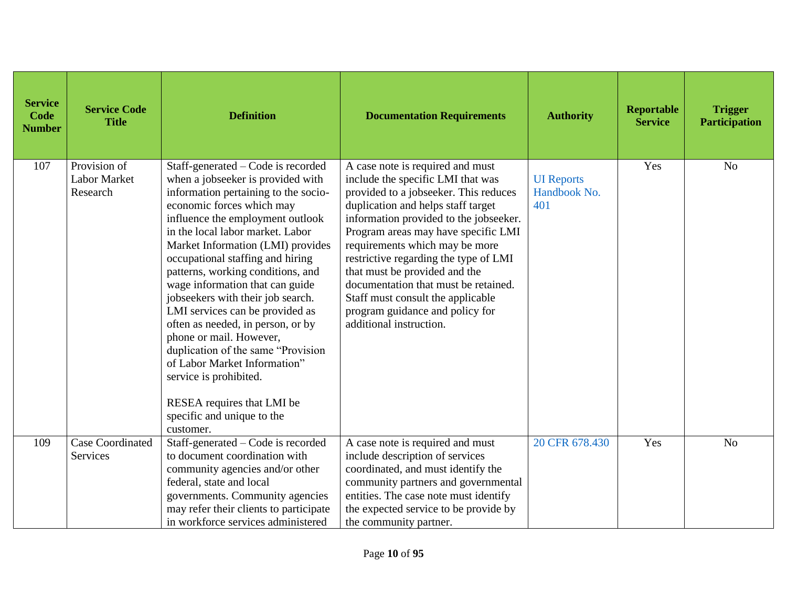| <b>Service</b><br><b>Code</b><br><b>Number</b> | <b>Service Code</b><br><b>Title</b>      | <b>Definition</b>                                                                                                                                                                                                                                                                                                                                                                                                                                                                                                                                                                                                                                                                      | <b>Documentation Requirements</b>                                                                                                                                                                                                                                                                                                                                                                                                                                                            | <b>Authority</b>                         | <b>Reportable</b><br><b>Service</b> | <b>Trigger</b><br><b>Participation</b> |
|------------------------------------------------|------------------------------------------|----------------------------------------------------------------------------------------------------------------------------------------------------------------------------------------------------------------------------------------------------------------------------------------------------------------------------------------------------------------------------------------------------------------------------------------------------------------------------------------------------------------------------------------------------------------------------------------------------------------------------------------------------------------------------------------|----------------------------------------------------------------------------------------------------------------------------------------------------------------------------------------------------------------------------------------------------------------------------------------------------------------------------------------------------------------------------------------------------------------------------------------------------------------------------------------------|------------------------------------------|-------------------------------------|----------------------------------------|
| 107                                            | Provision of<br>Labor Market<br>Research | Staff-generated – Code is recorded<br>when a jobseeker is provided with<br>information pertaining to the socio-<br>economic forces which may<br>influence the employment outlook<br>in the local labor market. Labor<br>Market Information (LMI) provides<br>occupational staffing and hiring<br>patterns, working conditions, and<br>wage information that can guide<br>jobseekers with their job search.<br>LMI services can be provided as<br>often as needed, in person, or by<br>phone or mail. However,<br>duplication of the same "Provision<br>of Labor Market Information"<br>service is prohibited.<br>RESEA requires that LMI be<br>specific and unique to the<br>customer. | A case note is required and must<br>include the specific LMI that was<br>provided to a jobseeker. This reduces<br>duplication and helps staff target<br>information provided to the jobseeker.<br>Program areas may have specific LMI<br>requirements which may be more<br>restrictive regarding the type of LMI<br>that must be provided and the<br>documentation that must be retained.<br>Staff must consult the applicable<br>program guidance and policy for<br>additional instruction. | <b>UI</b> Reports<br>Handbook No.<br>401 | Yes                                 | N <sub>o</sub>                         |
| 109                                            | <b>Case Coordinated</b><br>Services      | Staff-generated – Code is recorded<br>to document coordination with<br>community agencies and/or other<br>federal, state and local<br>governments. Community agencies<br>may refer their clients to participate<br>in workforce services administered                                                                                                                                                                                                                                                                                                                                                                                                                                  | A case note is required and must<br>include description of services<br>coordinated, and must identify the<br>community partners and governmental<br>entities. The case note must identify<br>the expected service to be provide by<br>the community partner.                                                                                                                                                                                                                                 | 20 CFR 678.430                           | Yes                                 | N <sub>o</sub>                         |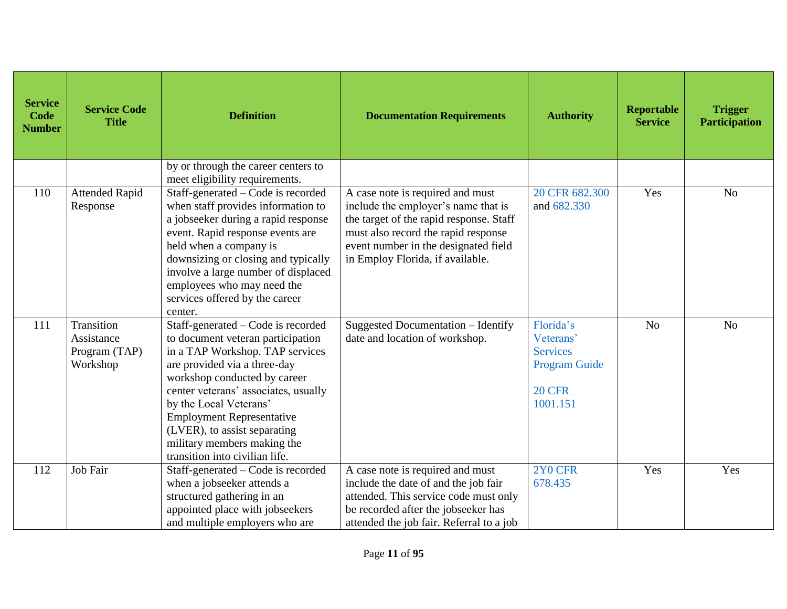| <b>Service</b><br>Code<br><b>Number</b> | <b>Service Code</b><br><b>Title</b>                   | <b>Definition</b>                                                                                                                                                                                                                                                                                                                                                                 | <b>Documentation Requirements</b>                                                                                                                                                                                                     | <b>Authority</b>                                                                               | <b>Reportable</b><br><b>Service</b> | <b>Trigger</b><br><b>Participation</b> |
|-----------------------------------------|-------------------------------------------------------|-----------------------------------------------------------------------------------------------------------------------------------------------------------------------------------------------------------------------------------------------------------------------------------------------------------------------------------------------------------------------------------|---------------------------------------------------------------------------------------------------------------------------------------------------------------------------------------------------------------------------------------|------------------------------------------------------------------------------------------------|-------------------------------------|----------------------------------------|
|                                         |                                                       | by or through the career centers to<br>meet eligibility requirements.                                                                                                                                                                                                                                                                                                             |                                                                                                                                                                                                                                       |                                                                                                |                                     |                                        |
| 110                                     | <b>Attended Rapid</b><br>Response                     | Staff-generated – Code is recorded<br>when staff provides information to<br>a jobseeker during a rapid response<br>event. Rapid response events are<br>held when a company is<br>downsizing or closing and typically<br>involve a large number of displaced<br>employees who may need the<br>services offered by the career<br>center.                                            | A case note is required and must<br>include the employer's name that is<br>the target of the rapid response. Staff<br>must also record the rapid response<br>event number in the designated field<br>in Employ Florida, if available. | 20 CFR 682.300<br>and 682.330                                                                  | Yes                                 | N <sub>o</sub>                         |
| 111                                     | Transition<br>Assistance<br>Program (TAP)<br>Workshop | Staff-generated - Code is recorded<br>to document veteran participation<br>in a TAP Workshop. TAP services<br>are provided via a three-day<br>workshop conducted by career<br>center veterans' associates, usually<br>by the Local Veterans'<br><b>Employment Representative</b><br>(LVER), to assist separating<br>military members making the<br>transition into civilian life. | Suggested Documentation - Identify<br>date and location of workshop.                                                                                                                                                                  | Florida's<br>Veterans'<br><b>Services</b><br><b>Program Guide</b><br><b>20 CFR</b><br>1001.151 | N <sub>o</sub>                      | N <sub>o</sub>                         |
| 112                                     | Job Fair                                              | Staff-generated – Code is recorded<br>when a jobseeker attends a<br>structured gathering in an<br>appointed place with jobseekers<br>and multiple employers who are                                                                                                                                                                                                               | A case note is required and must<br>include the date of and the job fair<br>attended. This service code must only<br>be recorded after the jobseeker has<br>attended the job fair. Referral to a job                                  | 2Y0 CFR<br>678.435                                                                             | Yes                                 | Yes                                    |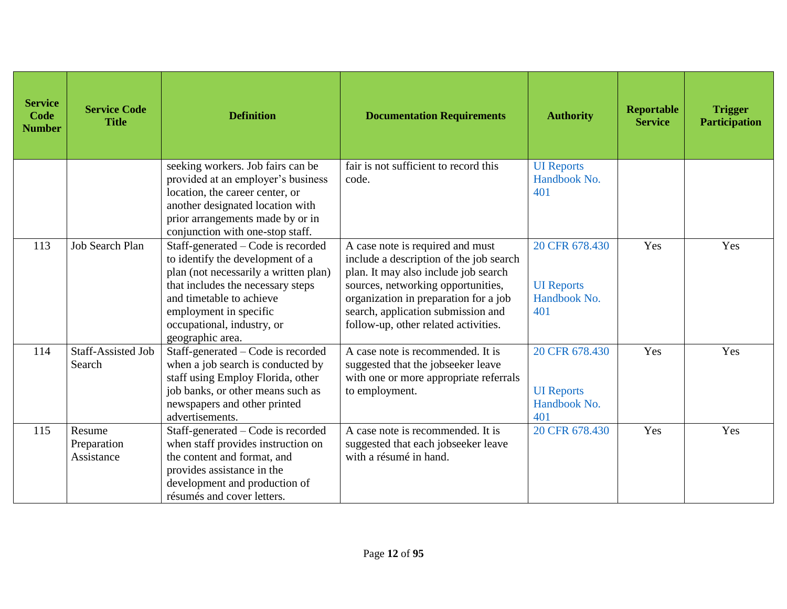| <b>Service</b><br>Code<br><b>Number</b> | <b>Service Code</b><br><b>Title</b> | <b>Definition</b>                                                                                                                                                                                                                                            | <b>Documentation Requirements</b>                                                                                                                                                                                                                                                | <b>Authority</b>                                           | Reportable<br><b>Service</b> | <b>Trigger</b><br><b>Participation</b> |
|-----------------------------------------|-------------------------------------|--------------------------------------------------------------------------------------------------------------------------------------------------------------------------------------------------------------------------------------------------------------|----------------------------------------------------------------------------------------------------------------------------------------------------------------------------------------------------------------------------------------------------------------------------------|------------------------------------------------------------|------------------------------|----------------------------------------|
|                                         |                                     | seeking workers. Job fairs can be<br>provided at an employer's business<br>location, the career center, or<br>another designated location with<br>prior arrangements made by or in<br>conjunction with one-stop staff.                                       | fair is not sufficient to record this<br>code.                                                                                                                                                                                                                                   | <b>UI</b> Reports<br>Handbook No.<br>401                   |                              |                                        |
| 113                                     | <b>Job Search Plan</b>              | Staff-generated – Code is recorded<br>to identify the development of a<br>plan (not necessarily a written plan)<br>that includes the necessary steps<br>and timetable to achieve<br>employment in specific<br>occupational, industry, or<br>geographic area. | A case note is required and must<br>include a description of the job search<br>plan. It may also include job search<br>sources, networking opportunities,<br>organization in preparation for a job<br>search, application submission and<br>follow-up, other related activities. | 20 CFR 678.430<br><b>UI</b> Reports<br>Handbook No.<br>401 | Yes                          | Yes                                    |
| 114                                     | <b>Staff-Assisted Job</b><br>Search | Staff-generated – Code is recorded<br>when a job search is conducted by<br>staff using Employ Florida, other<br>job banks, or other means such as<br>newspapers and other printed<br>advertisements.                                                         | A case note is recommended. It is<br>suggested that the jobseeker leave<br>with one or more appropriate referrals<br>to employment.                                                                                                                                              | 20 CFR 678.430<br><b>UI</b> Reports<br>Handbook No.<br>401 | Yes                          | Yes                                    |
| 115                                     | Resume<br>Preparation<br>Assistance | Staff-generated – Code is recorded<br>when staff provides instruction on<br>the content and format, and<br>provides assistance in the<br>development and production of<br>résumés and cover letters.                                                         | A case note is recommended. It is<br>suggested that each jobseeker leave<br>with a résumé in hand.                                                                                                                                                                               | 20 CFR 678.430                                             | Yes                          | Yes                                    |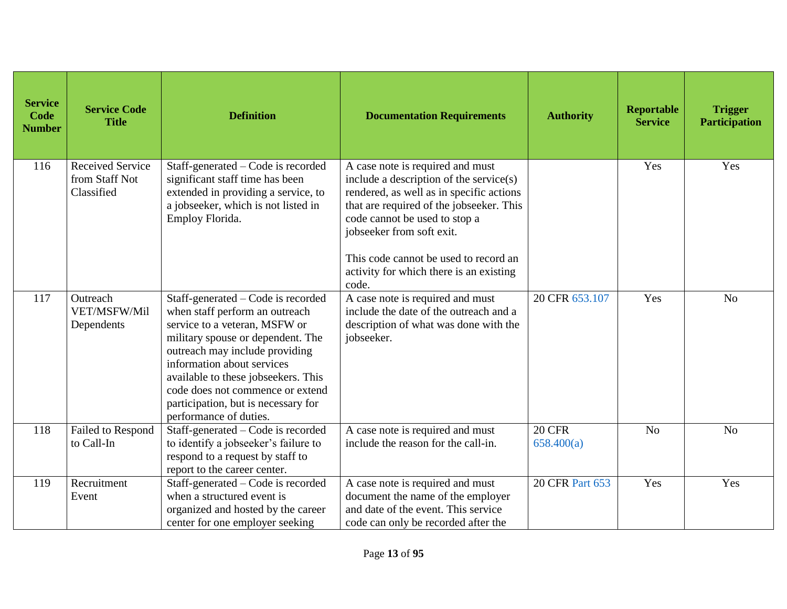| <b>Service</b><br>Code<br><b>Number</b> | <b>Service Code</b><br><b>Title</b>                     | <b>Definition</b>                                                                                                                                                                                                                                                                                                                                      | <b>Documentation Requirements</b>                                                                                                                                                                                                                                                                                              | <b>Authority</b>            | <b>Reportable</b><br><b>Service</b> | <b>Trigger</b><br><b>Participation</b> |
|-----------------------------------------|---------------------------------------------------------|--------------------------------------------------------------------------------------------------------------------------------------------------------------------------------------------------------------------------------------------------------------------------------------------------------------------------------------------------------|--------------------------------------------------------------------------------------------------------------------------------------------------------------------------------------------------------------------------------------------------------------------------------------------------------------------------------|-----------------------------|-------------------------------------|----------------------------------------|
| 116                                     | <b>Received Service</b><br>from Staff Not<br>Classified | Staff-generated - Code is recorded<br>significant staff time has been<br>extended in providing a service, to<br>a jobseeker, which is not listed in<br>Employ Florida.                                                                                                                                                                                 | A case note is required and must<br>include a description of the service(s)<br>rendered, as well as in specific actions<br>that are required of the jobseeker. This<br>code cannot be used to stop a<br>jobseeker from soft exit.<br>This code cannot be used to record an<br>activity for which there is an existing<br>code. |                             | Yes                                 | Yes                                    |
| 117                                     | Outreach<br>VET/MSFW/Mil<br>Dependents                  | Staff-generated – Code is recorded<br>when staff perform an outreach<br>service to a veteran, MSFW or<br>military spouse or dependent. The<br>outreach may include providing<br>information about services<br>available to these jobseekers. This<br>code does not commence or extend<br>participation, but is necessary for<br>performance of duties. | A case note is required and must<br>include the date of the outreach and a<br>description of what was done with the<br>jobseeker.                                                                                                                                                                                              | 20 CFR 653.107              | Yes                                 | N <sub>o</sub>                         |
| 118                                     | Failed to Respond<br>to Call-In                         | Staff-generated – Code is recorded<br>to identify a jobseeker's failure to<br>respond to a request by staff to<br>report to the career center.                                                                                                                                                                                                         | A case note is required and must<br>include the reason for the call-in.                                                                                                                                                                                                                                                        | <b>20 CFR</b><br>658.400(a) | N <sub>o</sub>                      | No                                     |
| 119                                     | Recruitment<br>Event                                    | Staff-generated - Code is recorded<br>when a structured event is<br>organized and hosted by the career<br>center for one employer seeking                                                                                                                                                                                                              | A case note is required and must<br>document the name of the employer<br>and date of the event. This service<br>code can only be recorded after the                                                                                                                                                                            | <b>20 CFR Part 653</b>      | Yes                                 | Yes                                    |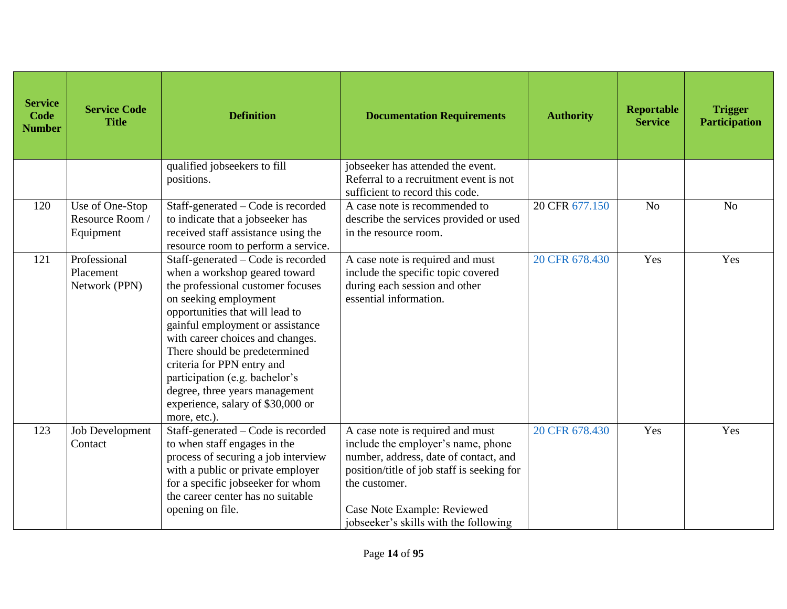| <b>Service</b><br>Code<br><b>Number</b> | <b>Service Code</b><br><b>Title</b>             | <b>Definition</b>                                                                                                                                                                                                                                                                                                                                                                                                                    | <b>Documentation Requirements</b>                                                                                                                                                                                                                      | <b>Authority</b> | <b>Reportable</b><br><b>Service</b> | <b>Trigger</b><br><b>Participation</b> |
|-----------------------------------------|-------------------------------------------------|--------------------------------------------------------------------------------------------------------------------------------------------------------------------------------------------------------------------------------------------------------------------------------------------------------------------------------------------------------------------------------------------------------------------------------------|--------------------------------------------------------------------------------------------------------------------------------------------------------------------------------------------------------------------------------------------------------|------------------|-------------------------------------|----------------------------------------|
|                                         |                                                 | qualified jobseekers to fill<br>positions.                                                                                                                                                                                                                                                                                                                                                                                           | jobseeker has attended the event.<br>Referral to a recruitment event is not<br>sufficient to record this code.                                                                                                                                         |                  |                                     |                                        |
| 120                                     | Use of One-Stop<br>Resource Room /<br>Equipment | Staff-generated – Code is recorded<br>to indicate that a jobseeker has<br>received staff assistance using the<br>resource room to perform a service.                                                                                                                                                                                                                                                                                 | A case note is recommended to<br>describe the services provided or used<br>in the resource room.                                                                                                                                                       | 20 CFR 677.150   | N <sub>o</sub>                      | N <sub>o</sub>                         |
| 121                                     | Professional<br>Placement<br>Network (PPN)      | Staff-generated – Code is recorded<br>when a workshop geared toward<br>the professional customer focuses<br>on seeking employment<br>opportunities that will lead to<br>gainful employment or assistance<br>with career choices and changes.<br>There should be predetermined<br>criteria for PPN entry and<br>participation (e.g. bachelor's<br>degree, three years management<br>experience, salary of \$30,000 or<br>more, etc.). | A case note is required and must<br>include the specific topic covered<br>during each session and other<br>essential information.                                                                                                                      | 20 CFR 678.430   | Yes                                 | Yes                                    |
| 123                                     | <b>Job Development</b><br>Contact               | Staff-generated – Code is recorded<br>to when staff engages in the<br>process of securing a job interview<br>with a public or private employer<br>for a specific jobseeker for whom<br>the career center has no suitable<br>opening on file.                                                                                                                                                                                         | A case note is required and must<br>include the employer's name, phone<br>number, address, date of contact, and<br>position/title of job staff is seeking for<br>the customer.<br>Case Note Example: Reviewed<br>jobseeker's skills with the following | 20 CFR 678.430   | Yes                                 | Yes                                    |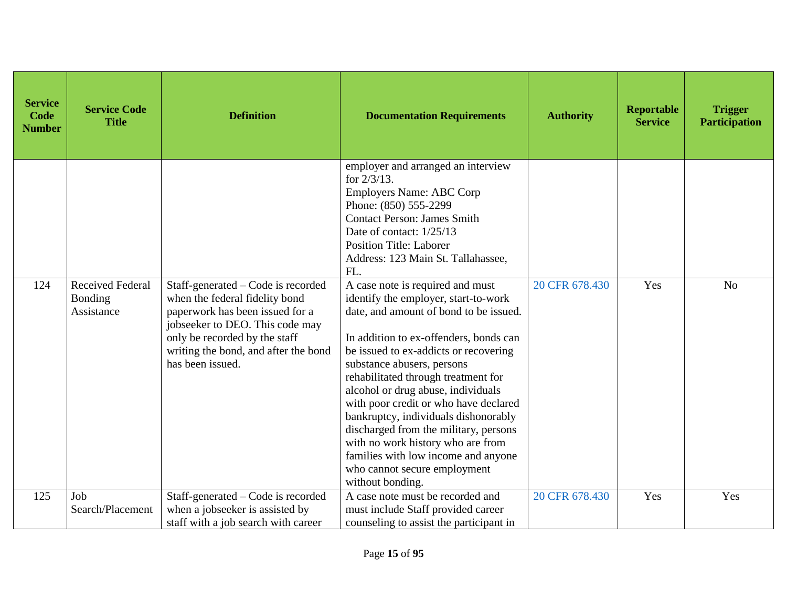| <b>Service</b><br>Code<br><b>Number</b> | <b>Service Code</b><br><b>Title</b>              | <b>Definition</b>                                                                                                                                                                                                                       | <b>Documentation Requirements</b>                                                                                                                                                                                                                                                                                                                                                                                                                                                                                                                                          | <b>Authority</b> | Reportable<br><b>Service</b> | <b>Trigger</b><br><b>Participation</b> |
|-----------------------------------------|--------------------------------------------------|-----------------------------------------------------------------------------------------------------------------------------------------------------------------------------------------------------------------------------------------|----------------------------------------------------------------------------------------------------------------------------------------------------------------------------------------------------------------------------------------------------------------------------------------------------------------------------------------------------------------------------------------------------------------------------------------------------------------------------------------------------------------------------------------------------------------------------|------------------|------------------------------|----------------------------------------|
|                                         |                                                  |                                                                                                                                                                                                                                         | employer and arranged an interview<br>for $2/3/13$ .<br><b>Employers Name: ABC Corp</b><br>Phone: (850) 555-2299<br><b>Contact Person: James Smith</b><br>Date of contact: 1/25/13<br><b>Position Title: Laborer</b><br>Address: 123 Main St. Tallahassee,<br>FL.                                                                                                                                                                                                                                                                                                          |                  |                              |                                        |
| 124                                     | <b>Received Federal</b><br>Bonding<br>Assistance | Staff-generated – Code is recorded<br>when the federal fidelity bond<br>paperwork has been issued for a<br>jobseeker to DEO. This code may<br>only be recorded by the staff<br>writing the bond, and after the bond<br>has been issued. | A case note is required and must<br>identify the employer, start-to-work<br>date, and amount of bond to be issued.<br>In addition to ex-offenders, bonds can<br>be issued to ex-addicts or recovering<br>substance abusers, persons<br>rehabilitated through treatment for<br>alcohol or drug abuse, individuals<br>with poor credit or who have declared<br>bankruptcy, individuals dishonorably<br>discharged from the military, persons<br>with no work history who are from<br>families with low income and anyone<br>who cannot secure employment<br>without bonding. | 20 CFR 678.430   | Yes                          | N <sub>o</sub>                         |
| 125                                     | Job<br>Search/Placement                          | Staff-generated – Code is recorded<br>when a jobseeker is assisted by<br>staff with a job search with career                                                                                                                            | A case note must be recorded and<br>must include Staff provided career<br>counseling to assist the participant in                                                                                                                                                                                                                                                                                                                                                                                                                                                          | 20 CFR 678.430   | Yes                          | Yes                                    |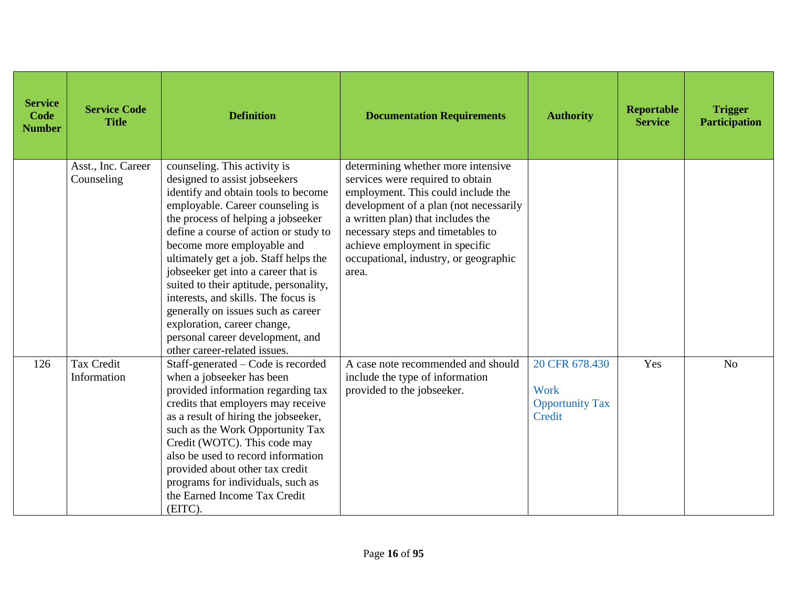| <b>Service</b><br>Code<br><b>Number</b> | <b>Service Code</b><br><b>Title</b> | <b>Definition</b>                                                                                                                                                                                                                                                                                                                                                                                                                                                                                                                                               | <b>Documentation Requirements</b>                                                                                                                                                                                                                                                                                    | <b>Authority</b>                                                  | Reportable<br><b>Service</b> | <b>Trigger</b><br><b>Participation</b> |
|-----------------------------------------|-------------------------------------|-----------------------------------------------------------------------------------------------------------------------------------------------------------------------------------------------------------------------------------------------------------------------------------------------------------------------------------------------------------------------------------------------------------------------------------------------------------------------------------------------------------------------------------------------------------------|----------------------------------------------------------------------------------------------------------------------------------------------------------------------------------------------------------------------------------------------------------------------------------------------------------------------|-------------------------------------------------------------------|------------------------------|----------------------------------------|
|                                         | Asst., Inc. Career<br>Counseling    | counseling. This activity is<br>designed to assist jobseekers<br>identify and obtain tools to become<br>employable. Career counseling is<br>the process of helping a jobseeker<br>define a course of action or study to<br>become more employable and<br>ultimately get a job. Staff helps the<br>jobseeker get into a career that is<br>suited to their aptitude, personality,<br>interests, and skills. The focus is<br>generally on issues such as career<br>exploration, career change,<br>personal career development, and<br>other career-related issues. | determining whether more intensive<br>services were required to obtain<br>employment. This could include the<br>development of a plan (not necessarily<br>a written plan) that includes the<br>necessary steps and timetables to<br>achieve employment in specific<br>occupational, industry, or geographic<br>area. |                                                                   |                              |                                        |
| 126                                     | <b>Tax Credit</b><br>Information    | Staff-generated - Code is recorded<br>when a jobseeker has been<br>provided information regarding tax<br>credits that employers may receive<br>as a result of hiring the jobseeker,<br>such as the Work Opportunity Tax<br>Credit (WOTC). This code may<br>also be used to record information<br>provided about other tax credit<br>programs for individuals, such as<br>the Earned Income Tax Credit<br>(EITC).                                                                                                                                                | A case note recommended and should<br>include the type of information<br>provided to the jobseeker.                                                                                                                                                                                                                  | 20 CFR 678.430<br><b>Work</b><br><b>Opportunity Tax</b><br>Credit | Yes                          | N <sub>o</sub>                         |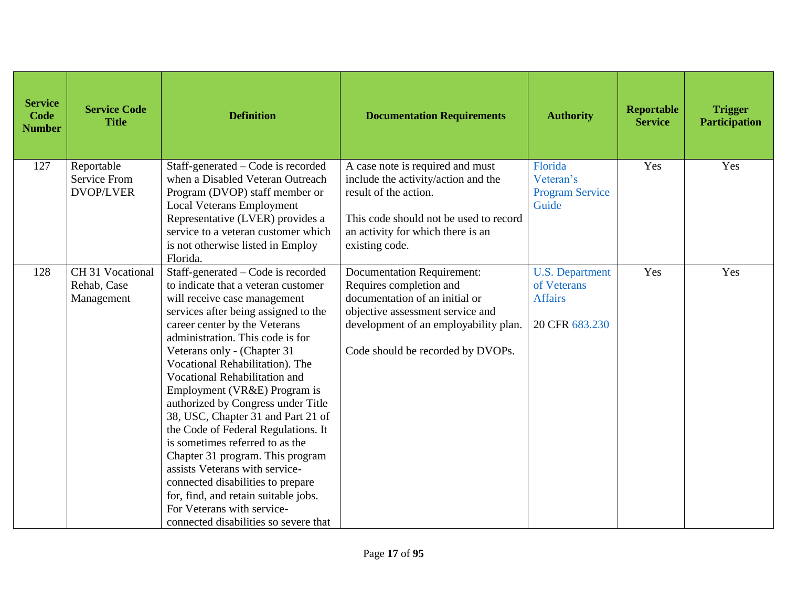| <b>Service</b><br>Code<br><b>Number</b> | <b>Service Code</b><br><b>Title</b>                   | <b>Definition</b>                                                                                                                                                                                                                                                                                                                                                                                                                                                                                                                                                                                                                                                                                                                         | <b>Documentation Requirements</b>                                                                                                                                                                                | <b>Authority</b>                                                          | Reportable<br><b>Service</b> | <b>Trigger</b><br><b>Participation</b> |
|-----------------------------------------|-------------------------------------------------------|-------------------------------------------------------------------------------------------------------------------------------------------------------------------------------------------------------------------------------------------------------------------------------------------------------------------------------------------------------------------------------------------------------------------------------------------------------------------------------------------------------------------------------------------------------------------------------------------------------------------------------------------------------------------------------------------------------------------------------------------|------------------------------------------------------------------------------------------------------------------------------------------------------------------------------------------------------------------|---------------------------------------------------------------------------|------------------------------|----------------------------------------|
| 127                                     | Reportable<br><b>Service From</b><br><b>DVOP/LVER</b> | Staff-generated – Code is recorded<br>when a Disabled Veteran Outreach<br>Program (DVOP) staff member or<br><b>Local Veterans Employment</b><br>Representative (LVER) provides a<br>service to a veteran customer which<br>is not otherwise listed in Employ<br>Florida.                                                                                                                                                                                                                                                                                                                                                                                                                                                                  | A case note is required and must<br>include the activity/action and the<br>result of the action.<br>This code should not be used to record<br>an activity for which there is an<br>existing code.                | Florida<br>Veteran's<br><b>Program Service</b><br>Guide                   | Yes                          | Yes                                    |
| 128                                     | CH 31 Vocational<br>Rehab, Case<br>Management         | Staff-generated - Code is recorded<br>to indicate that a veteran customer<br>will receive case management<br>services after being assigned to the<br>career center by the Veterans<br>administration. This code is for<br>Veterans only - (Chapter 31<br>Vocational Rehabilitation). The<br>Vocational Rehabilitation and<br>Employment (VR&E) Program is<br>authorized by Congress under Title<br>38, USC, Chapter 31 and Part 21 of<br>the Code of Federal Regulations. It<br>is sometimes referred to as the<br>Chapter 31 program. This program<br>assists Veterans with service-<br>connected disabilities to prepare<br>for, find, and retain suitable jobs.<br>For Veterans with service-<br>connected disabilities so severe that | <b>Documentation Requirement:</b><br>Requires completion and<br>documentation of an initial or<br>objective assessment service and<br>development of an employability plan.<br>Code should be recorded by DVOPs. | <b>U.S. Department</b><br>of Veterans<br><b>Affairs</b><br>20 CFR 683.230 | Yes                          | Yes                                    |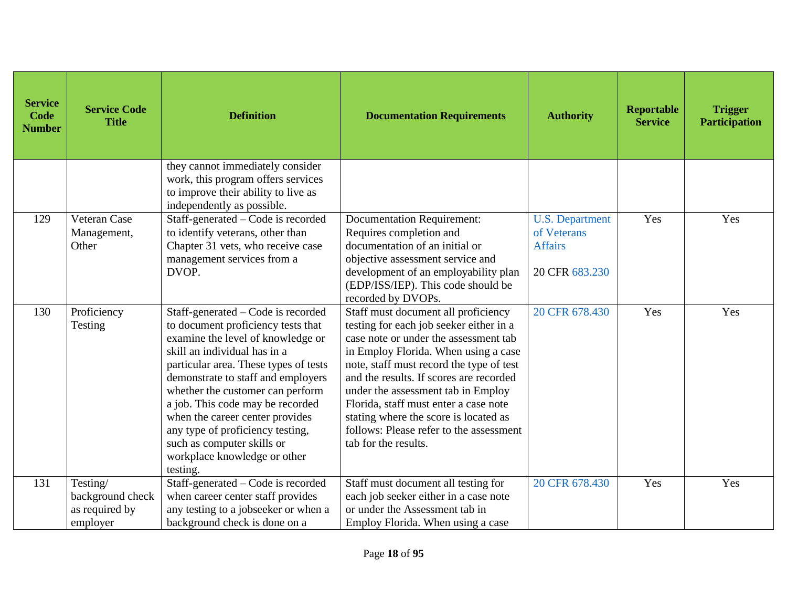| <b>Service</b><br>Code<br><b>Number</b> | <b>Service Code</b><br><b>Title</b>                        | <b>Definition</b>                                                                                                                                                                                                                                                                                                                                                                                                                                     | <b>Documentation Requirements</b>                                                                                                                                                                                                                                                                                                                                                                                                                 | <b>Authority</b>                                                          | <b>Reportable</b><br><b>Service</b> | <b>Trigger</b><br><b>Participation</b> |
|-----------------------------------------|------------------------------------------------------------|-------------------------------------------------------------------------------------------------------------------------------------------------------------------------------------------------------------------------------------------------------------------------------------------------------------------------------------------------------------------------------------------------------------------------------------------------------|---------------------------------------------------------------------------------------------------------------------------------------------------------------------------------------------------------------------------------------------------------------------------------------------------------------------------------------------------------------------------------------------------------------------------------------------------|---------------------------------------------------------------------------|-------------------------------------|----------------------------------------|
|                                         |                                                            | they cannot immediately consider<br>work, this program offers services<br>to improve their ability to live as<br>independently as possible.                                                                                                                                                                                                                                                                                                           |                                                                                                                                                                                                                                                                                                                                                                                                                                                   |                                                                           |                                     |                                        |
| 129                                     | Veteran Case<br>Management,<br>Other                       | $\overline{Staff}$ -generated – Code is recorded<br>to identify veterans, other than<br>Chapter 31 vets, who receive case<br>management services from a<br>DVOP.                                                                                                                                                                                                                                                                                      | <b>Documentation Requirement:</b><br>Requires completion and<br>documentation of an initial or<br>objective assessment service and<br>development of an employability plan<br>(EDP/ISS/IEP). This code should be<br>recorded by DVOPs.                                                                                                                                                                                                            | <b>U.S. Department</b><br>of Veterans<br><b>Affairs</b><br>20 CFR 683.230 | Yes                                 | Yes                                    |
| 130                                     | Proficiency<br>Testing                                     | Staff-generated – Code is recorded<br>to document proficiency tests that<br>examine the level of knowledge or<br>skill an individual has in a<br>particular area. These types of tests<br>demonstrate to staff and employers<br>whether the customer can perform<br>a job. This code may be recorded<br>when the career center provides<br>any type of proficiency testing,<br>such as computer skills or<br>workplace knowledge or other<br>testing. | Staff must document all proficiency<br>testing for each job seeker either in a<br>case note or under the assessment tab<br>in Employ Florida. When using a case<br>note, staff must record the type of test<br>and the results. If scores are recorded<br>under the assessment tab in Employ<br>Florida, staff must enter a case note<br>stating where the score is located as<br>follows: Please refer to the assessment<br>tab for the results. | 20 CFR 678.430                                                            | Yes                                 | Yes                                    |
| 131                                     | Testing/<br>background check<br>as required by<br>employer | Staff-generated – Code is recorded<br>when career center staff provides<br>any testing to a jobseeker or when a<br>background check is done on a                                                                                                                                                                                                                                                                                                      | Staff must document all testing for<br>each job seeker either in a case note<br>or under the Assessment tab in<br>Employ Florida. When using a case                                                                                                                                                                                                                                                                                               | 20 CFR 678.430                                                            | Yes                                 | Yes                                    |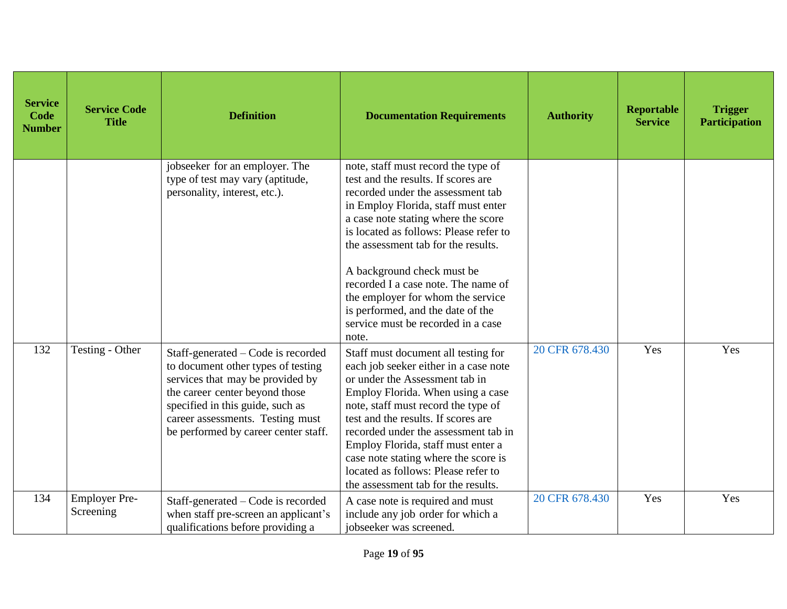| <b>Service</b><br>Code<br><b>Number</b> | <b>Service Code</b><br><b>Title</b> | <b>Definition</b>                                                                                                                                                                                                                                              | <b>Documentation Requirements</b>                                                                                                                                                                                                                                                                                                                                                                                                                                            | <b>Authority</b> | Reportable<br><b>Service</b> | <b>Trigger</b><br><b>Participation</b> |
|-----------------------------------------|-------------------------------------|----------------------------------------------------------------------------------------------------------------------------------------------------------------------------------------------------------------------------------------------------------------|------------------------------------------------------------------------------------------------------------------------------------------------------------------------------------------------------------------------------------------------------------------------------------------------------------------------------------------------------------------------------------------------------------------------------------------------------------------------------|------------------|------------------------------|----------------------------------------|
|                                         |                                     | jobseeker for an employer. The<br>type of test may vary (aptitude,<br>personality, interest, etc.).                                                                                                                                                            | note, staff must record the type of<br>test and the results. If scores are<br>recorded under the assessment tab<br>in Employ Florida, staff must enter<br>a case note stating where the score<br>is located as follows: Please refer to<br>the assessment tab for the results.<br>A background check must be<br>recorded I a case note. The name of<br>the employer for whom the service<br>is performed, and the date of the<br>service must be recorded in a case<br>note. |                  |                              |                                        |
| 132                                     | Testing - Other                     | Staff-generated – Code is recorded<br>to document other types of testing<br>services that may be provided by<br>the career center beyond those<br>specified in this guide, such as<br>career assessments. Testing must<br>be performed by career center staff. | Staff must document all testing for<br>each job seeker either in a case note<br>or under the Assessment tab in<br>Employ Florida. When using a case<br>note, staff must record the type of<br>test and the results. If scores are<br>recorded under the assessment tab in<br>Employ Florida, staff must enter a<br>case note stating where the score is<br>located as follows: Please refer to<br>the assessment tab for the results.                                        | 20 CFR 678.430   | Yes                          | Yes                                    |
| 134                                     | <b>Employer Pre-</b><br>Screening   | Staff-generated - Code is recorded<br>when staff pre-screen an applicant's<br>qualifications before providing a                                                                                                                                                | A case note is required and must<br>include any job order for which a<br>jobseeker was screened.                                                                                                                                                                                                                                                                                                                                                                             | 20 CFR 678.430   | Yes                          | Yes                                    |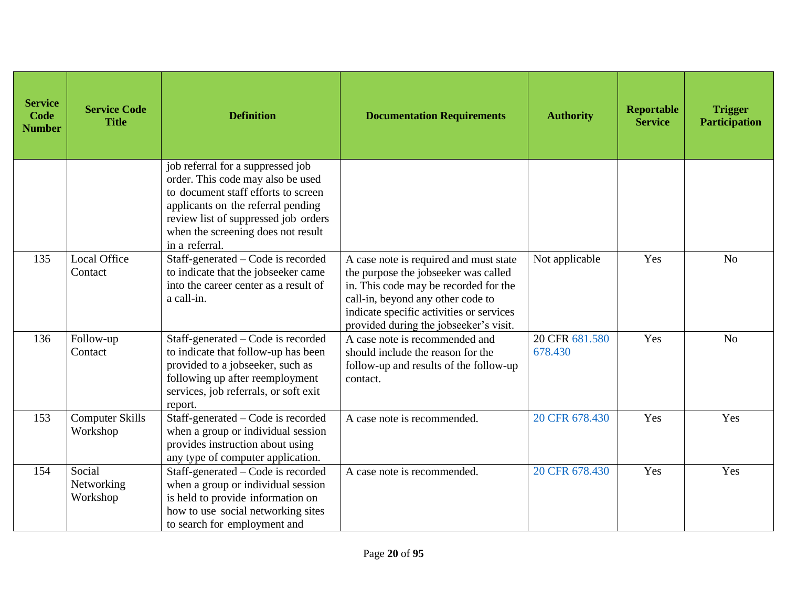| <b>Service</b><br>Code<br><b>Number</b> | <b>Service Code</b><br><b>Title</b> | <b>Definition</b>                                                                                                                                                                                                                                   | <b>Documentation Requirements</b>                                                                                                                                                                                                                  | <b>Authority</b>          | Reportable<br><b>Service</b> | <b>Trigger</b><br><b>Participation</b> |
|-----------------------------------------|-------------------------------------|-----------------------------------------------------------------------------------------------------------------------------------------------------------------------------------------------------------------------------------------------------|----------------------------------------------------------------------------------------------------------------------------------------------------------------------------------------------------------------------------------------------------|---------------------------|------------------------------|----------------------------------------|
|                                         |                                     | job referral for a suppressed job<br>order. This code may also be used<br>to document staff efforts to screen<br>applicants on the referral pending<br>review list of suppressed job orders<br>when the screening does not result<br>in a referral. |                                                                                                                                                                                                                                                    |                           |                              |                                        |
| 135                                     | <b>Local Office</b><br>Contact      | Staff-generated - Code is recorded<br>to indicate that the jobseeker came<br>into the career center as a result of<br>a call-in.                                                                                                                    | A case note is required and must state<br>the purpose the jobseeker was called<br>in. This code may be recorded for the<br>call-in, beyond any other code to<br>indicate specific activities or services<br>provided during the jobseeker's visit. | Not applicable            | Yes                          | N <sub>o</sub>                         |
| 136                                     | Follow-up<br>Contact                | Staff-generated - Code is recorded<br>to indicate that follow-up has been<br>provided to a jobseeker, such as<br>following up after reemployment<br>services, job referrals, or soft exit<br>report.                                                | A case note is recommended and<br>should include the reason for the<br>follow-up and results of the follow-up<br>contact.                                                                                                                          | 20 CFR 681.580<br>678.430 | Yes                          | N <sub>o</sub>                         |
| 153                                     | <b>Computer Skills</b><br>Workshop  | Staff-generated – Code is recorded<br>when a group or individual session<br>provides instruction about using<br>any type of computer application.                                                                                                   | A case note is recommended.                                                                                                                                                                                                                        | 20 CFR 678.430            | Yes                          | Yes                                    |
| 154                                     | Social<br>Networking<br>Workshop    | Staff-generated – Code is recorded<br>when a group or individual session<br>is held to provide information on<br>how to use social networking sites<br>to search for employment and                                                                 | A case note is recommended.                                                                                                                                                                                                                        | 20 CFR 678.430            | Yes                          | Yes                                    |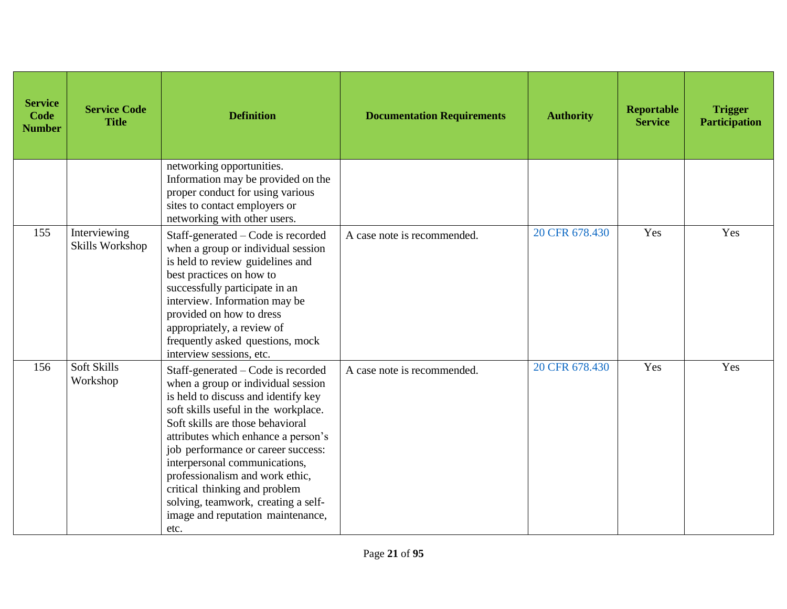| <b>Service</b><br>Code<br><b>Number</b> | <b>Service Code</b><br><b>Title</b> | <b>Definition</b>                                                                                                                                                                                                                                                                                                                                                                                                                                                 | <b>Documentation Requirements</b> | <b>Authority</b> | Reportable<br><b>Service</b> | <b>Trigger</b><br><b>Participation</b> |
|-----------------------------------------|-------------------------------------|-------------------------------------------------------------------------------------------------------------------------------------------------------------------------------------------------------------------------------------------------------------------------------------------------------------------------------------------------------------------------------------------------------------------------------------------------------------------|-----------------------------------|------------------|------------------------------|----------------------------------------|
|                                         |                                     | networking opportunities.<br>Information may be provided on the<br>proper conduct for using various<br>sites to contact employers or<br>networking with other users.                                                                                                                                                                                                                                                                                              |                                   |                  |                              |                                        |
| 155                                     | Interviewing<br>Skills Workshop     | Staff-generated - Code is recorded<br>when a group or individual session<br>is held to review guidelines and<br>best practices on how to<br>successfully participate in an<br>interview. Information may be<br>provided on how to dress<br>appropriately, a review of<br>frequently asked questions, mock<br>interview sessions, etc.                                                                                                                             | A case note is recommended.       | 20 CFR 678.430   | Yes                          | Yes                                    |
| 156                                     | Soft Skills<br>Workshop             | Staff-generated – Code is recorded<br>when a group or individual session<br>is held to discuss and identify key<br>soft skills useful in the workplace.<br>Soft skills are those behavioral<br>attributes which enhance a person's<br>job performance or career success:<br>interpersonal communications,<br>professionalism and work ethic,<br>critical thinking and problem<br>solving, teamwork, creating a self-<br>image and reputation maintenance,<br>etc. | A case note is recommended.       | 20 CFR 678.430   | Yes                          | Yes                                    |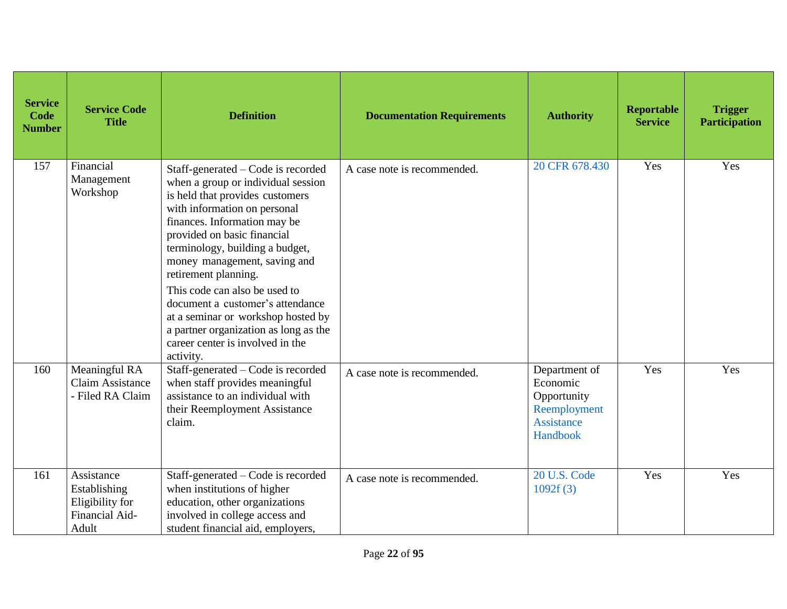| <b>Service</b><br>Code<br><b>Number</b> | <b>Service Code</b><br><b>Title</b>                                      | <b>Definition</b>                                                                                                                                                                                                                                                                                                                                                                                                                                                                                          | <b>Documentation Requirements</b> | <b>Authority</b>                                                                          | Reportable<br><b>Service</b> | <b>Trigger</b><br><b>Participation</b> |
|-----------------------------------------|--------------------------------------------------------------------------|------------------------------------------------------------------------------------------------------------------------------------------------------------------------------------------------------------------------------------------------------------------------------------------------------------------------------------------------------------------------------------------------------------------------------------------------------------------------------------------------------------|-----------------------------------|-------------------------------------------------------------------------------------------|------------------------------|----------------------------------------|
| 157                                     | Financial<br>Management<br>Workshop                                      | Staff-generated – Code is recorded<br>when a group or individual session<br>is held that provides customers<br>with information on personal<br>finances. Information may be<br>provided on basic financial<br>terminology, building a budget,<br>money management, saving and<br>retirement planning.<br>This code can also be used to<br>document a customer's attendance<br>at a seminar or workshop hosted by<br>a partner organization as long as the<br>career center is involved in the<br>activity. | A case note is recommended.       | 20 CFR 678.430                                                                            | Yes                          | Yes                                    |
| 160                                     | Meaningful RA<br>Claim Assistance<br>- Filed RA Claim                    | Staff-generated – Code is recorded<br>when staff provides meaningful<br>assistance to an individual with<br>their Reemployment Assistance<br>claim.                                                                                                                                                                                                                                                                                                                                                        | A case note is recommended.       | Department of<br>Economic<br>Opportunity<br>Reemployment<br><b>Assistance</b><br>Handbook | Yes                          | Yes                                    |
| 161                                     | Assistance<br>Establishing<br>Eligibility for<br>Financial Aid-<br>Adult | Staff-generated – Code is recorded<br>when institutions of higher<br>education, other organizations<br>involved in college access and<br>student financial aid, employers,                                                                                                                                                                                                                                                                                                                                 | A case note is recommended.       | 20 U.S. Code<br>1092f(3)                                                                  | Yes                          | Yes                                    |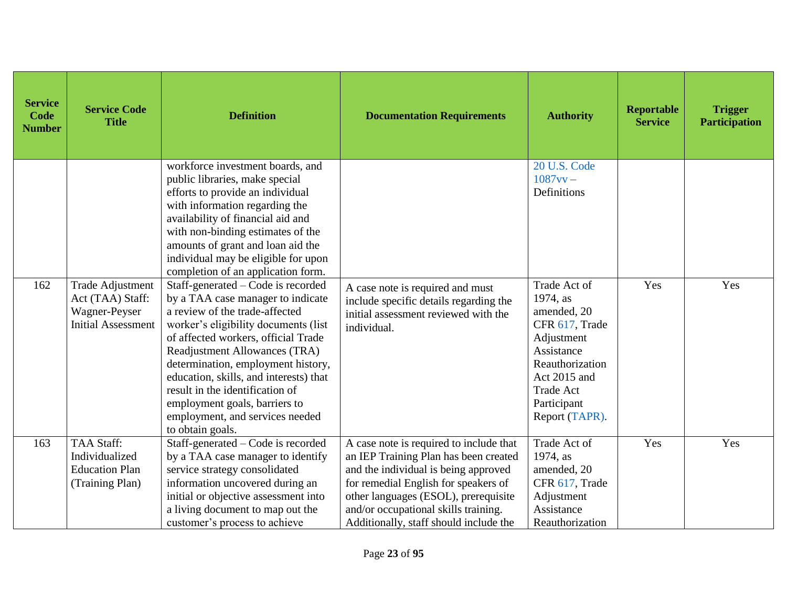| <b>Service</b><br>Code<br><b>Number</b> | <b>Service Code</b><br><b>Title</b>                                                       | <b>Definition</b>                                                                                                                                                                                                                                                                                                                                                                                                                    | <b>Documentation Requirements</b>                                                                                                                                                                                                                                                          | <b>Authority</b>                                                                                                                                                              | <b>Reportable</b><br><b>Service</b> | <b>Trigger</b><br><b>Participation</b> |
|-----------------------------------------|-------------------------------------------------------------------------------------------|--------------------------------------------------------------------------------------------------------------------------------------------------------------------------------------------------------------------------------------------------------------------------------------------------------------------------------------------------------------------------------------------------------------------------------------|--------------------------------------------------------------------------------------------------------------------------------------------------------------------------------------------------------------------------------------------------------------------------------------------|-------------------------------------------------------------------------------------------------------------------------------------------------------------------------------|-------------------------------------|----------------------------------------|
|                                         |                                                                                           | workforce investment boards, and<br>public libraries, make special<br>efforts to provide an individual<br>with information regarding the<br>availability of financial aid and<br>with non-binding estimates of the<br>amounts of grant and loan aid the<br>individual may be eligible for upon<br>completion of an application form.                                                                                                 |                                                                                                                                                                                                                                                                                            | 20 U.S. Code<br>$1087$ vv $-$<br>Definitions                                                                                                                                  |                                     |                                        |
| 162                                     | <b>Trade Adjustment</b><br>Act (TAA) Staff:<br>Wagner-Peyser<br><b>Initial Assessment</b> | Staff-generated – Code is recorded<br>by a TAA case manager to indicate<br>a review of the trade-affected<br>worker's eligibility documents (list<br>of affected workers, official Trade<br>Readjustment Allowances (TRA)<br>determination, employment history,<br>education, skills, and interests) that<br>result in the identification of<br>employment goals, barriers to<br>employment, and services needed<br>to obtain goals. | A case note is required and must<br>include specific details regarding the<br>initial assessment reviewed with the<br>individual.                                                                                                                                                          | Trade Act of<br>1974, as<br>amended, 20<br>CFR 617, Trade<br>Adjustment<br>Assistance<br>Reauthorization<br>Act 2015 and<br><b>Trade Act</b><br>Participant<br>Report (TAPR). | Yes                                 | Yes                                    |
| 163                                     | <b>TAA Staff:</b><br>Individualized<br><b>Education Plan</b><br>(Training Plan)           | Staff-generated – Code is recorded<br>by a TAA case manager to identify<br>service strategy consolidated<br>information uncovered during an<br>initial or objective assessment into<br>a living document to map out the<br>customer's process to achieve                                                                                                                                                                             | A case note is required to include that<br>an IEP Training Plan has been created<br>and the individual is being approved<br>for remedial English for speakers of<br>other languages (ESOL), prerequisite<br>and/or occupational skills training.<br>Additionally, staff should include the | Trade Act of<br>1974, as<br>amended, 20<br>CFR 617, Trade<br>Adjustment<br>Assistance<br>Reauthorization                                                                      | Yes                                 | Yes                                    |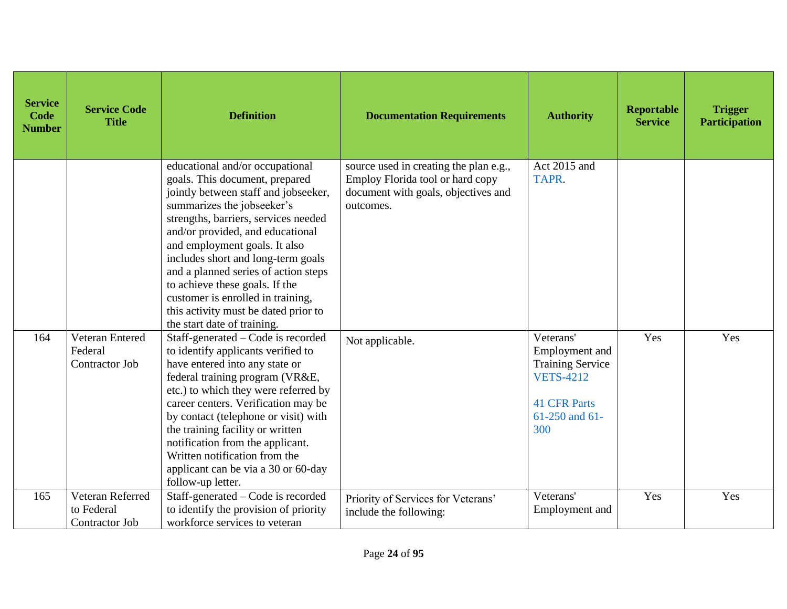| <b>Service</b><br>Code<br><b>Number</b> | <b>Service Code</b><br><b>Title</b>              | <b>Definition</b>                                                                                                                                                                                                                                                                                                                                                                                                                                                                | <b>Documentation Requirements</b>                                                                                              | <b>Authority</b>                                                                                                               | <b>Reportable</b><br><b>Service</b> | <b>Trigger</b><br><b>Participation</b> |
|-----------------------------------------|--------------------------------------------------|----------------------------------------------------------------------------------------------------------------------------------------------------------------------------------------------------------------------------------------------------------------------------------------------------------------------------------------------------------------------------------------------------------------------------------------------------------------------------------|--------------------------------------------------------------------------------------------------------------------------------|--------------------------------------------------------------------------------------------------------------------------------|-------------------------------------|----------------------------------------|
|                                         |                                                  | educational and/or occupational<br>goals. This document, prepared<br>jointly between staff and jobseeker,<br>summarizes the jobseeker's<br>strengths, barriers, services needed<br>and/or provided, and educational<br>and employment goals. It also<br>includes short and long-term goals<br>and a planned series of action steps<br>to achieve these goals. If the<br>customer is enrolled in training,<br>this activity must be dated prior to<br>the start date of training. | source used in creating the plan e.g.,<br>Employ Florida tool or hard copy<br>document with goals, objectives and<br>outcomes. | Act 2015 and<br>TAPR.                                                                                                          |                                     |                                        |
| 164                                     | Veteran Entered<br>Federal<br>Contractor Job     | Staff-generated – Code is recorded<br>to identify applicants verified to<br>have entered into any state or<br>federal training program (VR&E,<br>etc.) to which they were referred by<br>career centers. Verification may be<br>by contact (telephone or visit) with<br>the training facility or written<br>notification from the applicant.<br>Written notification from the<br>applicant can be via a 30 or 60-day<br>follow-up letter.                                        | Not applicable.                                                                                                                | Veterans'<br>Employment and<br><b>Training Service</b><br><b>VETS-4212</b><br><b>41 CFR Parts</b><br>$61-250$ and $61-$<br>300 | Yes                                 | Yes                                    |
| 165                                     | Veteran Referred<br>to Federal<br>Contractor Job | Staff-generated – Code is recorded<br>to identify the provision of priority<br>workforce services to veteran                                                                                                                                                                                                                                                                                                                                                                     | Priority of Services for Veterans'<br>include the following:                                                                   | Veterans'<br>Employment and                                                                                                    | Yes                                 | Yes                                    |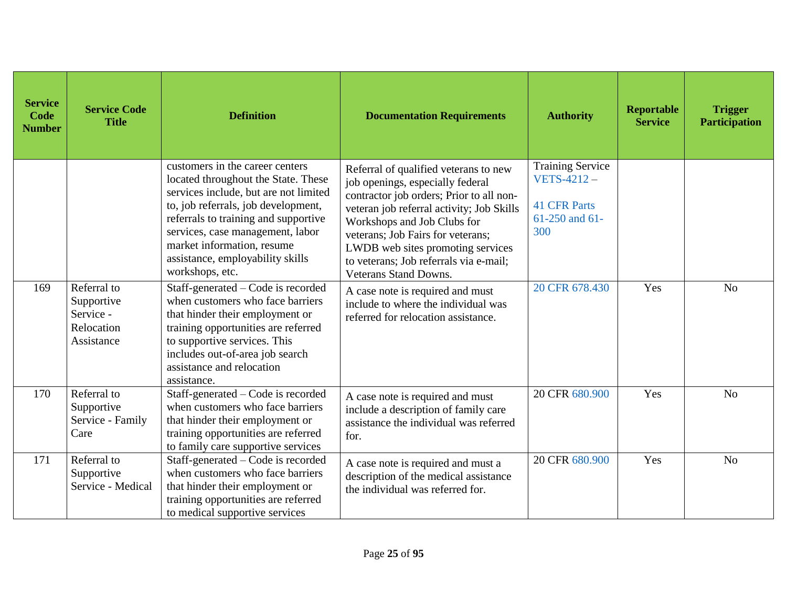| <b>Service</b><br>Code<br><b>Number</b> | <b>Service Code</b><br><b>Title</b>                                | <b>Definition</b>                                                                                                                                                                                                                                                                                                       | <b>Documentation Requirements</b>                                                                                                                                                                                                                                                                                                                     | <b>Authority</b>                                                                                 | <b>Reportable</b><br><b>Service</b> | <b>Trigger</b><br><b>Participation</b> |
|-----------------------------------------|--------------------------------------------------------------------|-------------------------------------------------------------------------------------------------------------------------------------------------------------------------------------------------------------------------------------------------------------------------------------------------------------------------|-------------------------------------------------------------------------------------------------------------------------------------------------------------------------------------------------------------------------------------------------------------------------------------------------------------------------------------------------------|--------------------------------------------------------------------------------------------------|-------------------------------------|----------------------------------------|
|                                         |                                                                    | customers in the career centers<br>located throughout the State. These<br>services include, but are not limited<br>to, job referrals, job development,<br>referrals to training and supportive<br>services, case management, labor<br>market information, resume<br>assistance, employability skills<br>workshops, etc. | Referral of qualified veterans to new<br>job openings, especially federal<br>contractor job orders; Prior to all non-<br>veteran job referral activity; Job Skills<br>Workshops and Job Clubs for<br>veterans; Job Fairs for veterans;<br>LWDB web sites promoting services<br>to veterans; Job referrals via e-mail;<br><b>Veterans Stand Downs.</b> | <b>Training Service</b><br><b>VETS-4212-</b><br><b>41 CFR Parts</b><br>$61-250$ and $61-$<br>300 |                                     |                                        |
| 169                                     | Referral to<br>Supportive<br>Service -<br>Relocation<br>Assistance | Staff-generated – Code is recorded<br>when customers who face barriers<br>that hinder their employment or<br>training opportunities are referred<br>to supportive services. This<br>includes out-of-area job search<br>assistance and relocation<br>assistance.                                                         | A case note is required and must<br>include to where the individual was<br>referred for relocation assistance.                                                                                                                                                                                                                                        | 20 CFR 678.430                                                                                   | Yes                                 | N <sub>o</sub>                         |
| 170                                     | Referral to<br>Supportive<br>Service - Family<br>Care              | Staff-generated – Code is recorded<br>when customers who face barriers<br>that hinder their employment or<br>training opportunities are referred<br>to family care supportive services                                                                                                                                  | A case note is required and must<br>include a description of family care<br>assistance the individual was referred<br>for.                                                                                                                                                                                                                            | 20 CFR 680.900                                                                                   | Yes                                 | N <sub>o</sub>                         |
| 171                                     | Referral to<br>Supportive<br>Service - Medical                     | Staff-generated - Code is recorded<br>when customers who face barriers<br>that hinder their employment or<br>training opportunities are referred<br>to medical supportive services                                                                                                                                      | A case note is required and must a<br>description of the medical assistance<br>the individual was referred for.                                                                                                                                                                                                                                       | 20 CFR 680.900                                                                                   | Yes                                 | N <sub>o</sub>                         |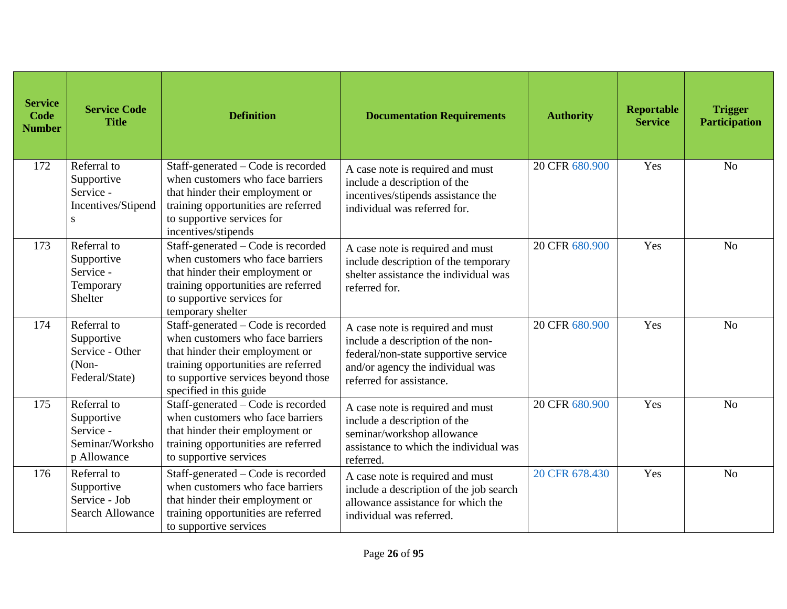| <b>Service</b><br>Code<br><b>Number</b> | <b>Service Code</b><br><b>Title</b>                                      | <b>Definition</b>                                                                                                                                                                                                  | <b>Documentation Requirements</b>                                                                                                                                             | <b>Authority</b> | <b>Reportable</b><br><b>Service</b> | <b>Trigger</b><br><b>Participation</b> |
|-----------------------------------------|--------------------------------------------------------------------------|--------------------------------------------------------------------------------------------------------------------------------------------------------------------------------------------------------------------|-------------------------------------------------------------------------------------------------------------------------------------------------------------------------------|------------------|-------------------------------------|----------------------------------------|
| 172                                     | Referral to<br>Supportive<br>Service -<br>Incentives/Stipend<br>S        | Staff-generated – Code is recorded<br>when customers who face barriers<br>that hinder their employment or<br>training opportunities are referred<br>to supportive services for<br>incentives/stipends              | A case note is required and must<br>include a description of the<br>incentives/stipends assistance the<br>individual was referred for.                                        | 20 CFR 680.900   | Yes                                 | N <sub>o</sub>                         |
| 173                                     | Referral to<br>Supportive<br>Service -<br>Temporary<br>Shelter           | Staff-generated – Code is recorded<br>when customers who face barriers<br>that hinder their employment or<br>training opportunities are referred<br>to supportive services for<br>temporary shelter                | A case note is required and must<br>include description of the temporary<br>shelter assistance the individual was<br>referred for.                                            | 20 CFR 680.900   | Yes                                 | N <sub>o</sub>                         |
| 174                                     | Referral to<br>Supportive<br>Service - Other<br>(Non-<br>Federal/State)  | Staff-generated - Code is recorded<br>when customers who face barriers<br>that hinder their employment or<br>training opportunities are referred<br>to supportive services beyond those<br>specified in this guide | A case note is required and must<br>include a description of the non-<br>federal/non-state supportive service<br>and/or agency the individual was<br>referred for assistance. | 20 CFR 680.900   | Yes                                 | N <sub>o</sub>                         |
| 175                                     | Referral to<br>Supportive<br>Service -<br>Seminar/Worksho<br>p Allowance | Staff-generated – Code is recorded<br>when customers who face barriers<br>that hinder their employment or<br>training opportunities are referred<br>to supportive services                                         | A case note is required and must<br>include a description of the<br>seminar/workshop allowance<br>assistance to which the individual was<br>referred.                         | 20 CFR 680.900   | Yes                                 | N <sub>o</sub>                         |
| 176                                     | Referral to<br>Supportive<br>Service - Job<br><b>Search Allowance</b>    | Staff-generated - Code is recorded<br>when customers who face barriers<br>that hinder their employment or<br>training opportunities are referred<br>to supportive services                                         | A case note is required and must<br>include a description of the job search<br>allowance assistance for which the<br>individual was referred.                                 | 20 CFR 678.430   | Yes                                 | N <sub>o</sub>                         |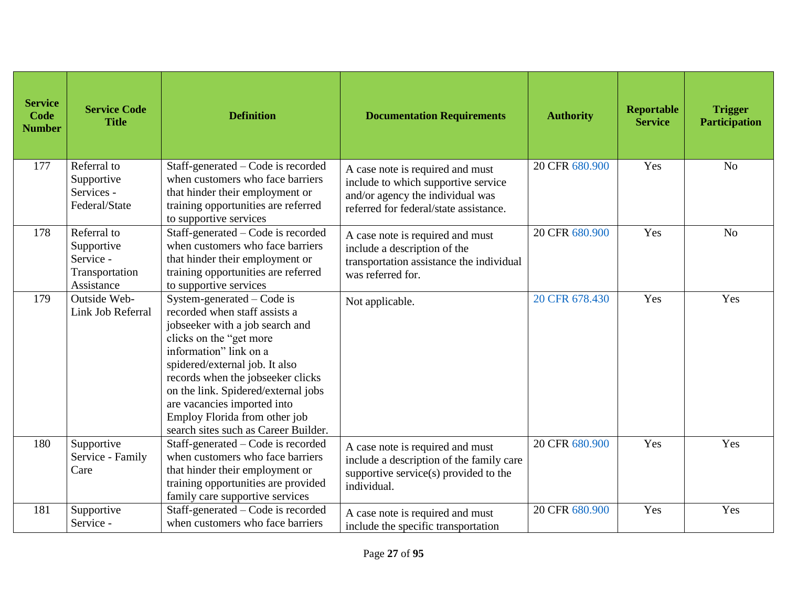| <b>Service</b><br>Code<br><b>Number</b> | <b>Service Code</b><br><b>Title</b>                                    | <b>Definition</b>                                                                                                                                                                                                                                                                                                                                                         | <b>Documentation Requirements</b>                                                                                                                     | <b>Authority</b> | <b>Reportable</b><br><b>Service</b> | <b>Trigger</b><br><b>Participation</b> |
|-----------------------------------------|------------------------------------------------------------------------|---------------------------------------------------------------------------------------------------------------------------------------------------------------------------------------------------------------------------------------------------------------------------------------------------------------------------------------------------------------------------|-------------------------------------------------------------------------------------------------------------------------------------------------------|------------------|-------------------------------------|----------------------------------------|
| 177                                     | Referral to<br>Supportive<br>Services -<br>Federal/State               | Staff-generated – Code is recorded<br>when customers who face barriers<br>that hinder their employment or<br>training opportunities are referred<br>to supportive services                                                                                                                                                                                                | A case note is required and must<br>include to which supportive service<br>and/or agency the individual was<br>referred for federal/state assistance. | 20 CFR 680.900   | Yes                                 | N <sub>o</sub>                         |
| 178                                     | Referral to<br>Supportive<br>Service -<br>Transportation<br>Assistance | Staff-generated - Code is recorded<br>when customers who face barriers<br>that hinder their employment or<br>training opportunities are referred<br>to supportive services                                                                                                                                                                                                | A case note is required and must<br>include a description of the<br>transportation assistance the individual<br>was referred for.                     | 20 CFR 680.900   | Yes                                 | N <sub>o</sub>                         |
| 179                                     | Outside Web-<br>Link Job Referral                                      | System-generated – Code is<br>recorded when staff assists a<br>jobseeker with a job search and<br>clicks on the "get more<br>information" link on a<br>spidered/external job. It also<br>records when the jobseeker clicks<br>on the link. Spidered/external jobs<br>are vacancies imported into<br>Employ Florida from other job<br>search sites such as Career Builder. | Not applicable.                                                                                                                                       | 20 CFR 678.430   | Yes                                 | Yes                                    |
| 180                                     | Supportive<br>Service - Family<br>Care                                 | Staff-generated – Code is recorded<br>when customers who face barriers<br>that hinder their employment or<br>training opportunities are provided<br>family care supportive services                                                                                                                                                                                       | A case note is required and must<br>include a description of the family care<br>supportive service(s) provided to the<br>individual.                  | 20 CFR 680.900   | Yes                                 | Yes                                    |
| 181                                     | Supportive<br>Service -                                                | Staff-generated - Code is recorded<br>when customers who face barriers                                                                                                                                                                                                                                                                                                    | A case note is required and must<br>include the specific transportation                                                                               | 20 CFR 680.900   | Yes                                 | Yes                                    |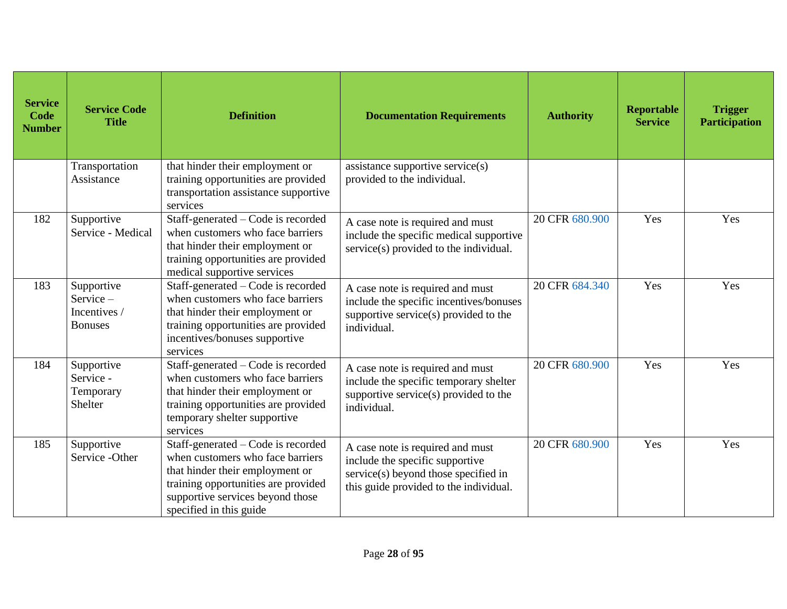| <b>Service</b><br>Code<br><b>Number</b> | <b>Service Code</b><br><b>Title</b>                         | <b>Definition</b>                                                                                                                                                                                               | <b>Documentation Requirements</b>                                                                                                                     | <b>Authority</b> | Reportable<br><b>Service</b> | <b>Trigger</b><br><b>Participation</b> |
|-----------------------------------------|-------------------------------------------------------------|-----------------------------------------------------------------------------------------------------------------------------------------------------------------------------------------------------------------|-------------------------------------------------------------------------------------------------------------------------------------------------------|------------------|------------------------------|----------------------------------------|
|                                         | Transportation<br>Assistance                                | that hinder their employment or<br>training opportunities are provided<br>transportation assistance supportive<br>services                                                                                      | assistance supportive service(s)<br>provided to the individual.                                                                                       |                  |                              |                                        |
| 182                                     | Supportive<br>Service - Medical                             | Staff-generated – Code is recorded<br>when customers who face barriers<br>that hinder their employment or<br>training opportunities are provided<br>medical supportive services                                 | A case note is required and must<br>include the specific medical supportive<br>service(s) provided to the individual.                                 | 20 CFR 680.900   | Yes                          | Yes                                    |
| 183                                     | Supportive<br>Service $-$<br>Incentives /<br><b>Bonuses</b> | Staff-generated – Code is recorded<br>when customers who face barriers<br>that hinder their employment or<br>training opportunities are provided<br>incentives/bonuses supportive<br>services                   | A case note is required and must<br>include the specific incentives/bonuses<br>supportive service(s) provided to the<br>individual.                   | 20 CFR 684.340   | Yes                          | Yes                                    |
| 184                                     | Supportive<br>Service -<br>Temporary<br>Shelter             | Staff-generated - Code is recorded<br>when customers who face barriers<br>that hinder their employment or<br>training opportunities are provided<br>temporary shelter supportive<br>services                    | A case note is required and must<br>include the specific temporary shelter<br>supportive service(s) provided to the<br>individual.                    | 20 CFR 680.900   | Yes                          | Yes                                    |
| 185                                     | Supportive<br>Service - Other                               | Staff-generated – Code is recorded<br>when customers who face barriers<br>that hinder their employment or<br>training opportunities are provided<br>supportive services beyond those<br>specified in this guide | A case note is required and must<br>include the specific supportive<br>service(s) beyond those specified in<br>this guide provided to the individual. | 20 CFR 680.900   | Yes                          | Yes                                    |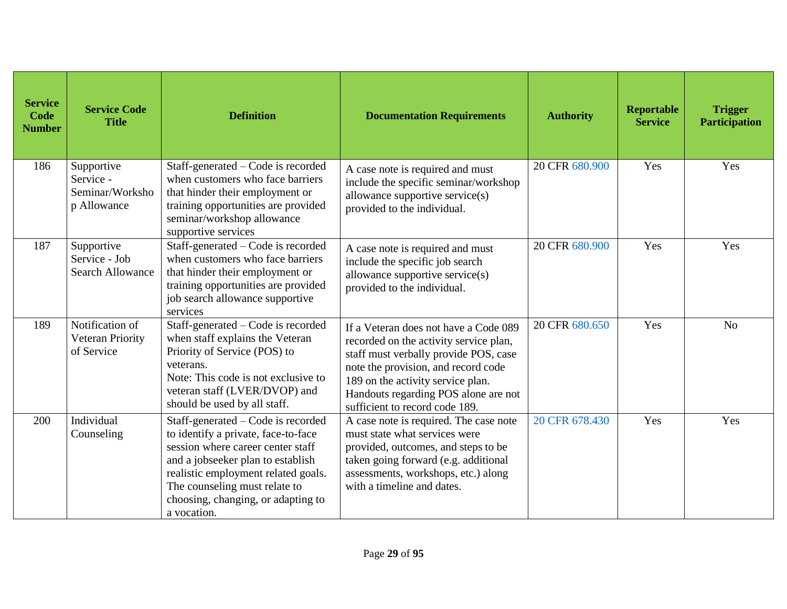| <b>Service</b><br>Code<br><b>Number</b> | <b>Service Code</b><br><b>Title</b>                       | <b>Definition</b>                                                                                                                                                                                                                                                                | <b>Documentation Requirements</b>                                                                                                                                                                                                                                              | <b>Authority</b> | Reportable<br><b>Service</b> | <b>Trigger</b><br><b>Participation</b> |
|-----------------------------------------|-----------------------------------------------------------|----------------------------------------------------------------------------------------------------------------------------------------------------------------------------------------------------------------------------------------------------------------------------------|--------------------------------------------------------------------------------------------------------------------------------------------------------------------------------------------------------------------------------------------------------------------------------|------------------|------------------------------|----------------------------------------|
| 186                                     | Supportive<br>Service -<br>Seminar/Worksho<br>p Allowance | Staff-generated – Code is recorded<br>when customers who face barriers<br>that hinder their employment or<br>training opportunities are provided<br>seminar/workshop allowance<br>supportive services                                                                            | A case note is required and must<br>include the specific seminar/workshop<br>allowance supportive service(s)<br>provided to the individual.                                                                                                                                    | 20 CFR 680.900   | Yes                          | Yes                                    |
| 187                                     | Supportive<br>Service - Job<br><b>Search Allowance</b>    | Staff-generated – Code is recorded<br>when customers who face barriers<br>that hinder their employment or<br>training opportunities are provided<br>job search allowance supportive<br>services                                                                                  | A case note is required and must<br>include the specific job search<br>allowance supportive service(s)<br>provided to the individual.                                                                                                                                          | 20 CFR 680.900   | Yes                          | Yes                                    |
| 189                                     | Notification of<br>Veteran Priority<br>of Service         | Staff-generated – Code is recorded<br>when staff explains the Veteran<br>Priority of Service (POS) to<br>veterans.<br>Note: This code is not exclusive to<br>veteran staff (LVER/DVOP) and<br>should be used by all staff.                                                       | If a Veteran does not have a Code 089<br>recorded on the activity service plan,<br>staff must verbally provide POS, case<br>note the provision, and record code<br>189 on the activity service plan.<br>Handouts regarding POS alone are not<br>sufficient to record code 189. | 20 CFR 680.650   | Yes                          | N <sub>o</sub>                         |
| 200                                     | Individual<br>Counseling                                  | Staff-generated – Code is recorded<br>to identify a private, face-to-face<br>session where career center staff<br>and a jobseeker plan to establish<br>realistic employment related goals.<br>The counseling must relate to<br>choosing, changing, or adapting to<br>a vocation. | A case note is required. The case note<br>must state what services were<br>provided, outcomes, and steps to be<br>taken going forward (e.g. additional<br>assessments, workshops, etc.) along<br>with a timeline and dates.                                                    | 20 CFR 678.430   | Yes                          | Yes                                    |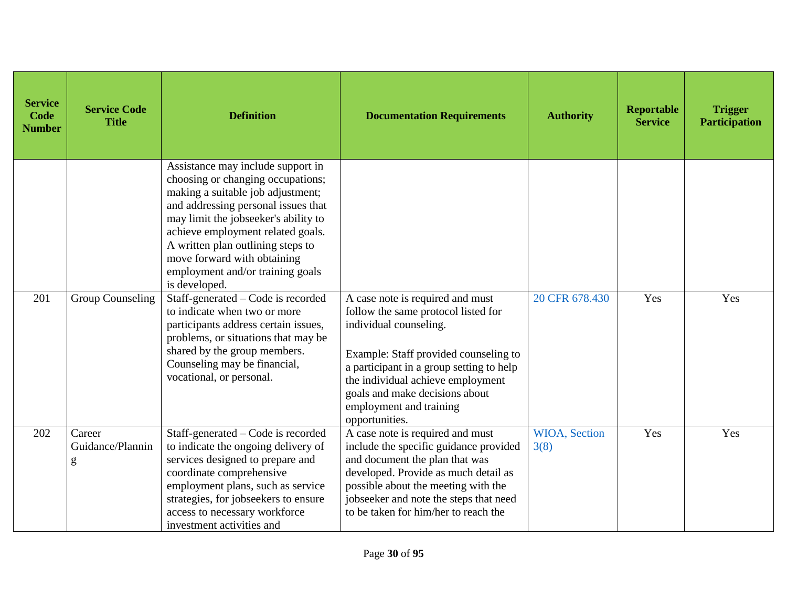| <b>Service</b><br>Code<br><b>Number</b> | <b>Service Code</b><br><b>Title</b>     | <b>Definition</b>                                                                                                                                                                                                                                                                                                                                        | <b>Documentation Requirements</b>                                                                                                                                                                                                                                                                          | <b>Authority</b>      | <b>Reportable</b><br><b>Service</b> | <b>Trigger</b><br><b>Participation</b> |
|-----------------------------------------|-----------------------------------------|----------------------------------------------------------------------------------------------------------------------------------------------------------------------------------------------------------------------------------------------------------------------------------------------------------------------------------------------------------|------------------------------------------------------------------------------------------------------------------------------------------------------------------------------------------------------------------------------------------------------------------------------------------------------------|-----------------------|-------------------------------------|----------------------------------------|
|                                         |                                         | Assistance may include support in<br>choosing or changing occupations;<br>making a suitable job adjustment;<br>and addressing personal issues that<br>may limit the jobseeker's ability to<br>achieve employment related goals.<br>A written plan outlining steps to<br>move forward with obtaining<br>employment and/or training goals<br>is developed. |                                                                                                                                                                                                                                                                                                            |                       |                                     |                                        |
| 201                                     | <b>Group Counseling</b>                 | Staff-generated - Code is recorded<br>to indicate when two or more<br>participants address certain issues,<br>problems, or situations that may be<br>shared by the group members.<br>Counseling may be financial,<br>vocational, or personal.                                                                                                            | A case note is required and must<br>follow the same protocol listed for<br>individual counseling.<br>Example: Staff provided counseling to<br>a participant in a group setting to help<br>the individual achieve employment<br>goals and make decisions about<br>employment and training<br>opportunities. | 20 CFR 678.430        | Yes                                 | Yes                                    |
| 202                                     | Career<br>Guidance/Plannin<br>${\sf g}$ | Staff-generated - Code is recorded<br>to indicate the ongoing delivery of<br>services designed to prepare and<br>coordinate comprehensive<br>employment plans, such as service<br>strategies, for jobseekers to ensure<br>access to necessary workforce<br>investment activities and                                                                     | A case note is required and must<br>include the specific guidance provided<br>and document the plan that was<br>developed. Provide as much detail as<br>possible about the meeting with the<br>jobseeker and note the steps that need<br>to be taken for him/her to reach the                              | WIOA, Section<br>3(8) | Yes                                 | Yes                                    |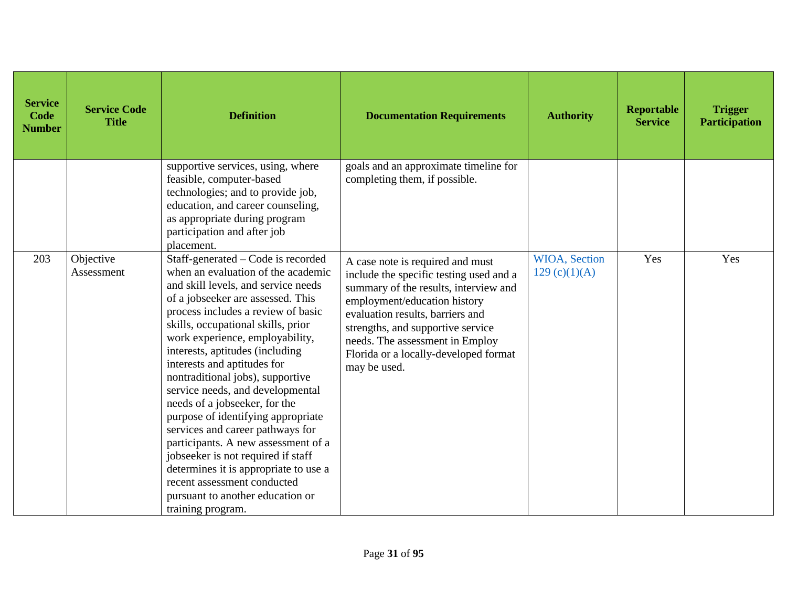| <b>Service</b><br><b>Code</b><br><b>Number</b> | <b>Service Code</b><br><b>Title</b> | <b>Definition</b>                                                                                                                                                                                                                                                                                                                                                                                                                                                                                                                                                                                                                                                                                                                      | <b>Documentation Requirements</b>                                                                                                                                                                                                                                                                                         | <b>Authority</b>                       | Reportable<br><b>Service</b> | <b>Trigger</b><br><b>Participation</b> |
|------------------------------------------------|-------------------------------------|----------------------------------------------------------------------------------------------------------------------------------------------------------------------------------------------------------------------------------------------------------------------------------------------------------------------------------------------------------------------------------------------------------------------------------------------------------------------------------------------------------------------------------------------------------------------------------------------------------------------------------------------------------------------------------------------------------------------------------------|---------------------------------------------------------------------------------------------------------------------------------------------------------------------------------------------------------------------------------------------------------------------------------------------------------------------------|----------------------------------------|------------------------------|----------------------------------------|
|                                                |                                     | supportive services, using, where<br>feasible, computer-based<br>technologies; and to provide job,<br>education, and career counseling,<br>as appropriate during program<br>participation and after job<br>placement.                                                                                                                                                                                                                                                                                                                                                                                                                                                                                                                  | goals and an approximate timeline for<br>completing them, if possible.                                                                                                                                                                                                                                                    |                                        |                              |                                        |
| 203                                            | Objective<br>Assessment             | Staff-generated - Code is recorded<br>when an evaluation of the academic<br>and skill levels, and service needs<br>of a jobseeker are assessed. This<br>process includes a review of basic<br>skills, occupational skills, prior<br>work experience, employability,<br>interests, aptitudes (including<br>interests and aptitudes for<br>nontraditional jobs), supportive<br>service needs, and developmental<br>needs of a jobseeker, for the<br>purpose of identifying appropriate<br>services and career pathways for<br>participants. A new assessment of a<br>jobseeker is not required if staff<br>determines it is appropriate to use a<br>recent assessment conducted<br>pursuant to another education or<br>training program. | A case note is required and must<br>include the specific testing used and a<br>summary of the results, interview and<br>employment/education history<br>evaluation results, barriers and<br>strengths, and supportive service<br>needs. The assessment in Employ<br>Florida or a locally-developed format<br>may be used. | <b>WIOA</b> , Section<br>129 (c)(1)(A) | Yes                          | Yes                                    |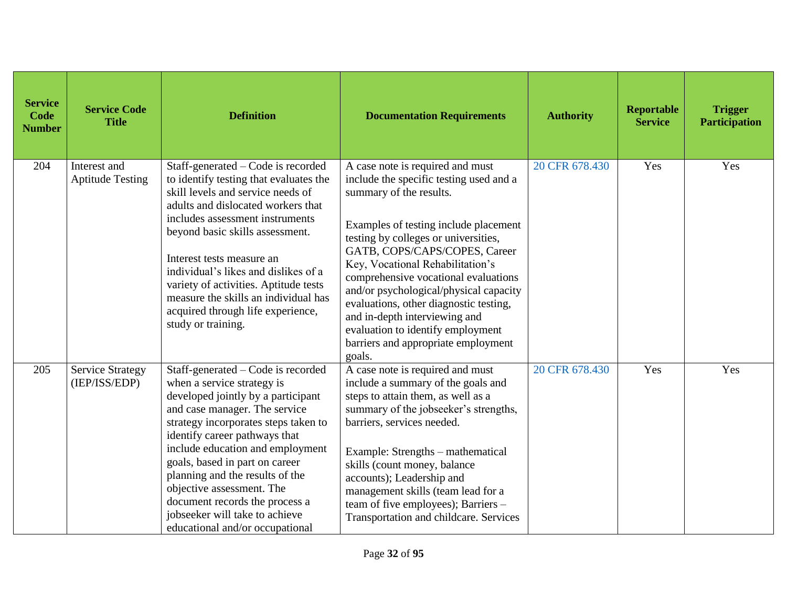| <b>Service</b><br>Code<br><b>Number</b> | <b>Service Code</b><br><b>Title</b>      | <b>Definition</b>                                                                                                                                                                                                                                                                                                                                                                                                                                             | <b>Documentation Requirements</b>                                                                                                                                                                                                                                                                                                                                                                                                                                                                               | <b>Authority</b> | Reportable<br><b>Service</b> | <b>Trigger</b><br><b>Participation</b> |
|-----------------------------------------|------------------------------------------|---------------------------------------------------------------------------------------------------------------------------------------------------------------------------------------------------------------------------------------------------------------------------------------------------------------------------------------------------------------------------------------------------------------------------------------------------------------|-----------------------------------------------------------------------------------------------------------------------------------------------------------------------------------------------------------------------------------------------------------------------------------------------------------------------------------------------------------------------------------------------------------------------------------------------------------------------------------------------------------------|------------------|------------------------------|----------------------------------------|
| 204                                     | Interest and<br><b>Aptitude Testing</b>  | Staff-generated – Code is recorded<br>to identify testing that evaluates the<br>skill levels and service needs of<br>adults and dislocated workers that<br>includes assessment instruments<br>beyond basic skills assessment.<br>Interest tests measure an<br>individual's likes and dislikes of a<br>variety of activities. Aptitude tests<br>measure the skills an individual has<br>acquired through life experience,<br>study or training.                | A case note is required and must<br>include the specific testing used and a<br>summary of the results.<br>Examples of testing include placement<br>testing by colleges or universities,<br>GATB, COPS/CAPS/COPES, Career<br>Key, Vocational Rehabilitation's<br>comprehensive vocational evaluations<br>and/or psychological/physical capacity<br>evaluations, other diagnostic testing,<br>and in-depth interviewing and<br>evaluation to identify employment<br>barriers and appropriate employment<br>goals. | 20 CFR 678.430   | Yes                          | Yes                                    |
| 205                                     | <b>Service Strategy</b><br>(IEP/ISS/EDP) | Staff-generated – Code is recorded<br>when a service strategy is<br>developed jointly by a participant<br>and case manager. The service<br>strategy incorporates steps taken to<br>identify career pathways that<br>include education and employment<br>goals, based in part on career<br>planning and the results of the<br>objective assessment. The<br>document records the process a<br>jobseeker will take to achieve<br>educational and/or occupational | A case note is required and must<br>include a summary of the goals and<br>steps to attain them, as well as a<br>summary of the jobseeker's strengths,<br>barriers, services needed.<br>Example: Strengths - mathematical<br>skills (count money, balance<br>accounts); Leadership and<br>management skills (team lead for a<br>team of five employees); Barriers -<br>Transportation and childcare. Services                                                                                                    | 20 CFR 678.430   | Yes                          | Yes                                    |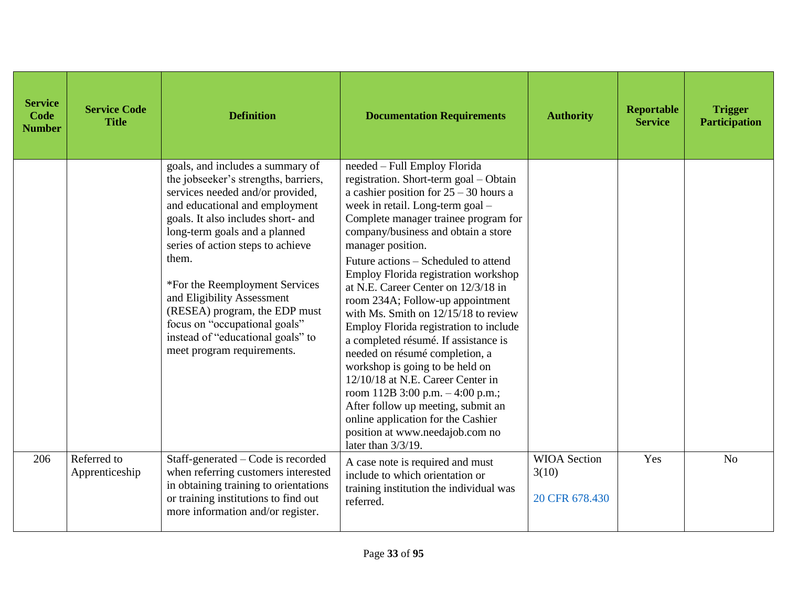| <b>Service</b><br>Code<br><b>Number</b> | <b>Service Code</b><br><b>Title</b> | <b>Definition</b>                                                                                                                                                                                                                                                                                                                                                                                                                                                        | <b>Documentation Requirements</b>                                                                                                                                                                                                                                                                                                                                                                                                                                                                                                                                                                                                                                                                                                                                                                                                        | <b>Authority</b>                               | Reportable<br><b>Service</b> | <b>Trigger</b><br><b>Participation</b> |
|-----------------------------------------|-------------------------------------|--------------------------------------------------------------------------------------------------------------------------------------------------------------------------------------------------------------------------------------------------------------------------------------------------------------------------------------------------------------------------------------------------------------------------------------------------------------------------|------------------------------------------------------------------------------------------------------------------------------------------------------------------------------------------------------------------------------------------------------------------------------------------------------------------------------------------------------------------------------------------------------------------------------------------------------------------------------------------------------------------------------------------------------------------------------------------------------------------------------------------------------------------------------------------------------------------------------------------------------------------------------------------------------------------------------------------|------------------------------------------------|------------------------------|----------------------------------------|
|                                         |                                     | goals, and includes a summary of<br>the jobseeker's strengths, barriers,<br>services needed and/or provided,<br>and educational and employment<br>goals. It also includes short- and<br>long-term goals and a planned<br>series of action steps to achieve<br>them.<br>*For the Reemployment Services<br>and Eligibility Assessment<br>(RESEA) program, the EDP must<br>focus on "occupational goals"<br>instead of "educational goals" to<br>meet program requirements. | needed - Full Employ Florida<br>registration. Short-term goal - Obtain<br>a cashier position for $25 - 30$ hours a<br>week in retail. Long-term goal -<br>Complete manager trainee program for<br>company/business and obtain a store<br>manager position.<br>Future actions – Scheduled to attend<br>Employ Florida registration workshop<br>at N.E. Career Center on 12/3/18 in<br>room 234A; Follow-up appointment<br>with Ms. Smith on $12/15/18$ to review<br>Employ Florida registration to include<br>a completed résumé. If assistance is<br>needed on résumé completion, a<br>workshop is going to be held on<br>12/10/18 at N.E. Career Center in<br>room 112B 3:00 p.m. $-4:00$ p.m.;<br>After follow up meeting, submit an<br>online application for the Cashier<br>position at www.needajob.com no<br>later than $3/3/19$ . |                                                |                              |                                        |
| 206                                     | Referred to<br>Apprenticeship       | Staff-generated – Code is recorded<br>when referring customers interested<br>in obtaining training to orientations<br>or training institutions to find out<br>more information and/or register.                                                                                                                                                                                                                                                                          | A case note is required and must<br>include to which orientation or<br>training institution the individual was<br>referred.                                                                                                                                                                                                                                                                                                                                                                                                                                                                                                                                                                                                                                                                                                              | <b>WIOA</b> Section<br>3(10)<br>20 CFR 678.430 | Yes                          | N <sub>o</sub>                         |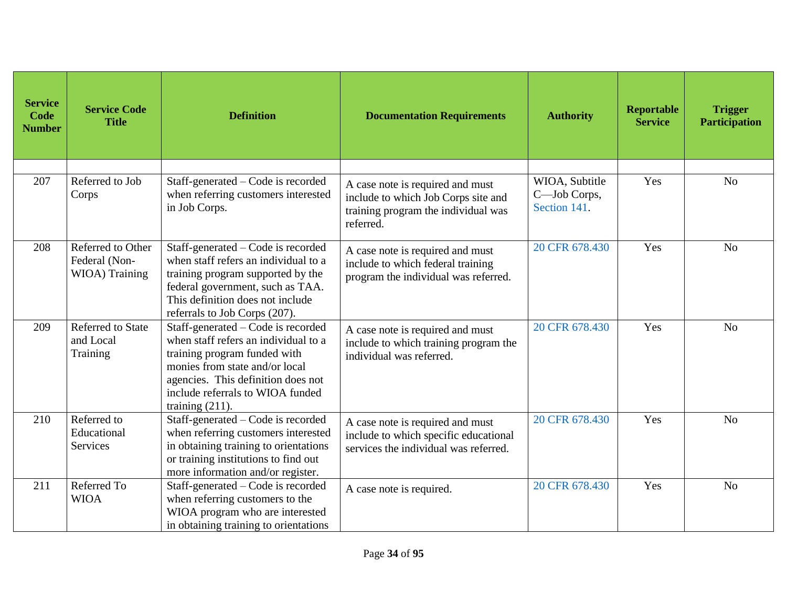| <b>Service</b><br><b>Code</b><br><b>Number</b> | <b>Service Code</b><br><b>Title</b>                  | <b>Definition</b>                                                                                                                                                                                                                            | <b>Documentation Requirements</b>                                                                                           | <b>Authority</b>                               | Reportable<br><b>Service</b> | <b>Trigger</b><br><b>Participation</b> |
|------------------------------------------------|------------------------------------------------------|----------------------------------------------------------------------------------------------------------------------------------------------------------------------------------------------------------------------------------------------|-----------------------------------------------------------------------------------------------------------------------------|------------------------------------------------|------------------------------|----------------------------------------|
|                                                |                                                      |                                                                                                                                                                                                                                              |                                                                                                                             |                                                |                              |                                        |
| 207                                            | Referred to Job<br>Corps                             | Staff-generated – Code is recorded<br>when referring customers interested<br>in Job Corps.                                                                                                                                                   | A case note is required and must<br>include to which Job Corps site and<br>training program the individual was<br>referred. | WIOA, Subtitle<br>C-Job Corps,<br>Section 141. | Yes                          | N <sub>o</sub>                         |
| 208                                            | Referred to Other<br>Federal (Non-<br>WIOA) Training | Staff-generated – Code is recorded<br>when staff refers an individual to a<br>training program supported by the<br>federal government, such as TAA.<br>This definition does not include<br>referrals to Job Corps (207).                     | A case note is required and must<br>include to which federal training<br>program the individual was referred.               | 20 CFR 678.430                                 | Yes                          | N <sub>o</sub>                         |
| 209                                            | Referred to State<br>and Local<br>Training           | Staff-generated – Code is recorded<br>when staff refers an individual to a<br>training program funded with<br>monies from state and/or local<br>agencies. This definition does not<br>include referrals to WIOA funded<br>training $(211)$ . | A case note is required and must<br>include to which training program the<br>individual was referred.                       | 20 CFR 678.430                                 | Yes                          | N <sub>o</sub>                         |
| 210                                            | Referred to<br>Educational<br>Services               | Staff-generated – Code is recorded<br>when referring customers interested<br>in obtaining training to orientations<br>or training institutions to find out<br>more information and/or register.                                              | A case note is required and must<br>include to which specific educational<br>services the individual was referred.          | 20 CFR 678.430                                 | Yes                          | N <sub>o</sub>                         |
| 211                                            | Referred To<br><b>WIOA</b>                           | Staff-generated – Code is recorded<br>when referring customers to the<br>WIOA program who are interested<br>in obtaining training to orientations                                                                                            | A case note is required.                                                                                                    | 20 CFR 678.430                                 | Yes                          | N <sub>o</sub>                         |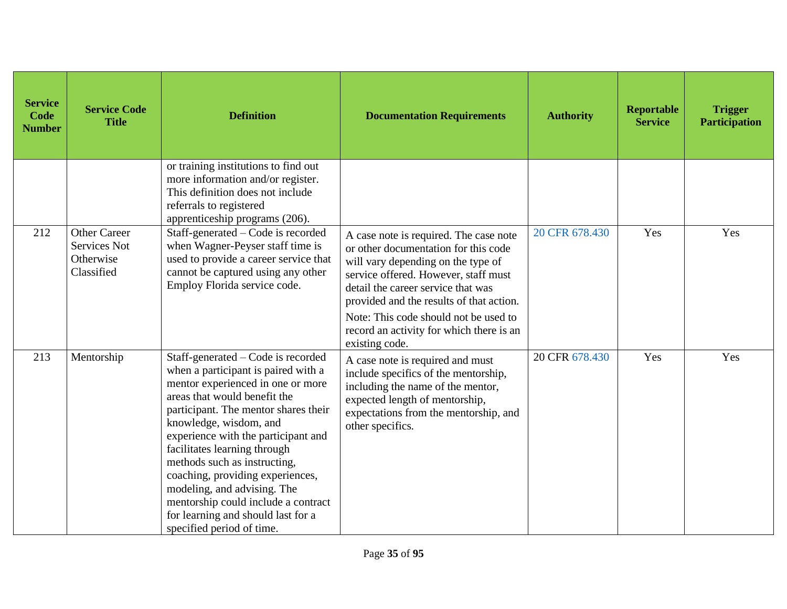| <b>Service</b><br>Code<br><b>Number</b> | <b>Service Code</b><br><b>Title</b>                                   | <b>Definition</b>                                                                                                                                                                                                                                                                                                                                                                                                                                                                                    | <b>Documentation Requirements</b>                                                                                                                                                                                                                                                                                                                     | <b>Authority</b> | Reportable<br><b>Service</b> | <b>Trigger</b><br><b>Participation</b> |
|-----------------------------------------|-----------------------------------------------------------------------|------------------------------------------------------------------------------------------------------------------------------------------------------------------------------------------------------------------------------------------------------------------------------------------------------------------------------------------------------------------------------------------------------------------------------------------------------------------------------------------------------|-------------------------------------------------------------------------------------------------------------------------------------------------------------------------------------------------------------------------------------------------------------------------------------------------------------------------------------------------------|------------------|------------------------------|----------------------------------------|
|                                         |                                                                       | or training institutions to find out<br>more information and/or register.<br>This definition does not include<br>referrals to registered<br>apprenticeship programs (206).                                                                                                                                                                                                                                                                                                                           |                                                                                                                                                                                                                                                                                                                                                       |                  |                              |                                        |
| 212                                     | <b>Other Career</b><br><b>Services Not</b><br>Otherwise<br>Classified | Staff-generated – Code is recorded<br>when Wagner-Peyser staff time is<br>used to provide a career service that<br>cannot be captured using any other<br>Employ Florida service code.                                                                                                                                                                                                                                                                                                                | A case note is required. The case note<br>or other documentation for this code<br>will vary depending on the type of<br>service offered. However, staff must<br>detail the career service that was<br>provided and the results of that action.<br>Note: This code should not be used to<br>record an activity for which there is an<br>existing code. | 20 CFR 678.430   | Yes                          | Yes                                    |
| 213                                     | Mentorship                                                            | Staff-generated – Code is recorded<br>when a participant is paired with a<br>mentor experienced in one or more<br>areas that would benefit the<br>participant. The mentor shares their<br>knowledge, wisdom, and<br>experience with the participant and<br>facilitates learning through<br>methods such as instructing,<br>coaching, providing experiences,<br>modeling, and advising. The<br>mentorship could include a contract<br>for learning and should last for a<br>specified period of time. | A case note is required and must<br>include specifics of the mentorship,<br>including the name of the mentor,<br>expected length of mentorship,<br>expectations from the mentorship, and<br>other specifics.                                                                                                                                          | 20 CFR 678.430   | Yes                          | Yes                                    |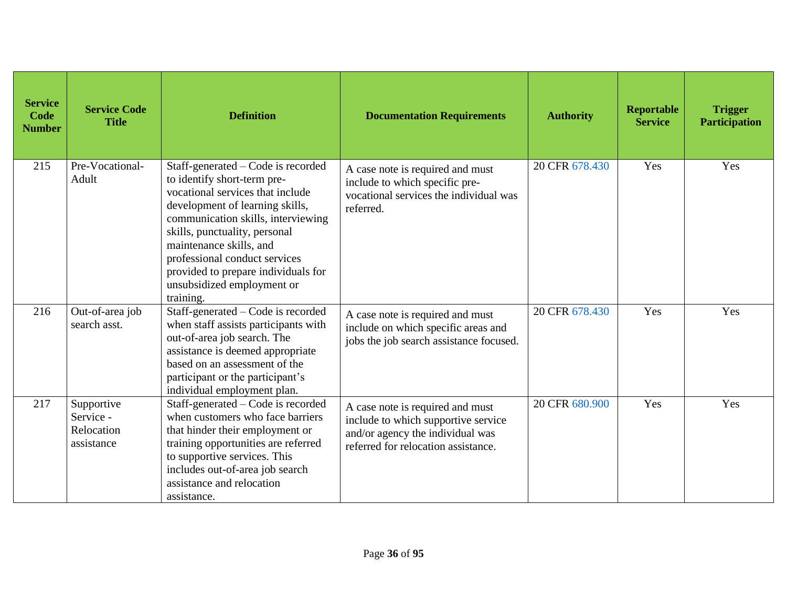| <b>Service</b><br>Code<br><b>Number</b> | <b>Service Code</b><br><b>Title</b>                 | <b>Definition</b>                                                                                                                                                                                                                                                                                                                                             | <b>Documentation Requirements</b>                                                                                                                  | <b>Authority</b> | Reportable<br><b>Service</b> | <b>Trigger</b><br><b>Participation</b> |
|-----------------------------------------|-----------------------------------------------------|---------------------------------------------------------------------------------------------------------------------------------------------------------------------------------------------------------------------------------------------------------------------------------------------------------------------------------------------------------------|----------------------------------------------------------------------------------------------------------------------------------------------------|------------------|------------------------------|----------------------------------------|
| 215                                     | Pre-Vocational-<br>Adult                            | Staff-generated – Code is recorded<br>to identify short-term pre-<br>vocational services that include<br>development of learning skills,<br>communication skills, interviewing<br>skills, punctuality, personal<br>maintenance skills, and<br>professional conduct services<br>provided to prepare individuals for<br>unsubsidized employment or<br>training. | A case note is required and must<br>include to which specific pre-<br>vocational services the individual was<br>referred.                          | 20 CFR 678.430   | Yes                          | Yes                                    |
| 216                                     | Out-of-area job<br>search asst.                     | Staff-generated - Code is recorded<br>when staff assists participants with<br>out-of-area job search. The<br>assistance is deemed appropriate<br>based on an assessment of the<br>participant or the participant's<br>individual employment plan.                                                                                                             | A case note is required and must<br>include on which specific areas and<br>jobs the job search assistance focused.                                 | 20 CFR 678.430   | Yes                          | Yes                                    |
| 217                                     | Supportive<br>Service -<br>Relocation<br>assistance | Staff-generated - Code is recorded<br>when customers who face barriers<br>that hinder their employment or<br>training opportunities are referred<br>to supportive services. This<br>includes out-of-area job search<br>assistance and relocation<br>assistance.                                                                                               | A case note is required and must<br>include to which supportive service<br>and/or agency the individual was<br>referred for relocation assistance. | 20 CFR 680.900   | Yes                          | Yes                                    |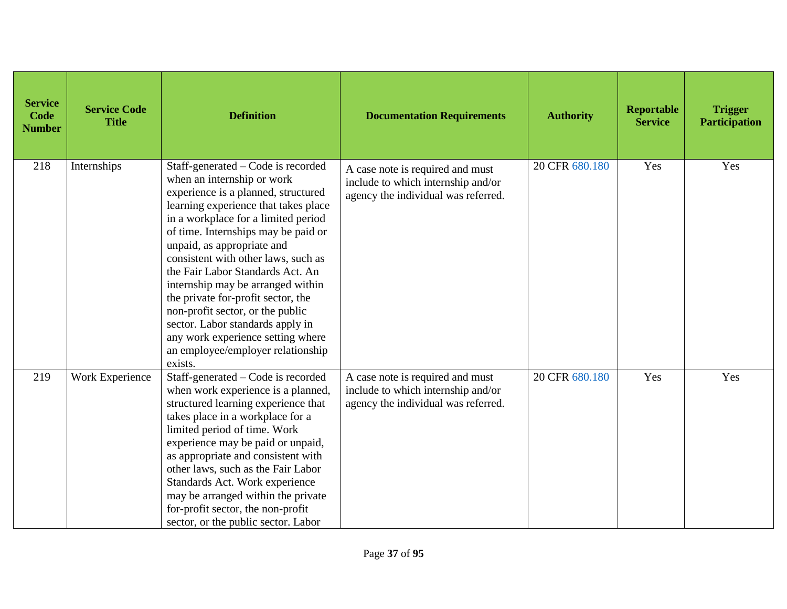| <b>Service</b><br>Code<br><b>Number</b> | <b>Service Code</b><br><b>Title</b> | <b>Definition</b>                                                                                                                                                                                                                                                                                                                                                                                                                                                                                                                                                              | <b>Documentation Requirements</b>                                                                             | <b>Authority</b> | <b>Reportable</b><br><b>Service</b> | <b>Trigger</b><br><b>Participation</b> |
|-----------------------------------------|-------------------------------------|--------------------------------------------------------------------------------------------------------------------------------------------------------------------------------------------------------------------------------------------------------------------------------------------------------------------------------------------------------------------------------------------------------------------------------------------------------------------------------------------------------------------------------------------------------------------------------|---------------------------------------------------------------------------------------------------------------|------------------|-------------------------------------|----------------------------------------|
| 218                                     | Internships                         | Staff-generated – Code is recorded<br>when an internship or work<br>experience is a planned, structured<br>learning experience that takes place<br>in a workplace for a limited period<br>of time. Internships may be paid or<br>unpaid, as appropriate and<br>consistent with other laws, such as<br>the Fair Labor Standards Act. An<br>internship may be arranged within<br>the private for-profit sector, the<br>non-profit sector, or the public<br>sector. Labor standards apply in<br>any work experience setting where<br>an employee/employer relationship<br>exists. | A case note is required and must<br>include to which internship and/or<br>agency the individual was referred. | 20 CFR 680.180   | Yes                                 | Yes                                    |
| 219                                     | Work Experience                     | Staff-generated – Code is recorded<br>when work experience is a planned,<br>structured learning experience that<br>takes place in a workplace for a<br>limited period of time. Work<br>experience may be paid or unpaid,<br>as appropriate and consistent with<br>other laws, such as the Fair Labor<br>Standards Act. Work experience<br>may be arranged within the private<br>for-profit sector, the non-profit<br>sector, or the public sector. Labor                                                                                                                       | A case note is required and must<br>include to which internship and/or<br>agency the individual was referred. | 20 CFR 680.180   | Yes                                 | Yes                                    |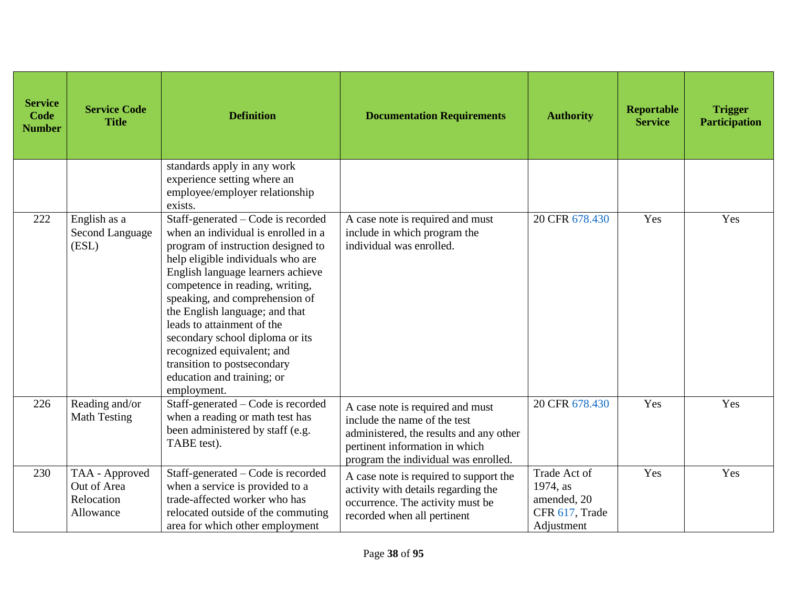| <b>Service</b><br>Code<br><b>Number</b> | <b>Service Code</b><br><b>Title</b>                      | <b>Definition</b>                                                                                                                                                                                                                                                                                                                                                                                                                                                           | <b>Documentation Requirements</b>                                                                                                                                                     | <b>Authority</b>                                                        | <b>Reportable</b><br><b>Service</b> | <b>Trigger</b><br><b>Participation</b> |
|-----------------------------------------|----------------------------------------------------------|-----------------------------------------------------------------------------------------------------------------------------------------------------------------------------------------------------------------------------------------------------------------------------------------------------------------------------------------------------------------------------------------------------------------------------------------------------------------------------|---------------------------------------------------------------------------------------------------------------------------------------------------------------------------------------|-------------------------------------------------------------------------|-------------------------------------|----------------------------------------|
|                                         |                                                          | standards apply in any work<br>experience setting where an<br>employee/employer relationship<br>exists.                                                                                                                                                                                                                                                                                                                                                                     |                                                                                                                                                                                       |                                                                         |                                     |                                        |
| 222                                     | English as a<br>Second Language<br>(ESL)                 | Staff-generated - Code is recorded<br>when an individual is enrolled in a<br>program of instruction designed to<br>help eligible individuals who are<br>English language learners achieve<br>competence in reading, writing,<br>speaking, and comprehension of<br>the English language; and that<br>leads to attainment of the<br>secondary school diploma or its<br>recognized equivalent; and<br>transition to postsecondary<br>education and training; or<br>employment. | A case note is required and must<br>include in which program the<br>individual was enrolled.                                                                                          | 20 CFR 678.430                                                          | Yes                                 | Yes                                    |
| 226                                     | Reading and/or<br>Math Testing                           | Staff-generated – Code is recorded<br>when a reading or math test has<br>been administered by staff (e.g.<br>TABE test).                                                                                                                                                                                                                                                                                                                                                    | A case note is required and must<br>include the name of the test<br>administered, the results and any other<br>pertinent information in which<br>program the individual was enrolled. | 20 CFR 678.430                                                          | Yes                                 | Yes                                    |
| 230                                     | TAA - Approved<br>Out of Area<br>Relocation<br>Allowance | Staff-generated – Code is recorded<br>when a service is provided to a<br>trade-affected worker who has<br>relocated outside of the commuting<br>area for which other employment                                                                                                                                                                                                                                                                                             | A case note is required to support the<br>activity with details regarding the<br>occurrence. The activity must be<br>recorded when all pertinent                                      | Trade Act of<br>1974, as<br>amended, 20<br>CFR 617, Trade<br>Adjustment | Yes                                 | Yes                                    |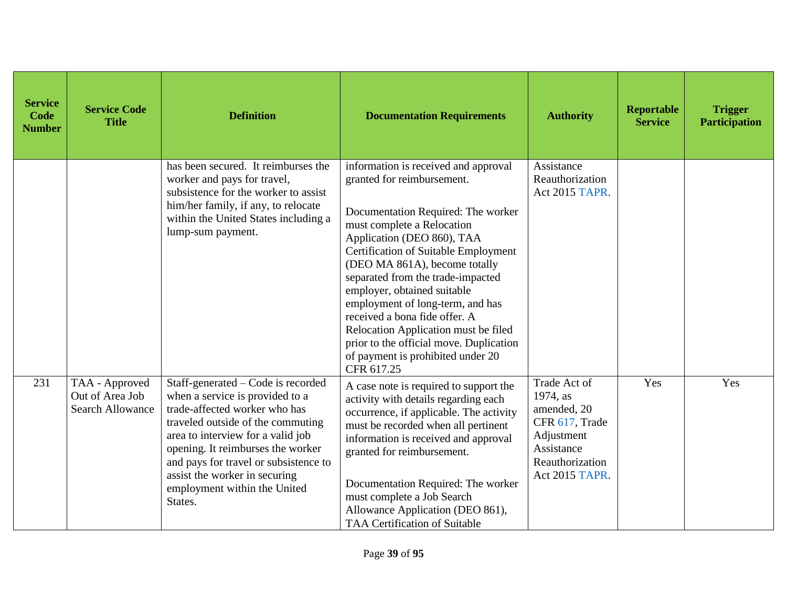| <b>Service</b><br>Code<br><b>Number</b> | <b>Service Code</b><br><b>Title</b>                          | <b>Definition</b>                                                                                                                                                                                                                                                                                                                          | <b>Documentation Requirements</b>                                                                                                                                                                                                                                                                                                                                                                                                                                                                                            | <b>Authority</b>                                                                                                           | <b>Reportable</b><br><b>Service</b> | <b>Trigger</b><br><b>Participation</b> |
|-----------------------------------------|--------------------------------------------------------------|--------------------------------------------------------------------------------------------------------------------------------------------------------------------------------------------------------------------------------------------------------------------------------------------------------------------------------------------|------------------------------------------------------------------------------------------------------------------------------------------------------------------------------------------------------------------------------------------------------------------------------------------------------------------------------------------------------------------------------------------------------------------------------------------------------------------------------------------------------------------------------|----------------------------------------------------------------------------------------------------------------------------|-------------------------------------|----------------------------------------|
|                                         |                                                              | has been secured. It reimburses the<br>worker and pays for travel,<br>subsistence for the worker to assist<br>him/her family, if any, to relocate<br>within the United States including a<br>lump-sum payment.                                                                                                                             | information is received and approval<br>granted for reimbursement.<br>Documentation Required: The worker<br>must complete a Relocation<br>Application (DEO 860), TAA<br>Certification of Suitable Employment<br>(DEO MA 861A), become totally<br>separated from the trade-impacted<br>employer, obtained suitable<br>employment of long-term, and has<br>received a bona fide offer. A<br>Relocation Application must be filed<br>prior to the official move. Duplication<br>of payment is prohibited under 20<br>CFR 617.25 | Assistance<br>Reauthorization<br>Act 2015 TAPR.                                                                            |                                     |                                        |
| 231                                     | TAA - Approved<br>Out of Area Job<br><b>Search Allowance</b> | Staff-generated - Code is recorded<br>when a service is provided to a<br>trade-affected worker who has<br>traveled outside of the commuting<br>area to interview for a valid job<br>opening. It reimburses the worker<br>and pays for travel or subsistence to<br>assist the worker in securing<br>employment within the United<br>States. | A case note is required to support the<br>activity with details regarding each<br>occurrence, if applicable. The activity<br>must be recorded when all pertinent<br>information is received and approval<br>granted for reimbursement.<br>Documentation Required: The worker<br>must complete a Job Search<br>Allowance Application (DEO 861),<br>TAA Certification of Suitable                                                                                                                                              | Trade Act of<br>1974, as<br>amended, 20<br>CFR 617, Trade<br>Adjustment<br>Assistance<br>Reauthorization<br>Act 2015 TAPR. | Yes                                 | Yes                                    |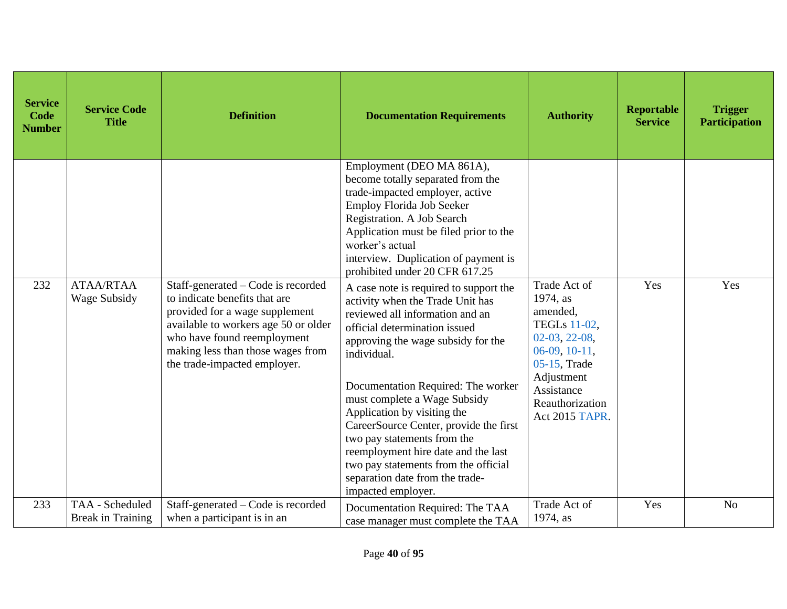| <b>Service</b><br>Code<br><b>Number</b> | <b>Service Code</b><br><b>Title</b>         | <b>Definition</b>                                                                                                                                                                                                                                 | <b>Documentation Requirements</b>                                                                                                                                                                                                                                                                                                                                                                                                                                                                                         | <b>Authority</b>                                                                                                                                                          | <b>Reportable</b><br><b>Service</b> | <b>Trigger</b><br><b>Participation</b> |
|-----------------------------------------|---------------------------------------------|---------------------------------------------------------------------------------------------------------------------------------------------------------------------------------------------------------------------------------------------------|---------------------------------------------------------------------------------------------------------------------------------------------------------------------------------------------------------------------------------------------------------------------------------------------------------------------------------------------------------------------------------------------------------------------------------------------------------------------------------------------------------------------------|---------------------------------------------------------------------------------------------------------------------------------------------------------------------------|-------------------------------------|----------------------------------------|
|                                         |                                             |                                                                                                                                                                                                                                                   | Employment (DEO MA 861A),<br>become totally separated from the<br>trade-impacted employer, active<br><b>Employ Florida Job Seeker</b><br>Registration. A Job Search<br>Application must be filed prior to the<br>worker's actual<br>interview. Duplication of payment is<br>prohibited under 20 CFR 617.25                                                                                                                                                                                                                |                                                                                                                                                                           |                                     |                                        |
| 232                                     | <b>ATAA/RTAA</b><br>Wage Subsidy            | Staff-generated – Code is recorded<br>to indicate benefits that are<br>provided for a wage supplement<br>available to workers age 50 or older<br>who have found reemployment<br>making less than those wages from<br>the trade-impacted employer. | A case note is required to support the<br>activity when the Trade Unit has<br>reviewed all information and an<br>official determination issued<br>approving the wage subsidy for the<br>individual.<br>Documentation Required: The worker<br>must complete a Wage Subsidy<br>Application by visiting the<br>CareerSource Center, provide the first<br>two pay statements from the<br>reemployment hire date and the last<br>two pay statements from the official<br>separation date from the trade-<br>impacted employer. | Trade Act of<br>1974, as<br>amended,<br>TEGLs 11-02,<br>02-03, 22-08,<br>$06-09, 10-11,$<br>05-15, Trade<br>Adjustment<br>Assistance<br>Reauthorization<br>Act 2015 TAPR. | Yes                                 | Yes                                    |
| 233                                     | TAA - Scheduled<br><b>Break in Training</b> | Staff-generated – Code is recorded<br>when a participant is in an                                                                                                                                                                                 | Documentation Required: The TAA<br>case manager must complete the TAA                                                                                                                                                                                                                                                                                                                                                                                                                                                     | Trade Act of<br>1974, as                                                                                                                                                  | Yes                                 | N <sub>o</sub>                         |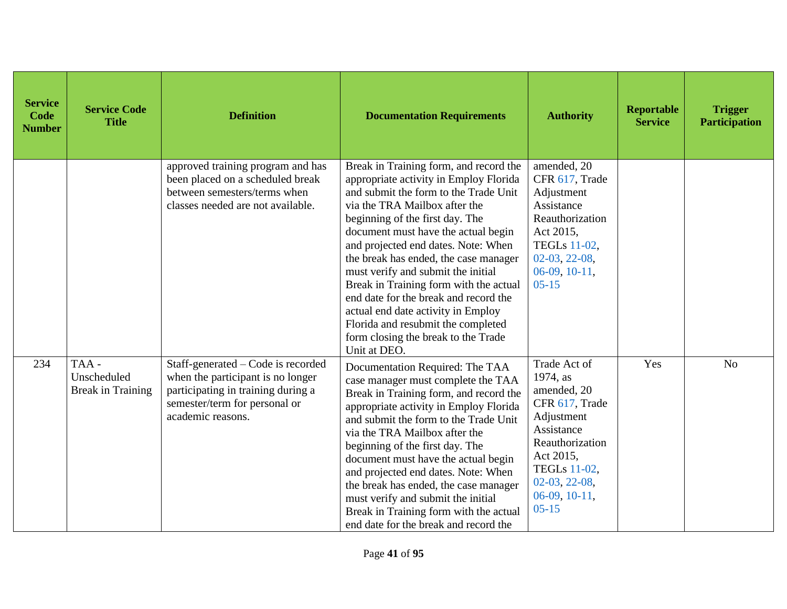| <b>Service</b><br>Code<br><b>Number</b> | <b>Service Code</b><br><b>Title</b>             | <b>Definition</b>                                                                                                                                                   | <b>Documentation Requirements</b>                                                                                                                                                                                                                                                                                                                                                                                                                                                                                                                                                | <b>Authority</b>                                                                                                                                                                         | <b>Reportable</b><br><b>Service</b> | <b>Trigger</b><br><b>Participation</b> |
|-----------------------------------------|-------------------------------------------------|---------------------------------------------------------------------------------------------------------------------------------------------------------------------|----------------------------------------------------------------------------------------------------------------------------------------------------------------------------------------------------------------------------------------------------------------------------------------------------------------------------------------------------------------------------------------------------------------------------------------------------------------------------------------------------------------------------------------------------------------------------------|------------------------------------------------------------------------------------------------------------------------------------------------------------------------------------------|-------------------------------------|----------------------------------------|
|                                         |                                                 | approved training program and has<br>been placed on a scheduled break<br>between semesters/terms when<br>classes needed are not available.                          | Break in Training form, and record the<br>appropriate activity in Employ Florida<br>and submit the form to the Trade Unit<br>via the TRA Mailbox after the<br>beginning of the first day. The<br>document must have the actual begin<br>and projected end dates. Note: When<br>the break has ended, the case manager<br>must verify and submit the initial<br>Break in Training form with the actual<br>end date for the break and record the<br>actual end date activity in Employ<br>Florida and resubmit the completed<br>form closing the break to the Trade<br>Unit at DEO. | amended, 20<br>CFR 617, Trade<br>Adjustment<br>Assistance<br>Reauthorization<br>Act 2015,<br>TEGLs 11-02,<br>$02-03, 22-08,$<br>$06-09, 10-11,$<br>$05 - 15$                             |                                     |                                        |
| 234                                     | TAA-<br>Unscheduled<br><b>Break in Training</b> | Staff-generated – Code is recorded<br>when the participant is no longer<br>participating in training during a<br>semester/term for personal or<br>academic reasons. | Documentation Required: The TAA<br>case manager must complete the TAA<br>Break in Training form, and record the<br>appropriate activity in Employ Florida<br>and submit the form to the Trade Unit<br>via the TRA Mailbox after the<br>beginning of the first day. The<br>document must have the actual begin<br>and projected end dates. Note: When<br>the break has ended, the case manager<br>must verify and submit the initial<br>Break in Training form with the actual<br>end date for the break and record the                                                           | Trade Act of<br>1974, as<br>amended, 20<br>CFR 617, Trade<br>Adjustment<br>Assistance<br>Reauthorization<br>Act 2015,<br>TEGLs 11-02,<br>$02-03, 22-08,$<br>$06-09, 10-11,$<br>$05 - 15$ | Yes                                 | N <sub>o</sub>                         |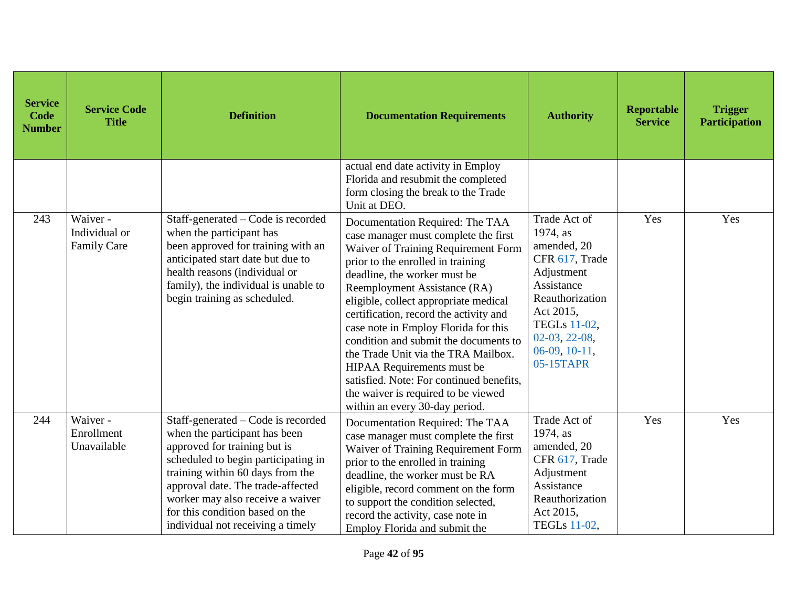| <b>Service</b><br>Code<br><b>Number</b> | <b>Service Code</b><br><b>Title</b>      | <b>Definition</b>                                                                                                                                                                                                                                                                                                               | <b>Documentation Requirements</b>                                                                                                                                                                                                                                                                                                                                                                                                                                                                                                                                                 | <b>Authority</b>                                                                                                                                                                                | <b>Reportable</b><br><b>Service</b> | <b>Trigger</b><br><b>Participation</b> |
|-----------------------------------------|------------------------------------------|---------------------------------------------------------------------------------------------------------------------------------------------------------------------------------------------------------------------------------------------------------------------------------------------------------------------------------|-----------------------------------------------------------------------------------------------------------------------------------------------------------------------------------------------------------------------------------------------------------------------------------------------------------------------------------------------------------------------------------------------------------------------------------------------------------------------------------------------------------------------------------------------------------------------------------|-------------------------------------------------------------------------------------------------------------------------------------------------------------------------------------------------|-------------------------------------|----------------------------------------|
|                                         |                                          |                                                                                                                                                                                                                                                                                                                                 | actual end date activity in Employ<br>Florida and resubmit the completed<br>form closing the break to the Trade<br>Unit at DEO.                                                                                                                                                                                                                                                                                                                                                                                                                                                   |                                                                                                                                                                                                 |                                     |                                        |
| 243                                     | Waiver -<br>Individual or<br>Family Care | Staff-generated – Code is recorded<br>when the participant has<br>been approved for training with an<br>anticipated start date but due to<br>health reasons (individual or<br>family), the individual is unable to<br>begin training as scheduled.                                                                              | Documentation Required: The TAA<br>case manager must complete the first<br>Waiver of Training Requirement Form<br>prior to the enrolled in training<br>deadline, the worker must be<br>Reemployment Assistance (RA)<br>eligible, collect appropriate medical<br>certification, record the activity and<br>case note in Employ Florida for this<br>condition and submit the documents to<br>the Trade Unit via the TRA Mailbox.<br>HIPAA Requirements must be<br>satisfied. Note: For continued benefits,<br>the waiver is required to be viewed<br>within an every 30-day period. | Trade Act of<br>1974, as<br>amended, 20<br>CFR 617, Trade<br>Adjustment<br>Assistance<br>Reauthorization<br>Act 2015,<br><b>TEGLs</b> 11-02,<br>$02-03, 22-08,$<br>$06-09, 10-11,$<br>05-15TAPR | Yes                                 | Yes                                    |
| 244                                     | Waiver -<br>Enrollment<br>Unavailable    | Staff-generated – Code is recorded<br>when the participant has been<br>approved for training but is<br>scheduled to begin participating in<br>training within 60 days from the<br>approval date. The trade-affected<br>worker may also receive a waiver<br>for this condition based on the<br>individual not receiving a timely | Documentation Required: The TAA<br>case manager must complete the first<br>Waiver of Training Requirement Form<br>prior to the enrolled in training<br>deadline, the worker must be RA<br>eligible, record comment on the form<br>to support the condition selected,<br>record the activity, case note in<br>Employ Florida and submit the                                                                                                                                                                                                                                        | Trade Act of<br>1974, as<br>amended, 20<br>CFR 617, Trade<br>Adjustment<br>Assistance<br>Reauthorization<br>Act 2015,<br><b>TEGLs</b> 11-02,                                                    | Yes                                 | Yes                                    |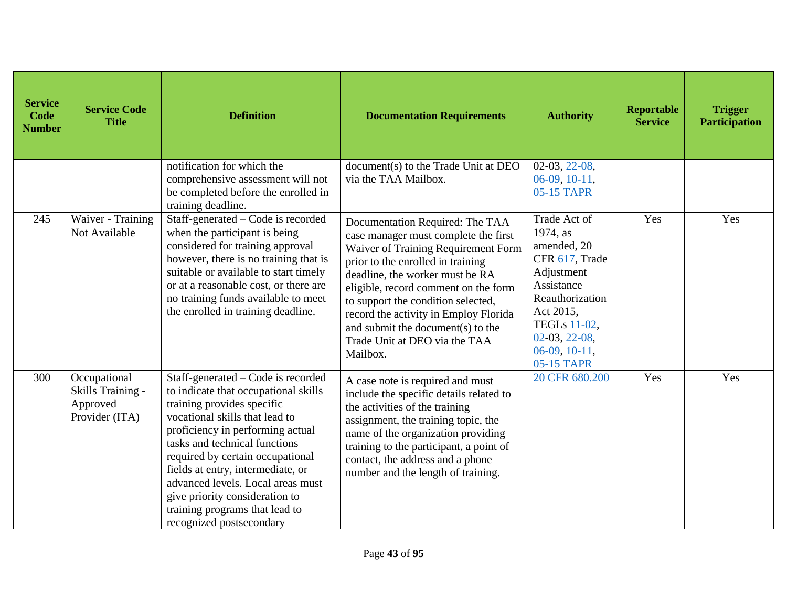| <b>Service</b><br><b>Code</b><br><b>Number</b> | <b>Service Code</b><br><b>Title</b>                             | <b>Definition</b>                                                                                                                                                                                                                                                                                                                                                                                                             | <b>Documentation Requirements</b>                                                                                                                                                                                                                                                                               | <b>Authority</b>                                                                                                                                      | <b>Reportable</b><br><b>Service</b> | <b>Trigger</b><br><b>Participation</b> |
|------------------------------------------------|-----------------------------------------------------------------|-------------------------------------------------------------------------------------------------------------------------------------------------------------------------------------------------------------------------------------------------------------------------------------------------------------------------------------------------------------------------------------------------------------------------------|-----------------------------------------------------------------------------------------------------------------------------------------------------------------------------------------------------------------------------------------------------------------------------------------------------------------|-------------------------------------------------------------------------------------------------------------------------------------------------------|-------------------------------------|----------------------------------------|
| 245                                            | Waiver - Training<br>Not Available                              | notification for which the<br>comprehensive assessment will not<br>be completed before the enrolled in<br>training deadline.<br>Staff-generated – Code is recorded<br>when the participant is being<br>considered for training approval                                                                                                                                                                                       | document(s) to the Trade Unit at DEO<br>via the TAA Mailbox.<br>Documentation Required: The TAA<br>case manager must complete the first<br>Waiver of Training Requirement Form                                                                                                                                  | $02-03, 22-08,$<br>$06-09, 10-11,$<br>05-15 TAPR<br>Trade Act of<br>1974, as<br>amended, 20                                                           | Yes                                 | Yes                                    |
|                                                |                                                                 | however, there is no training that is<br>suitable or available to start timely<br>or at a reasonable cost, or there are<br>no training funds available to meet<br>the enrolled in training deadline.                                                                                                                                                                                                                          | prior to the enrolled in training<br>deadline, the worker must be RA<br>eligible, record comment on the form<br>to support the condition selected,<br>record the activity in Employ Florida<br>and submit the document(s) to the<br>Trade Unit at DEO via the TAA<br>Mailbox.                                   | CFR 617, Trade<br>Adjustment<br>Assistance<br>Reauthorization<br>Act 2015,<br><b>TEGLs</b> 11-02,<br>$02-03, 22-08,$<br>$06-09, 10-11,$<br>05-15 TAPR |                                     |                                        |
| 300                                            | Occupational<br>Skills Training -<br>Approved<br>Provider (ITA) | Staff-generated – Code is recorded<br>to indicate that occupational skills<br>training provides specific<br>vocational skills that lead to<br>proficiency in performing actual<br>tasks and technical functions<br>required by certain occupational<br>fields at entry, intermediate, or<br>advanced levels. Local areas must<br>give priority consideration to<br>training programs that lead to<br>recognized postsecondary | A case note is required and must<br>include the specific details related to<br>the activities of the training<br>assignment, the training topic, the<br>name of the organization providing<br>training to the participant, a point of<br>contact, the address and a phone<br>number and the length of training. | 20 CFR 680.200                                                                                                                                        | Yes                                 | Yes                                    |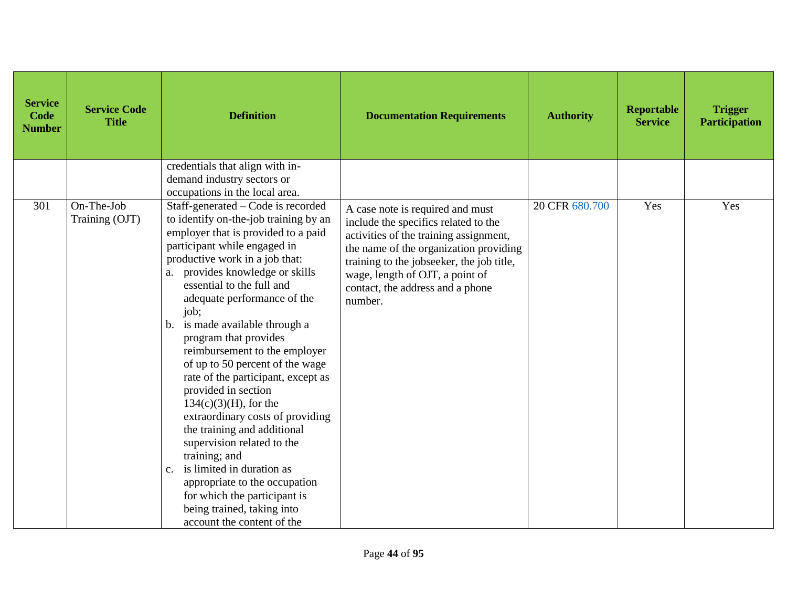| <b>Service</b><br>Code<br><b>Number</b> | <b>Service Code</b><br><b>Title</b> | <b>Definition</b>                                                                                                                                                                                                                                                                                                                                                                                                                                                                                                                                                                                                                                                                                                                                                                                          | <b>Documentation Requirements</b>                                                                                                                                                                                                                                                           | <b>Authority</b> | <b>Reportable</b><br><b>Service</b> | <b>Trigger</b><br><b>Participation</b> |
|-----------------------------------------|-------------------------------------|------------------------------------------------------------------------------------------------------------------------------------------------------------------------------------------------------------------------------------------------------------------------------------------------------------------------------------------------------------------------------------------------------------------------------------------------------------------------------------------------------------------------------------------------------------------------------------------------------------------------------------------------------------------------------------------------------------------------------------------------------------------------------------------------------------|---------------------------------------------------------------------------------------------------------------------------------------------------------------------------------------------------------------------------------------------------------------------------------------------|------------------|-------------------------------------|----------------------------------------|
|                                         |                                     | credentials that align with in-<br>demand industry sectors or<br>occupations in the local area.                                                                                                                                                                                                                                                                                                                                                                                                                                                                                                                                                                                                                                                                                                            |                                                                                                                                                                                                                                                                                             |                  |                                     |                                        |
| 301                                     | On-The-Job<br>Training (OJT)        | Staff-generated – Code is recorded<br>to identify on-the-job training by an<br>employer that is provided to a paid<br>participant while engaged in<br>productive work in a job that:<br>provides knowledge or skills<br>essential to the full and<br>adequate performance of the<br>job;<br>is made available through a<br>$b_{1}$<br>program that provides<br>reimbursement to the employer<br>of up to 50 percent of the wage<br>rate of the participant, except as<br>provided in section<br>$134(c)(3)(H)$ , for the<br>extraordinary costs of providing<br>the training and additional<br>supervision related to the<br>training; and<br>is limited in duration as<br>c.<br>appropriate to the occupation<br>for which the participant is<br>being trained, taking into<br>account the content of the | A case note is required and must<br>include the specifics related to the<br>activities of the training assignment,<br>the name of the organization providing<br>training to the jobseeker, the job title,<br>wage, length of OJT, a point of<br>contact, the address and a phone<br>number. | 20 CFR 680.700   | Yes                                 | Yes                                    |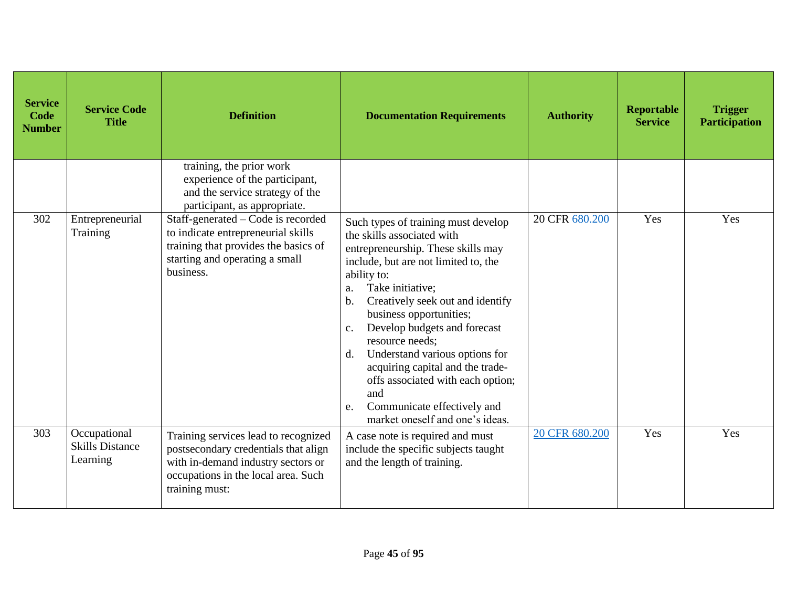| <b>Service</b><br>Code<br><b>Number</b> | <b>Service Code</b><br><b>Title</b>                | <b>Definition</b>                                                                                                                                                           | <b>Documentation Requirements</b>                                                                                                                                                                                                                                                                                                                                                                                                                                                                                                             | <b>Authority</b> | <b>Reportable</b><br><b>Service</b> | <b>Trigger</b><br><b>Participation</b> |
|-----------------------------------------|----------------------------------------------------|-----------------------------------------------------------------------------------------------------------------------------------------------------------------------------|-----------------------------------------------------------------------------------------------------------------------------------------------------------------------------------------------------------------------------------------------------------------------------------------------------------------------------------------------------------------------------------------------------------------------------------------------------------------------------------------------------------------------------------------------|------------------|-------------------------------------|----------------------------------------|
|                                         |                                                    | training, the prior work<br>experience of the participant,<br>and the service strategy of the<br>participant, as appropriate.                                               |                                                                                                                                                                                                                                                                                                                                                                                                                                                                                                                                               |                  |                                     |                                        |
| 302                                     | Entrepreneurial<br>Training                        | Staff-generated - Code is recorded<br>to indicate entrepreneurial skills<br>training that provides the basics of<br>starting and operating a small<br>business.             | Such types of training must develop<br>the skills associated with<br>entrepreneurship. These skills may<br>include, but are not limited to, the<br>ability to:<br>Take initiative;<br>a.<br>Creatively seek out and identify<br>$\mathbf b$ .<br>business opportunities;<br>Develop budgets and forecast<br>$\mathbf{c}$ .<br>resource needs;<br>Understand various options for<br>d.<br>acquiring capital and the trade-<br>offs associated with each option;<br>and<br>Communicate effectively and<br>e.<br>market oneself and one's ideas. | 20 CFR 680.200   | Yes                                 | Yes                                    |
| 303                                     | Occupational<br><b>Skills Distance</b><br>Learning | Training services lead to recognized<br>postsecondary credentials that align<br>with in-demand industry sectors or<br>occupations in the local area. Such<br>training must: | A case note is required and must<br>include the specific subjects taught<br>and the length of training.                                                                                                                                                                                                                                                                                                                                                                                                                                       | 20 CFR 680.200   | Yes                                 | Yes                                    |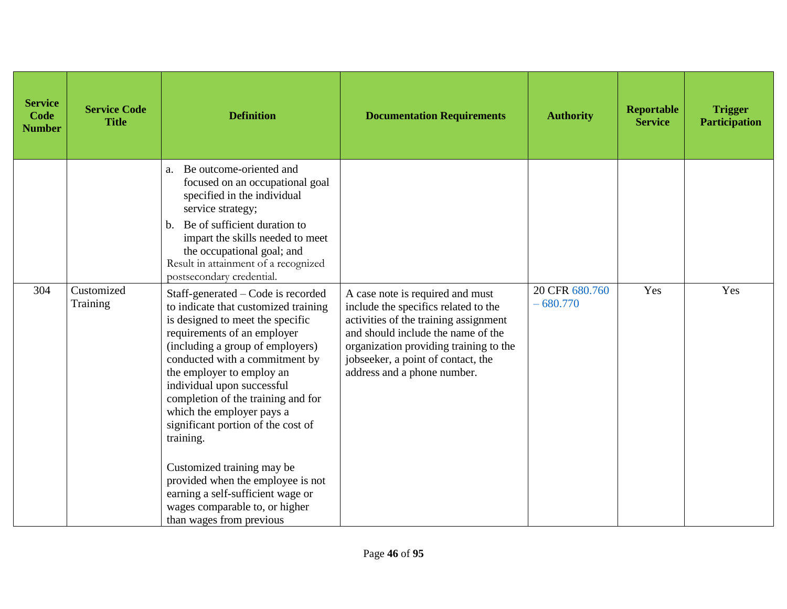| <b>Service</b><br>Code<br><b>Number</b> | <b>Service Code</b><br><b>Title</b> | <b>Definition</b>                                                                                                                                                                                                                                                                                                                                                                                                                                                                                                                                                          | <b>Documentation Requirements</b>                                                                                                                                                                                                                                      | <b>Authority</b>             | Reportable<br><b>Service</b> | <b>Trigger</b><br><b>Participation</b> |
|-----------------------------------------|-------------------------------------|----------------------------------------------------------------------------------------------------------------------------------------------------------------------------------------------------------------------------------------------------------------------------------------------------------------------------------------------------------------------------------------------------------------------------------------------------------------------------------------------------------------------------------------------------------------------------|------------------------------------------------------------------------------------------------------------------------------------------------------------------------------------------------------------------------------------------------------------------------|------------------------------|------------------------------|----------------------------------------|
|                                         |                                     | Be outcome-oriented and<br>a.<br>focused on an occupational goal<br>specified in the individual<br>service strategy;<br>Be of sufficient duration to<br>$\mathbf{b}$ .<br>impart the skills needed to meet<br>the occupational goal; and<br>Result in attainment of a recognized<br>postsecondary credential.                                                                                                                                                                                                                                                              |                                                                                                                                                                                                                                                                        |                              |                              |                                        |
| 304                                     | Customized<br>Training              | Staff-generated – Code is recorded<br>to indicate that customized training<br>is designed to meet the specific<br>requirements of an employer<br>(including a group of employers)<br>conducted with a commitment by<br>the employer to employ an<br>individual upon successful<br>completion of the training and for<br>which the employer pays a<br>significant portion of the cost of<br>training.<br>Customized training may be<br>provided when the employee is not<br>earning a self-sufficient wage or<br>wages comparable to, or higher<br>than wages from previous | A case note is required and must<br>include the specifics related to the<br>activities of the training assignment<br>and should include the name of the<br>organization providing training to the<br>jobseeker, a point of contact, the<br>address and a phone number. | 20 CFR 680.760<br>$-680.770$ | Yes                          | Yes                                    |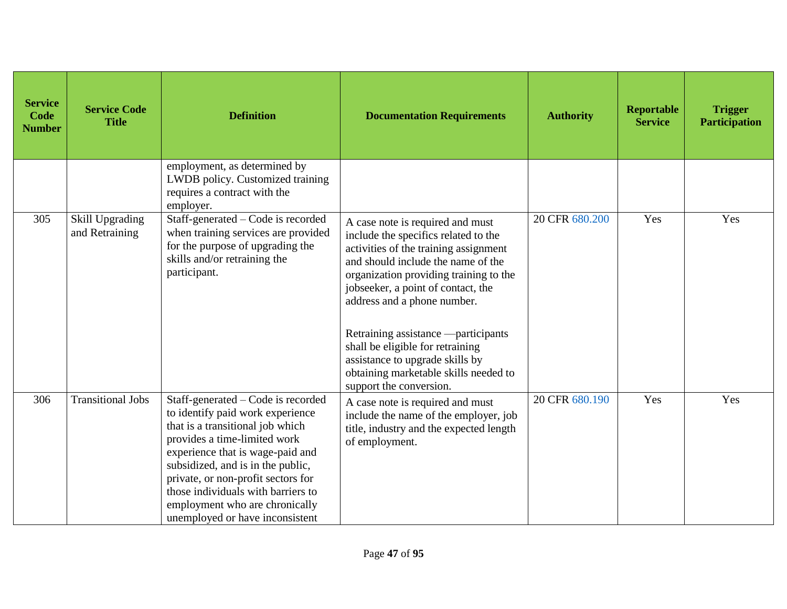| <b>Service</b><br><b>Code</b><br><b>Number</b> | <b>Service Code</b><br><b>Title</b>      | <b>Definition</b>                                                                                                                                                                                                                                                                                                                                                    | <b>Documentation Requirements</b>                                                                                                                                                                                                                                                                                                                                                                                             | <b>Authority</b> | <b>Reportable</b><br><b>Service</b> | <b>Trigger</b><br><b>Participation</b> |
|------------------------------------------------|------------------------------------------|----------------------------------------------------------------------------------------------------------------------------------------------------------------------------------------------------------------------------------------------------------------------------------------------------------------------------------------------------------------------|-------------------------------------------------------------------------------------------------------------------------------------------------------------------------------------------------------------------------------------------------------------------------------------------------------------------------------------------------------------------------------------------------------------------------------|------------------|-------------------------------------|----------------------------------------|
|                                                |                                          | employment, as determined by<br>LWDB policy. Customized training<br>requires a contract with the<br>employer.                                                                                                                                                                                                                                                        |                                                                                                                                                                                                                                                                                                                                                                                                                               |                  |                                     |                                        |
| 305                                            | <b>Skill Upgrading</b><br>and Retraining | Staff-generated – Code is recorded<br>when training services are provided<br>for the purpose of upgrading the<br>skills and/or retraining the<br>participant.                                                                                                                                                                                                        | A case note is required and must<br>include the specifics related to the<br>activities of the training assignment<br>and should include the name of the<br>organization providing training to the<br>jobseeker, a point of contact, the<br>address and a phone number.<br>Retraining assistance —participants<br>shall be eligible for retraining<br>assistance to upgrade skills by<br>obtaining marketable skills needed to | 20 CFR 680.200   | Yes                                 | Yes                                    |
| 306                                            | <b>Transitional Jobs</b>                 | Staff-generated - Code is recorded<br>to identify paid work experience<br>that is a transitional job which<br>provides a time-limited work<br>experience that is wage-paid and<br>subsidized, and is in the public,<br>private, or non-profit sectors for<br>those individuals with barriers to<br>employment who are chronically<br>unemployed or have inconsistent | support the conversion.<br>A case note is required and must<br>include the name of the employer, job<br>title, industry and the expected length<br>of employment.                                                                                                                                                                                                                                                             | 20 CFR 680.190   | Yes                                 | Yes                                    |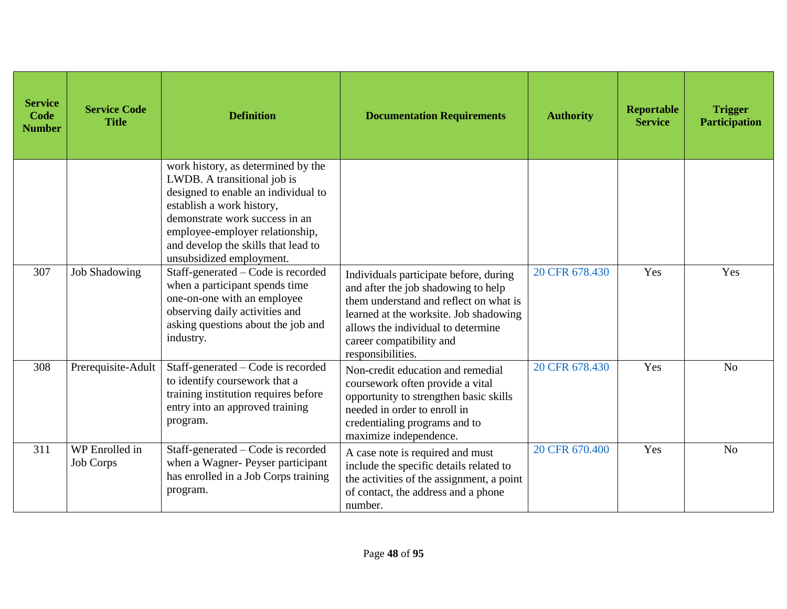| <b>Service</b><br>Code<br><b>Number</b> | <b>Service Code</b><br><b>Title</b> | <b>Definition</b>                                                                                                                                                                                                                                                             | <b>Documentation Requirements</b>                                                                                                                                                                                                                        | <b>Authority</b> | <b>Reportable</b><br><b>Service</b> | <b>Trigger</b><br><b>Participation</b> |
|-----------------------------------------|-------------------------------------|-------------------------------------------------------------------------------------------------------------------------------------------------------------------------------------------------------------------------------------------------------------------------------|----------------------------------------------------------------------------------------------------------------------------------------------------------------------------------------------------------------------------------------------------------|------------------|-------------------------------------|----------------------------------------|
|                                         |                                     | work history, as determined by the<br>LWDB. A transitional job is<br>designed to enable an individual to<br>establish a work history,<br>demonstrate work success in an<br>employee-employer relationship,<br>and develop the skills that lead to<br>unsubsidized employment. |                                                                                                                                                                                                                                                          |                  |                                     |                                        |
| 307                                     | <b>Job Shadowing</b>                | Staff-generated – Code is recorded<br>when a participant spends time<br>one-on-one with an employee<br>observing daily activities and<br>asking questions about the job and<br>industry.                                                                                      | Individuals participate before, during<br>and after the job shadowing to help<br>them understand and reflect on what is<br>learned at the worksite. Job shadowing<br>allows the individual to determine<br>career compatibility and<br>responsibilities. | 20 CFR 678.430   | Yes                                 | Yes                                    |
| 308                                     | Prerequisite-Adult                  | Staff-generated – Code is recorded<br>to identify coursework that a<br>training institution requires before<br>entry into an approved training<br>program.                                                                                                                    | Non-credit education and remedial<br>coursework often provide a vital<br>opportunity to strengthen basic skills<br>needed in order to enroll in<br>credentialing programs and to<br>maximize independence.                                               | 20 CFR 678.430   | Yes                                 | N <sub>o</sub>                         |
| 311                                     | WP Enrolled in<br><b>Job Corps</b>  | Staff-generated – Code is recorded<br>when a Wagner- Peyser participant<br>has enrolled in a Job Corps training<br>program.                                                                                                                                                   | A case note is required and must<br>include the specific details related to<br>the activities of the assignment, a point<br>of contact, the address and a phone<br>number.                                                                               | 20 CFR 670.400   | Yes                                 | N <sub>o</sub>                         |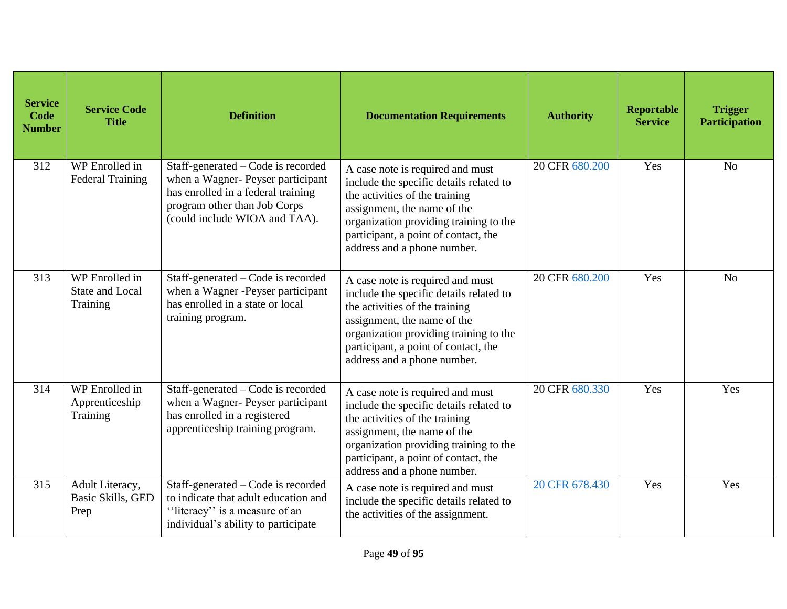| <b>Service</b><br>Code<br><b>Number</b> | <b>Service Code</b><br><b>Title</b>                    | <b>Definition</b>                                                                                                                                                              | <b>Documentation Requirements</b>                                                                                                                                                                                                                             | <b>Authority</b> | Reportable<br><b>Service</b> | <b>Trigger</b><br><b>Participation</b> |
|-----------------------------------------|--------------------------------------------------------|--------------------------------------------------------------------------------------------------------------------------------------------------------------------------------|---------------------------------------------------------------------------------------------------------------------------------------------------------------------------------------------------------------------------------------------------------------|------------------|------------------------------|----------------------------------------|
| 312                                     | WP Enrolled $\overline{in}$<br><b>Federal Training</b> | Staff-generated – Code is recorded<br>when a Wagner- Peyser participant<br>has enrolled in a federal training<br>program other than Job Corps<br>(could include WIOA and TAA). | A case note is required and must<br>include the specific details related to<br>the activities of the training<br>assignment, the name of the<br>organization providing training to the<br>participant, a point of contact, the<br>address and a phone number. | 20 CFR 680.200   | Yes                          | N <sub>o</sub>                         |
| 313                                     | WP Enrolled in<br><b>State and Local</b><br>Training   | Staff-generated – Code is recorded<br>when a Wagner -Peyser participant<br>has enrolled in a state or local<br>training program.                                               | A case note is required and must<br>include the specific details related to<br>the activities of the training<br>assignment, the name of the<br>organization providing training to the<br>participant, a point of contact, the<br>address and a phone number. | 20 CFR 680.200   | Yes                          | N <sub>o</sub>                         |
| 314                                     | WP Enrolled in<br>Apprenticeship<br>Training           | Staff-generated – Code is recorded<br>when a Wagner- Peyser participant<br>has enrolled in a registered<br>apprenticeship training program.                                    | A case note is required and must<br>include the specific details related to<br>the activities of the training<br>assignment, the name of the<br>organization providing training to the<br>participant, a point of contact, the<br>address and a phone number. | 20 CFR 680.330   | Yes                          | Yes                                    |
| 315                                     | Adult Literacy,<br>Basic Skills, GED<br>Prep           | Staff-generated - Code is recorded<br>to indicate that adult education and<br>"literacy" is a measure of an<br>individual's ability to participate                             | A case note is required and must<br>include the specific details related to<br>the activities of the assignment.                                                                                                                                              | 20 CFR 678.430   | Yes                          | Yes                                    |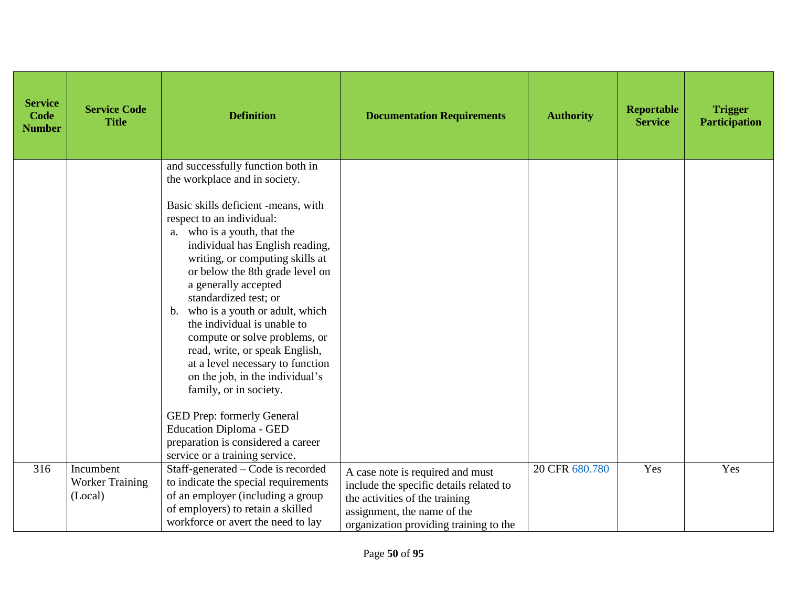| <b>Service</b><br>Code<br><b>Number</b> | <b>Service Code</b><br><b>Title</b>            | <b>Definition</b>                                                                                                                                                                                                                                                                                                                                                                                                                                                                                                                                                                                                                                                                                               | <b>Documentation Requirements</b>                                                                                                                                                      | <b>Authority</b> | <b>Reportable</b><br><b>Service</b> | <b>Trigger</b><br><b>Participation</b> |
|-----------------------------------------|------------------------------------------------|-----------------------------------------------------------------------------------------------------------------------------------------------------------------------------------------------------------------------------------------------------------------------------------------------------------------------------------------------------------------------------------------------------------------------------------------------------------------------------------------------------------------------------------------------------------------------------------------------------------------------------------------------------------------------------------------------------------------|----------------------------------------------------------------------------------------------------------------------------------------------------------------------------------------|------------------|-------------------------------------|----------------------------------------|
|                                         |                                                | and successfully function both in<br>the workplace and in society.<br>Basic skills deficient -means, with<br>respect to an individual:<br>a. who is a youth, that the<br>individual has English reading,<br>writing, or computing skills at<br>or below the 8th grade level on<br>a generally accepted<br>standardized test; or<br>b. who is a youth or adult, which<br>the individual is unable to<br>compute or solve problems, or<br>read, write, or speak English,<br>at a level necessary to function<br>on the job, in the individual's<br>family, or in society.<br>GED Prep: formerly General<br><b>Education Diploma - GED</b><br>preparation is considered a career<br>service or a training service. |                                                                                                                                                                                        |                  |                                     |                                        |
| 316                                     | Incumbent<br><b>Worker Training</b><br>(Local) | Staff-generated - Code is recorded<br>to indicate the special requirements<br>of an employer (including a group<br>of employers) to retain a skilled<br>workforce or avert the need to lay                                                                                                                                                                                                                                                                                                                                                                                                                                                                                                                      | A case note is required and must<br>include the specific details related to<br>the activities of the training<br>assignment, the name of the<br>organization providing training to the | 20 CFR 680.780   | Yes                                 | Yes                                    |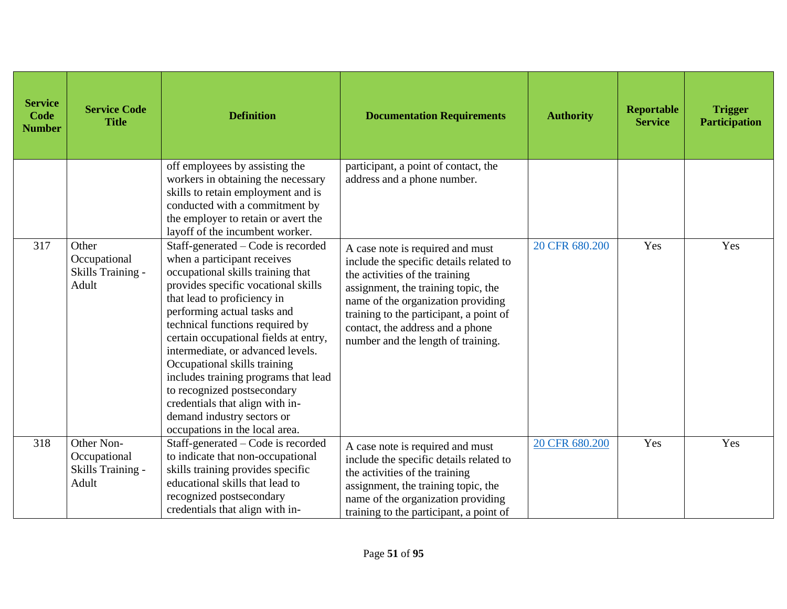| <b>Service</b><br><b>Code</b><br><b>Number</b> | <b>Service Code</b><br><b>Title</b>                      | <b>Definition</b>                                                                                                                                                                                                                                                                                                                                                                                                                                                                                                                      | <b>Documentation Requirements</b>                                                                                                                                                                                                                                                                               | <b>Authority</b> | <b>Reportable</b><br><b>Service</b> | <b>Trigger</b><br><b>Participation</b> |
|------------------------------------------------|----------------------------------------------------------|----------------------------------------------------------------------------------------------------------------------------------------------------------------------------------------------------------------------------------------------------------------------------------------------------------------------------------------------------------------------------------------------------------------------------------------------------------------------------------------------------------------------------------------|-----------------------------------------------------------------------------------------------------------------------------------------------------------------------------------------------------------------------------------------------------------------------------------------------------------------|------------------|-------------------------------------|----------------------------------------|
|                                                |                                                          | off employees by assisting the<br>workers in obtaining the necessary<br>skills to retain employment and is<br>conducted with a commitment by<br>the employer to retain or avert the<br>layoff of the incumbent worker.                                                                                                                                                                                                                                                                                                                 | participant, a point of contact, the<br>address and a phone number.                                                                                                                                                                                                                                             |                  |                                     |                                        |
| 317                                            | Other<br>Occupational<br>Skills Training -<br>Adult      | Staff-generated – Code is recorded<br>when a participant receives<br>occupational skills training that<br>provides specific vocational skills<br>that lead to proficiency in<br>performing actual tasks and<br>technical functions required by<br>certain occupational fields at entry,<br>intermediate, or advanced levels.<br>Occupational skills training<br>includes training programs that lead<br>to recognized postsecondary<br>credentials that align with in-<br>demand industry sectors or<br>occupations in the local area. | A case note is required and must<br>include the specific details related to<br>the activities of the training<br>assignment, the training topic, the<br>name of the organization providing<br>training to the participant, a point of<br>contact, the address and a phone<br>number and the length of training. | 20 CFR 680.200   | Yes                                 | Yes                                    |
| 318                                            | Other Non-<br>Occupational<br>Skills Training -<br>Adult | Staff-generated - Code is recorded<br>to indicate that non-occupational<br>skills training provides specific<br>educational skills that lead to<br>recognized postsecondary<br>credentials that align with in-                                                                                                                                                                                                                                                                                                                         | A case note is required and must<br>include the specific details related to<br>the activities of the training<br>assignment, the training topic, the<br>name of the organization providing<br>training to the participant, a point of                                                                           | 20 CFR 680.200   | Yes                                 | Yes                                    |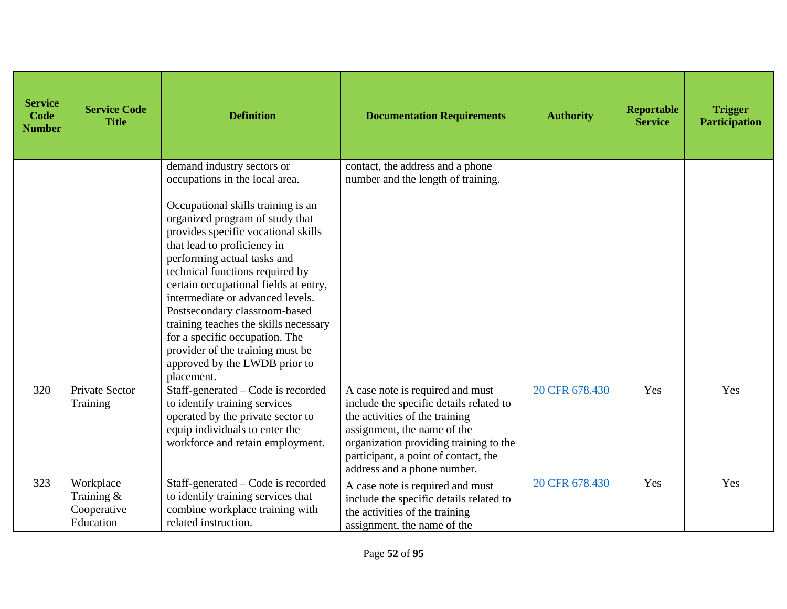| <b>Service</b><br>Code<br><b>Number</b> | <b>Service Code</b><br><b>Title</b>                   | <b>Definition</b>                                                                                                                                                                                                                                                                                                                                                                                                                                                                                                                                         | <b>Documentation Requirements</b>                                                                                                                                                                                                                             | <b>Authority</b> | <b>Reportable</b><br><b>Service</b> | <b>Trigger</b><br><b>Participation</b> |
|-----------------------------------------|-------------------------------------------------------|-----------------------------------------------------------------------------------------------------------------------------------------------------------------------------------------------------------------------------------------------------------------------------------------------------------------------------------------------------------------------------------------------------------------------------------------------------------------------------------------------------------------------------------------------------------|---------------------------------------------------------------------------------------------------------------------------------------------------------------------------------------------------------------------------------------------------------------|------------------|-------------------------------------|----------------------------------------|
|                                         |                                                       | demand industry sectors or<br>occupations in the local area.<br>Occupational skills training is an<br>organized program of study that<br>provides specific vocational skills<br>that lead to proficiency in<br>performing actual tasks and<br>technical functions required by<br>certain occupational fields at entry,<br>intermediate or advanced levels.<br>Postsecondary classroom-based<br>training teaches the skills necessary<br>for a specific occupation. The<br>provider of the training must be<br>approved by the LWDB prior to<br>placement. | contact, the address and a phone<br>number and the length of training.                                                                                                                                                                                        |                  |                                     |                                        |
| 320                                     | Private Sector<br>Training                            | Staff-generated – Code is recorded<br>to identify training services<br>operated by the private sector to<br>equip individuals to enter the<br>workforce and retain employment.                                                                                                                                                                                                                                                                                                                                                                            | A case note is required and must<br>include the specific details related to<br>the activities of the training<br>assignment, the name of the<br>organization providing training to the<br>participant, a point of contact, the<br>address and a phone number. | 20 CFR 678.430   | Yes                                 | Yes                                    |
| 323                                     | Workplace<br>Training $&$<br>Cooperative<br>Education | Staff-generated - Code is recorded<br>to identify training services that<br>combine workplace training with<br>related instruction.                                                                                                                                                                                                                                                                                                                                                                                                                       | A case note is required and must<br>include the specific details related to<br>the activities of the training<br>assignment, the name of the                                                                                                                  | 20 CFR 678.430   | Yes                                 | Yes                                    |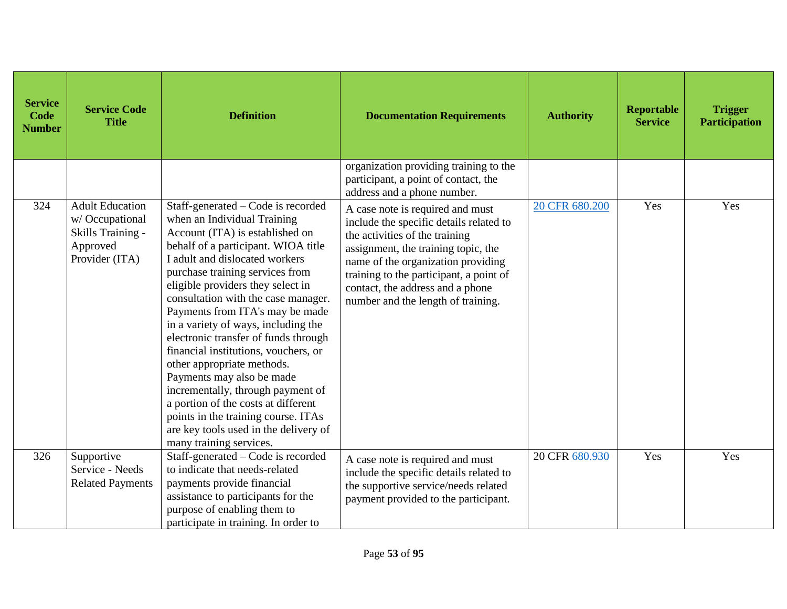| <b>Service</b><br>Code<br><b>Number</b> | <b>Service Code</b><br><b>Title</b>                                                         | <b>Definition</b>                                                                                                                                                                                                                                                                                                                                                                                                                                                                                                                                                                                                                                                                                        | <b>Documentation Requirements</b>                                                                                                                                                                                                                                                                               | <b>Authority</b> | <b>Reportable</b><br><b>Service</b> | <b>Trigger</b><br><b>Participation</b> |
|-----------------------------------------|---------------------------------------------------------------------------------------------|----------------------------------------------------------------------------------------------------------------------------------------------------------------------------------------------------------------------------------------------------------------------------------------------------------------------------------------------------------------------------------------------------------------------------------------------------------------------------------------------------------------------------------------------------------------------------------------------------------------------------------------------------------------------------------------------------------|-----------------------------------------------------------------------------------------------------------------------------------------------------------------------------------------------------------------------------------------------------------------------------------------------------------------|------------------|-------------------------------------|----------------------------------------|
|                                         |                                                                                             |                                                                                                                                                                                                                                                                                                                                                                                                                                                                                                                                                                                                                                                                                                          | organization providing training to the<br>participant, a point of contact, the<br>address and a phone number.                                                                                                                                                                                                   |                  |                                     |                                        |
| 324                                     | <b>Adult Education</b><br>w/Occupational<br>Skills Training -<br>Approved<br>Provider (ITA) | Staff-generated - Code is recorded<br>when an Individual Training<br>Account (ITA) is established on<br>behalf of a participant. WIOA title<br>I adult and dislocated workers<br>purchase training services from<br>eligible providers they select in<br>consultation with the case manager.<br>Payments from ITA's may be made<br>in a variety of ways, including the<br>electronic transfer of funds through<br>financial institutions, vouchers, or<br>other appropriate methods.<br>Payments may also be made<br>incrementally, through payment of<br>a portion of the costs at different<br>points in the training course. ITAs<br>are key tools used in the delivery of<br>many training services. | A case note is required and must<br>include the specific details related to<br>the activities of the training<br>assignment, the training topic, the<br>name of the organization providing<br>training to the participant, a point of<br>contact, the address and a phone<br>number and the length of training. | 20 CFR 680.200   | Yes                                 | Yes                                    |
| 326                                     | Supportive<br>Service - Needs<br><b>Related Payments</b>                                    | Staff-generated – Code is recorded<br>to indicate that needs-related<br>payments provide financial<br>assistance to participants for the<br>purpose of enabling them to<br>participate in training. In order to                                                                                                                                                                                                                                                                                                                                                                                                                                                                                          | A case note is required and must<br>include the specific details related to<br>the supportive service/needs related<br>payment provided to the participant.                                                                                                                                                     | 20 CFR 680.930   | Yes                                 | Yes                                    |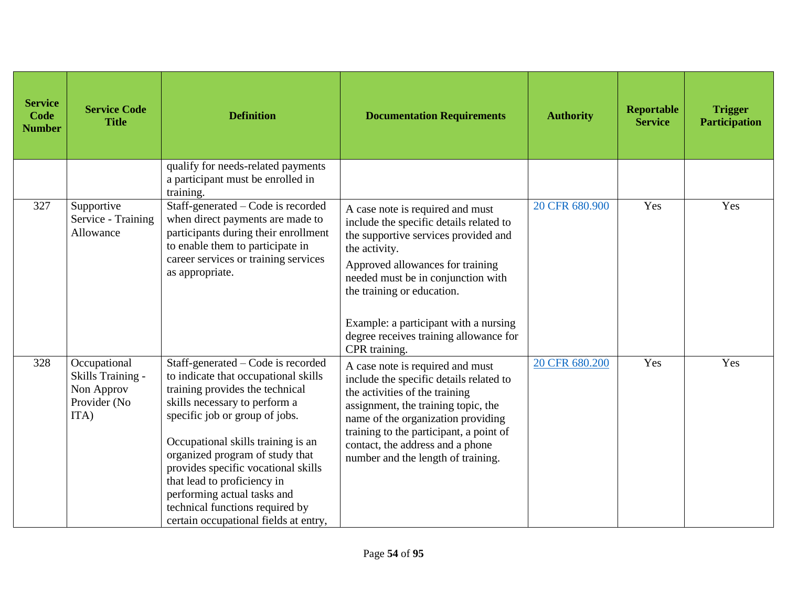| <b>Service</b><br><b>Code</b><br><b>Number</b> | <b>Service Code</b><br><b>Title</b>                                     | <b>Definition</b>                                                                                                                                                                                                                                                                                                                                                                                                                          | <b>Documentation Requirements</b>                                                                                                                                                                                                                                                                                                                | <b>Authority</b> | <b>Reportable</b><br><b>Service</b> | <b>Trigger</b><br><b>Participation</b> |
|------------------------------------------------|-------------------------------------------------------------------------|--------------------------------------------------------------------------------------------------------------------------------------------------------------------------------------------------------------------------------------------------------------------------------------------------------------------------------------------------------------------------------------------------------------------------------------------|--------------------------------------------------------------------------------------------------------------------------------------------------------------------------------------------------------------------------------------------------------------------------------------------------------------------------------------------------|------------------|-------------------------------------|----------------------------------------|
|                                                |                                                                         | qualify for needs-related payments<br>a participant must be enrolled in<br>training.                                                                                                                                                                                                                                                                                                                                                       |                                                                                                                                                                                                                                                                                                                                                  |                  |                                     |                                        |
| 327                                            | Supportive<br>Service - Training<br>Allowance                           | Staff-generated - Code is recorded<br>when direct payments are made to<br>participants during their enrollment<br>to enable them to participate in<br>career services or training services<br>as appropriate.                                                                                                                                                                                                                              | A case note is required and must<br>include the specific details related to<br>the supportive services provided and<br>the activity.<br>Approved allowances for training<br>needed must be in conjunction with<br>the training or education.<br>Example: a participant with a nursing<br>degree receives training allowance for<br>CPR training. | 20 CFR 680.900   | Yes                                 | Yes                                    |
| 328                                            | Occupational<br>Skills Training -<br>Non Approv<br>Provider (No<br>ITA) | Staff-generated – Code is recorded<br>to indicate that occupational skills<br>training provides the technical<br>skills necessary to perform a<br>specific job or group of jobs.<br>Occupational skills training is an<br>organized program of study that<br>provides specific vocational skills<br>that lead to proficiency in<br>performing actual tasks and<br>technical functions required by<br>certain occupational fields at entry, | A case note is required and must<br>include the specific details related to<br>the activities of the training<br>assignment, the training topic, the<br>name of the organization providing<br>training to the participant, a point of<br>contact, the address and a phone<br>number and the length of training.                                  | 20 CFR 680.200   | Yes                                 | Yes                                    |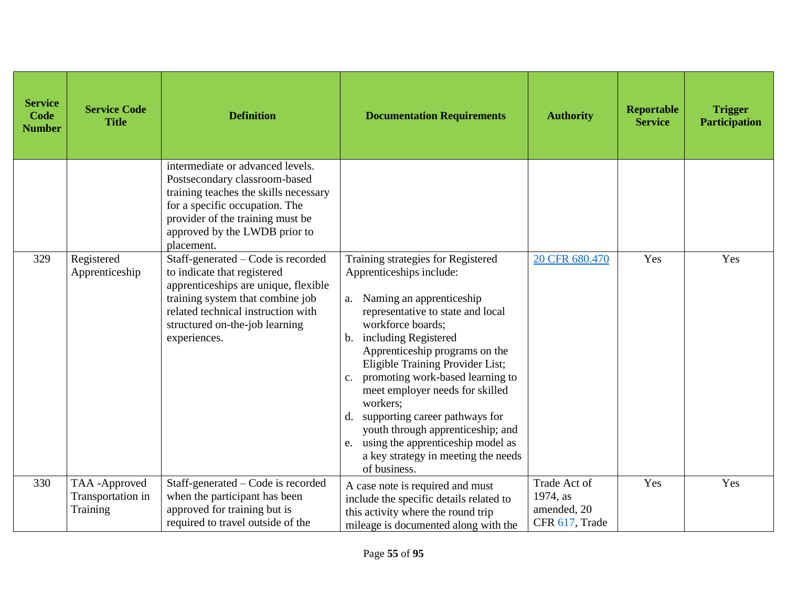| <b>Service</b><br>Code<br><b>Number</b> | <b>Service Code</b><br><b>Title</b>           | <b>Definition</b>                                                                                                                                                                                                                     | <b>Documentation Requirements</b>                                                                                                                                                                                                                                                                                                                                                                                                                                                                                                        | <b>Authority</b>                                          | Reportable<br><b>Service</b> | <b>Trigger</b><br><b>Participation</b> |
|-----------------------------------------|-----------------------------------------------|---------------------------------------------------------------------------------------------------------------------------------------------------------------------------------------------------------------------------------------|------------------------------------------------------------------------------------------------------------------------------------------------------------------------------------------------------------------------------------------------------------------------------------------------------------------------------------------------------------------------------------------------------------------------------------------------------------------------------------------------------------------------------------------|-----------------------------------------------------------|------------------------------|----------------------------------------|
|                                         |                                               | intermediate or advanced levels.<br>Postsecondary classroom-based<br>training teaches the skills necessary<br>for a specific occupation. The<br>provider of the training must be<br>approved by the LWDB prior to<br>placement.       |                                                                                                                                                                                                                                                                                                                                                                                                                                                                                                                                          |                                                           |                              |                                        |
| 329                                     | Registered<br>Apprenticeship                  | Staff-generated – Code is recorded<br>to indicate that registered<br>apprenticeships are unique, flexible<br>training system that combine job<br>related technical instruction with<br>structured on-the-job learning<br>experiences. | Training strategies for Registered<br>Apprenticeships include:<br>a. Naming an apprenticeship<br>representative to state and local<br>workforce boards;<br>b. including Registered<br>Apprenticeship programs on the<br>Eligible Training Provider List;<br>promoting work-based learning to<br>$C_{\bullet}$<br>meet employer needs for skilled<br>workers:<br>supporting career pathways for<br>d.<br>youth through apprenticeship; and<br>e. using the apprenticeship model as<br>a key strategy in meeting the needs<br>of business. | 20 CFR 680.470                                            | Yes                          | Yes                                    |
| 330                                     | TAA-Approved<br>Transportation in<br>Training | Staff-generated - Code is recorded<br>when the participant has been<br>approved for training but is<br>required to travel outside of the                                                                                              | A case note is required and must<br>include the specific details related to<br>this activity where the round trip<br>mileage is documented along with the                                                                                                                                                                                                                                                                                                                                                                                | Trade Act of<br>1974, as<br>amended, 20<br>CFR 617, Trade | Yes                          | Yes                                    |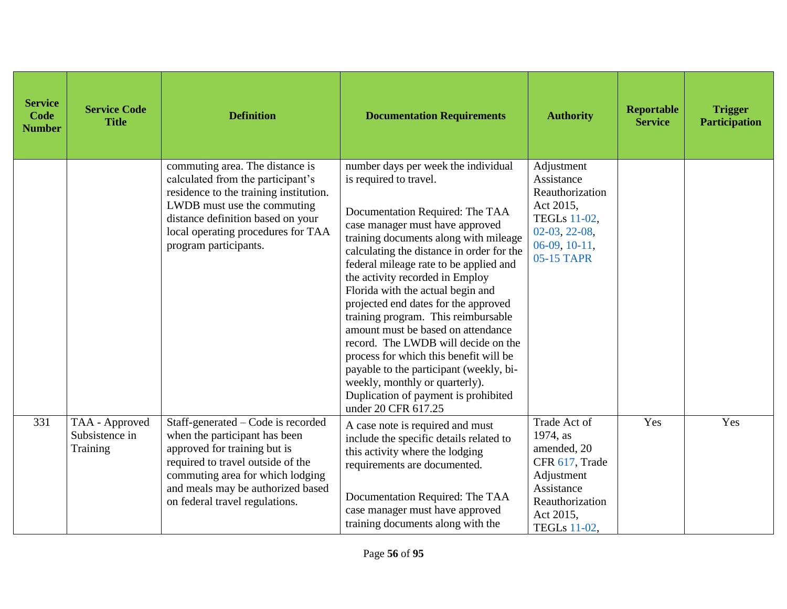| <b>Service</b><br>Code<br><b>Number</b> | <b>Service Code</b><br><b>Title</b>          | <b>Definition</b>                                                                                                                                                                                                                                   | <b>Documentation Requirements</b>                                                                                                                                                                                                                                                                                                                                                                                                                                                                                                                                                                                                                                                             | <b>Authority</b>                                                                                                                      | <b>Reportable</b><br><b>Service</b> | <b>Trigger</b><br><b>Participation</b> |
|-----------------------------------------|----------------------------------------------|-----------------------------------------------------------------------------------------------------------------------------------------------------------------------------------------------------------------------------------------------------|-----------------------------------------------------------------------------------------------------------------------------------------------------------------------------------------------------------------------------------------------------------------------------------------------------------------------------------------------------------------------------------------------------------------------------------------------------------------------------------------------------------------------------------------------------------------------------------------------------------------------------------------------------------------------------------------------|---------------------------------------------------------------------------------------------------------------------------------------|-------------------------------------|----------------------------------------|
|                                         |                                              | commuting area. The distance is<br>calculated from the participant's<br>residence to the training institution.<br>LWDB must use the commuting<br>distance definition based on your<br>local operating procedures for TAA<br>program participants.   | number days per week the individual<br>is required to travel.<br>Documentation Required: The TAA<br>case manager must have approved<br>training documents along with mileage<br>calculating the distance in order for the<br>federal mileage rate to be applied and<br>the activity recorded in Employ<br>Florida with the actual begin and<br>projected end dates for the approved<br>training program. This reimbursable<br>amount must be based on attendance<br>record. The LWDB will decide on the<br>process for which this benefit will be<br>payable to the participant (weekly, bi-<br>weekly, monthly or quarterly).<br>Duplication of payment is prohibited<br>under 20 CFR 617.25 | Adjustment<br>Assistance<br>Reauthorization<br>Act 2015,<br><b>TEGLs</b> 11-02,<br>02-03, 22-08,<br>$06-09, 10-11,$<br>05-15 TAPR     |                                     |                                        |
| 331                                     | TAA - Approved<br>Subsistence in<br>Training | Staff-generated – Code is recorded<br>when the participant has been<br>approved for training but is<br>required to travel outside of the<br>commuting area for which lodging<br>and meals may be authorized based<br>on federal travel regulations. | A case note is required and must<br>include the specific details related to<br>this activity where the lodging<br>requirements are documented.<br>Documentation Required: The TAA<br>case manager must have approved<br>training documents along with the                                                                                                                                                                                                                                                                                                                                                                                                                                     | Trade Act of<br>1974, as<br>amended, 20<br>CFR 617, Trade<br>Adjustment<br>Assistance<br>Reauthorization<br>Act 2015,<br>TEGLs 11-02, | Yes                                 | Yes                                    |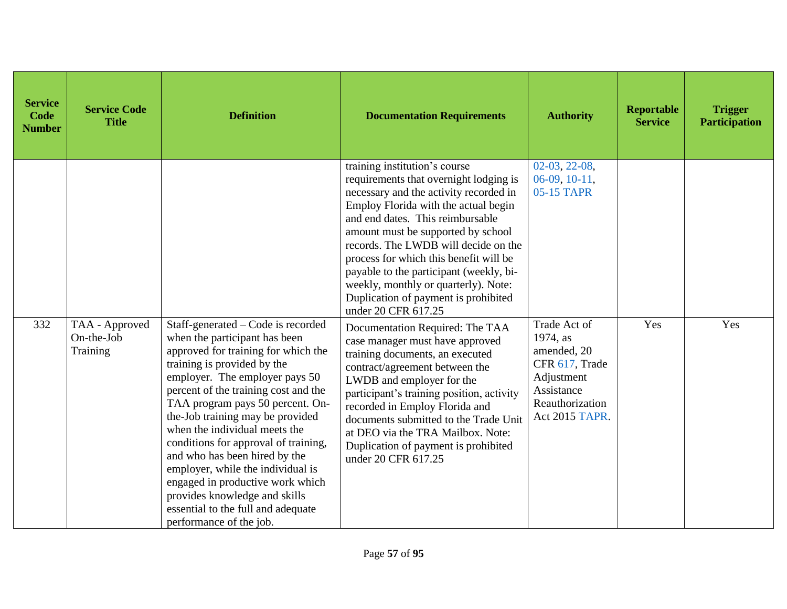| <b>Service</b><br>Code<br><b>Number</b> | <b>Service Code</b><br><b>Title</b>      | <b>Definition</b>                                                                                                                                                                                                                                                                                                                                                                                                                                                                                                                                                                | <b>Documentation Requirements</b>                                                                                                                                                                                                                                                                                                                                                                                                                                       | <b>Authority</b>                                                                                                           | <b>Reportable</b><br><b>Service</b> | <b>Trigger</b><br><b>Participation</b> |
|-----------------------------------------|------------------------------------------|----------------------------------------------------------------------------------------------------------------------------------------------------------------------------------------------------------------------------------------------------------------------------------------------------------------------------------------------------------------------------------------------------------------------------------------------------------------------------------------------------------------------------------------------------------------------------------|-------------------------------------------------------------------------------------------------------------------------------------------------------------------------------------------------------------------------------------------------------------------------------------------------------------------------------------------------------------------------------------------------------------------------------------------------------------------------|----------------------------------------------------------------------------------------------------------------------------|-------------------------------------|----------------------------------------|
|                                         |                                          |                                                                                                                                                                                                                                                                                                                                                                                                                                                                                                                                                                                  | training institution's course<br>requirements that overnight lodging is<br>necessary and the activity recorded in<br>Employ Florida with the actual begin<br>and end dates. This reimbursable<br>amount must be supported by school<br>records. The LWDB will decide on the<br>process for which this benefit will be<br>payable to the participant (weekly, bi-<br>weekly, monthly or quarterly). Note:<br>Duplication of payment is prohibited<br>under 20 CFR 617.25 | $02-03, 22-08,$<br>$06-09, 10-11,$<br>05-15 TAPR                                                                           |                                     |                                        |
| 332                                     | TAA - Approved<br>On-the-Job<br>Training | Staff-generated - Code is recorded<br>when the participant has been<br>approved for training for which the<br>training is provided by the<br>employer. The employer pays 50<br>percent of the training cost and the<br>TAA program pays 50 percent. On-<br>the-Job training may be provided<br>when the individual meets the<br>conditions for approval of training,<br>and who has been hired by the<br>employer, while the individual is<br>engaged in productive work which<br>provides knowledge and skills<br>essential to the full and adequate<br>performance of the job. | Documentation Required: The TAA<br>case manager must have approved<br>training documents, an executed<br>contract/agreement between the<br>LWDB and employer for the<br>participant's training position, activity<br>recorded in Employ Florida and<br>documents submitted to the Trade Unit<br>at DEO via the TRA Mailbox. Note:<br>Duplication of payment is prohibited<br>under 20 CFR 617.25                                                                        | Trade Act of<br>1974, as<br>amended, 20<br>CFR 617, Trade<br>Adjustment<br>Assistance<br>Reauthorization<br>Act 2015 TAPR. | Yes                                 | Yes                                    |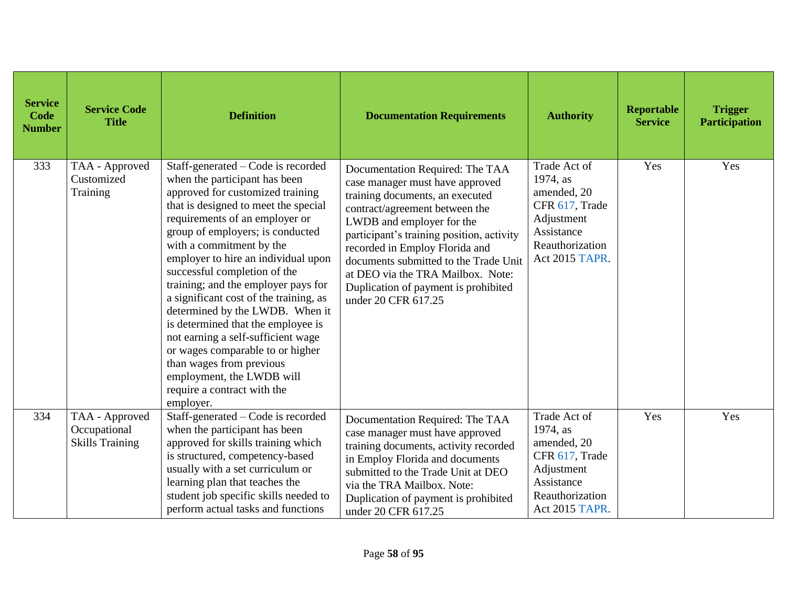| <b>Service</b><br>Code<br><b>Number</b> | <b>Service Code</b><br><b>Title</b>                      | <b>Definition</b>                                                                                                                                                                                                                                                                                                                                                                                                                                                                                                                                                                                                                                                 | <b>Documentation Requirements</b>                                                                                                                                                                                                                                                                                                                                                                | <b>Authority</b>                                                                                                           | <b>Reportable</b><br><b>Service</b> | <b>Trigger</b><br><b>Participation</b> |
|-----------------------------------------|----------------------------------------------------------|-------------------------------------------------------------------------------------------------------------------------------------------------------------------------------------------------------------------------------------------------------------------------------------------------------------------------------------------------------------------------------------------------------------------------------------------------------------------------------------------------------------------------------------------------------------------------------------------------------------------------------------------------------------------|--------------------------------------------------------------------------------------------------------------------------------------------------------------------------------------------------------------------------------------------------------------------------------------------------------------------------------------------------------------------------------------------------|----------------------------------------------------------------------------------------------------------------------------|-------------------------------------|----------------------------------------|
| 333                                     | TAA - Approved<br>Customized<br>Training                 | Staff-generated - Code is recorded<br>when the participant has been<br>approved for customized training<br>that is designed to meet the special<br>requirements of an employer or<br>group of employers; is conducted<br>with a commitment by the<br>employer to hire an individual upon<br>successful completion of the<br>training; and the employer pays for<br>a significant cost of the training, as<br>determined by the LWDB. When it<br>is determined that the employee is<br>not earning a self-sufficient wage<br>or wages comparable to or higher<br>than wages from previous<br>employment, the LWDB will<br>require a contract with the<br>employer. | Documentation Required: The TAA<br>case manager must have approved<br>training documents, an executed<br>contract/agreement between the<br>LWDB and employer for the<br>participant's training position, activity<br>recorded in Employ Florida and<br>documents submitted to the Trade Unit<br>at DEO via the TRA Mailbox. Note:<br>Duplication of payment is prohibited<br>under 20 CFR 617.25 | Trade Act of<br>1974, as<br>amended, 20<br>CFR 617, Trade<br>Adjustment<br>Assistance<br>Reauthorization<br>Act 2015 TAPR. | Yes                                 | Yes                                    |
| 334                                     | TAA - Approved<br>Occupational<br><b>Skills Training</b> | Staff-generated – Code is recorded<br>when the participant has been<br>approved for skills training which<br>is structured, competency-based<br>usually with a set curriculum or<br>learning plan that teaches the<br>student job specific skills needed to<br>perform actual tasks and functions                                                                                                                                                                                                                                                                                                                                                                 | Documentation Required: The TAA<br>case manager must have approved<br>training documents, activity recorded<br>in Employ Florida and documents<br>submitted to the Trade Unit at DEO<br>via the TRA Mailbox. Note:<br>Duplication of payment is prohibited<br>under 20 CFR 617.25                                                                                                                | Trade Act of<br>1974, as<br>amended, 20<br>CFR 617, Trade<br>Adjustment<br>Assistance<br>Reauthorization<br>Act 2015 TAPR. | Yes                                 | Yes                                    |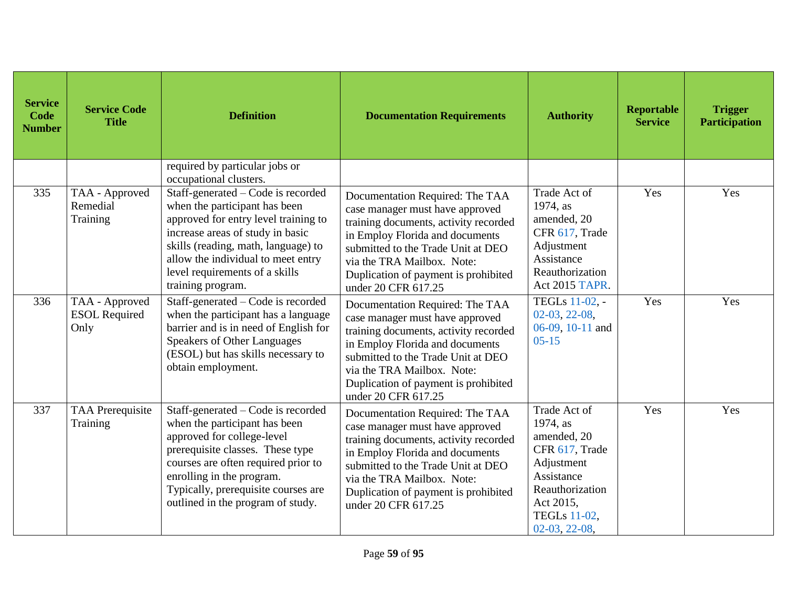| <b>Service</b><br>Code<br><b>Number</b> | <b>Service Code</b><br><b>Title</b>            | <b>Definition</b>                                                                                                                                                                                                                                                                     | <b>Documentation Requirements</b>                                                                                                                                                                                                                                                 | <b>Authority</b>                                                                                                                                                | <b>Reportable</b><br><b>Service</b> | <b>Trigger</b><br><b>Participation</b> |
|-----------------------------------------|------------------------------------------------|---------------------------------------------------------------------------------------------------------------------------------------------------------------------------------------------------------------------------------------------------------------------------------------|-----------------------------------------------------------------------------------------------------------------------------------------------------------------------------------------------------------------------------------------------------------------------------------|-----------------------------------------------------------------------------------------------------------------------------------------------------------------|-------------------------------------|----------------------------------------|
|                                         |                                                | required by particular jobs or<br>occupational clusters.                                                                                                                                                                                                                              |                                                                                                                                                                                                                                                                                   |                                                                                                                                                                 |                                     |                                        |
| 335                                     | TAA - Approved<br>Remedial<br>Training         | Staff-generated – Code is recorded<br>when the participant has been<br>approved for entry level training to<br>increase areas of study in basic<br>skills (reading, math, language) to<br>allow the individual to meet entry<br>level requirements of a skills<br>training program.   | Documentation Required: The TAA<br>case manager must have approved<br>training documents, activity recorded<br>in Employ Florida and documents<br>submitted to the Trade Unit at DEO<br>via the TRA Mailbox. Note:<br>Duplication of payment is prohibited<br>under 20 CFR 617.25 | Trade Act of<br>1974, as<br>amended, 20<br>CFR 617, Trade<br>Adjustment<br>Assistance<br>Reauthorization<br><b>Act 2015 TAPR.</b>                               | Yes                                 | Yes                                    |
| 336                                     | TAA - Approved<br><b>ESOL Required</b><br>Only | Staff-generated – Code is recorded<br>when the participant has a language<br>barrier and is in need of English for<br><b>Speakers of Other Languages</b><br>(ESOL) but has skills necessary to<br>obtain employment.                                                                  | Documentation Required: The TAA<br>case manager must have approved<br>training documents, activity recorded<br>in Employ Florida and documents<br>submitted to the Trade Unit at DEO<br>via the TRA Mailbox. Note:<br>Duplication of payment is prohibited<br>under 20 CFR 617.25 | TEGLs 11-02, -<br>$02-03, 22-08,$<br>06-09, 10-11 and<br>$05 - 15$                                                                                              | Yes                                 | Yes                                    |
| 337                                     | <b>TAA Prerequisite</b><br>Training            | Staff-generated – Code is recorded<br>when the participant has been<br>approved for college-level<br>prerequisite classes. These type<br>courses are often required prior to<br>enrolling in the program.<br>Typically, prerequisite courses are<br>outlined in the program of study. | Documentation Required: The TAA<br>case manager must have approved<br>training documents, activity recorded<br>in Employ Florida and documents<br>submitted to the Trade Unit at DEO<br>via the TRA Mailbox. Note:<br>Duplication of payment is prohibited<br>under 20 CFR 617.25 | Trade Act of<br>1974, as<br>amended, 20<br>CFR 617, Trade<br>Adjustment<br>Assistance<br>Reauthorization<br>Act 2015,<br><b>TEGLs 11-02,</b><br>$02-03, 22-08,$ | Yes                                 | Yes                                    |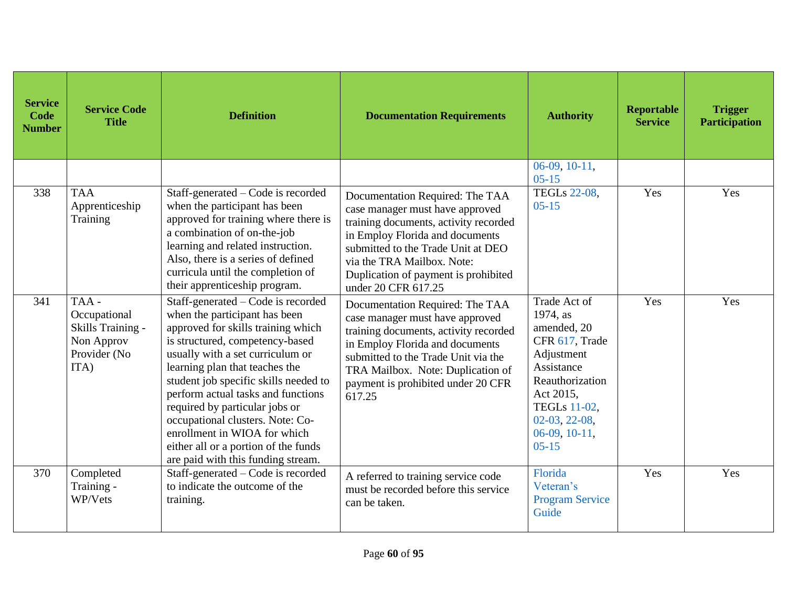| <b>Service</b><br>Code<br><b>Number</b> | <b>Service Code</b><br><b>Title</b>                                             | <b>Definition</b>                                                                                                                                                                                                                                                                                                                                                                                                                                                                     | <b>Documentation Requirements</b>                                                                                                                                                                                                                                                 | <b>Authority</b>                                                                                                                                                                                | Reportable<br><b>Service</b> | <b>Trigger</b><br><b>Participation</b> |
|-----------------------------------------|---------------------------------------------------------------------------------|---------------------------------------------------------------------------------------------------------------------------------------------------------------------------------------------------------------------------------------------------------------------------------------------------------------------------------------------------------------------------------------------------------------------------------------------------------------------------------------|-----------------------------------------------------------------------------------------------------------------------------------------------------------------------------------------------------------------------------------------------------------------------------------|-------------------------------------------------------------------------------------------------------------------------------------------------------------------------------------------------|------------------------------|----------------------------------------|
|                                         |                                                                                 |                                                                                                                                                                                                                                                                                                                                                                                                                                                                                       |                                                                                                                                                                                                                                                                                   | $06-09, 10-11,$<br>$05 - 15$                                                                                                                                                                    |                              |                                        |
| 338                                     | <b>TAA</b><br>Apprenticeship<br>Training                                        | Staff-generated – Code is recorded<br>when the participant has been<br>approved for training where there is<br>a combination of on-the-job<br>learning and related instruction.<br>Also, there is a series of defined<br>curricula until the completion of<br>their apprenticeship program.                                                                                                                                                                                           | Documentation Required: The TAA<br>case manager must have approved<br>training documents, activity recorded<br>in Employ Florida and documents<br>submitted to the Trade Unit at DEO<br>via the TRA Mailbox. Note:<br>Duplication of payment is prohibited<br>under 20 CFR 617.25 | <b>TEGLs 22-08,</b><br>$05 - 15$                                                                                                                                                                | Yes                          | Yes                                    |
| 341                                     | TAA-<br>Occupational<br>Skills Training -<br>Non Approv<br>Provider (No<br>ITA) | Staff-generated – Code is recorded<br>when the participant has been<br>approved for skills training which<br>is structured, competency-based<br>usually with a set curriculum or<br>learning plan that teaches the<br>student job specific skills needed to<br>perform actual tasks and functions<br>required by particular jobs or<br>occupational clusters. Note: Co-<br>enrollment in WIOA for which<br>either all or a portion of the funds<br>are paid with this funding stream. | Documentation Required: The TAA<br>case manager must have approved<br>training documents, activity recorded<br>in Employ Florida and documents<br>submitted to the Trade Unit via the<br>TRA Mailbox. Note: Duplication of<br>payment is prohibited under 20 CFR<br>617.25        | Trade Act of<br>1974, as<br>amended, 20<br>CFR 617, Trade<br>Adjustment<br>Assistance<br>Reauthorization<br>Act 2015,<br><b>TEGLs 11-02,</b><br>$02-03, 22-08,$<br>$06-09, 10-11,$<br>$05 - 15$ | Yes                          | Yes                                    |
| 370                                     | Completed<br>Training -<br>WP/Vets                                              | Staff-generated – Code is recorded<br>to indicate the outcome of the<br>training.                                                                                                                                                                                                                                                                                                                                                                                                     | A referred to training service code<br>must be recorded before this service<br>can be taken.                                                                                                                                                                                      | Florida<br>Veteran's<br><b>Program Service</b><br>Guide                                                                                                                                         | Yes                          | Yes                                    |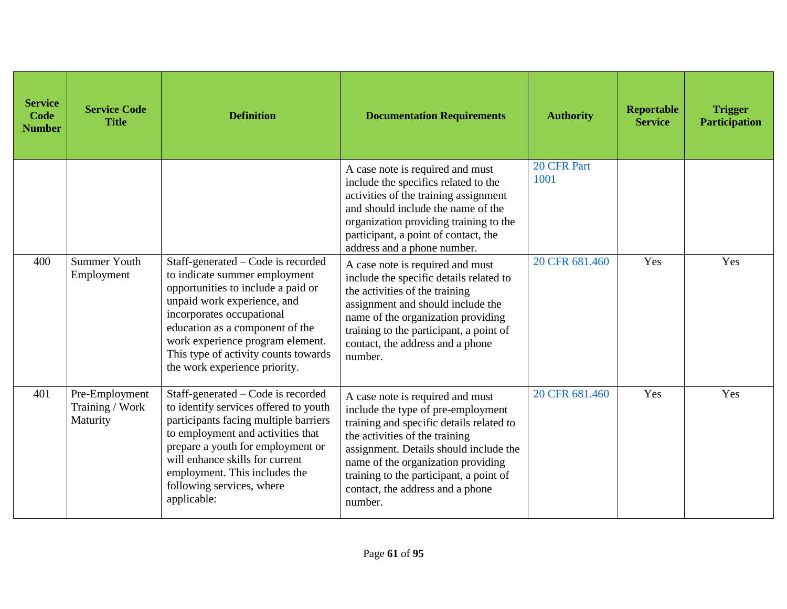| <b>Service</b><br>Code<br><b>Number</b> | <b>Service Code</b><br><b>Title</b>           | <b>Definition</b>                                                                                                                                                                                                                                                                                                     | <b>Documentation Requirements</b>                                                                                                                                                                                                                                                                                              | <b>Authority</b>    | Reportable<br><b>Service</b> | <b>Trigger</b><br><b>Participation</b> |
|-----------------------------------------|-----------------------------------------------|-----------------------------------------------------------------------------------------------------------------------------------------------------------------------------------------------------------------------------------------------------------------------------------------------------------------------|--------------------------------------------------------------------------------------------------------------------------------------------------------------------------------------------------------------------------------------------------------------------------------------------------------------------------------|---------------------|------------------------------|----------------------------------------|
|                                         |                                               |                                                                                                                                                                                                                                                                                                                       | A case note is required and must<br>include the specifics related to the<br>activities of the training assignment<br>and should include the name of the<br>organization providing training to the<br>participant, a point of contact, the<br>address and a phone number.                                                       | 20 CFR Part<br>1001 |                              |                                        |
| 400                                     | <b>Summer Youth</b><br>Employment             | Staff-generated - Code is recorded<br>to indicate summer employment<br>opportunities to include a paid or<br>unpaid work experience, and<br>incorporates occupational<br>education as a component of the<br>work experience program element.<br>This type of activity counts towards<br>the work experience priority. | A case note is required and must<br>include the specific details related to<br>the activities of the training<br>assignment and should include the<br>name of the organization providing<br>training to the participant, a point of<br>contact, the address and a phone<br>number.                                             | 20 CFR 681.460      | Yes                          | Yes                                    |
| 401                                     | Pre-Employment<br>Training / Work<br>Maturity | Staff-generated – Code is recorded<br>to identify services offered to youth<br>participants facing multiple barriers<br>to employment and activities that<br>prepare a youth for employment or<br>will enhance skills for current<br>employment. This includes the<br>following services, where<br>applicable:        | A case note is required and must<br>include the type of pre-employment<br>training and specific details related to<br>the activities of the training<br>assignment. Details should include the<br>name of the organization providing<br>training to the participant, a point of<br>contact, the address and a phone<br>number. | 20 CFR 681.460      | Yes                          | Yes                                    |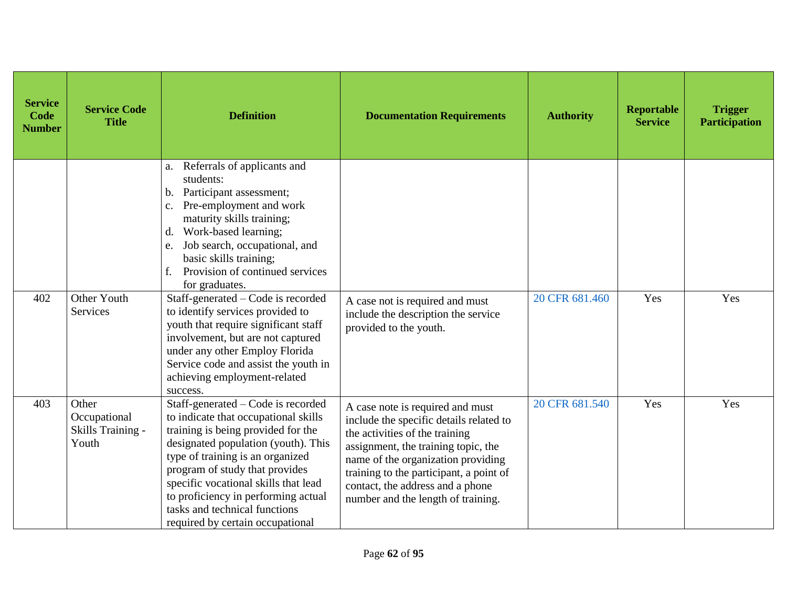| <b>Service</b><br>Code<br><b>Number</b> | <b>Service Code</b><br><b>Title</b>                 | <b>Definition</b>                                                                                                                                                                                                                                                                                                                                                                 | <b>Documentation Requirements</b>                                                                                                                                                                                                                                                                               | <b>Authority</b> | <b>Reportable</b><br><b>Service</b> | <b>Trigger</b><br><b>Participation</b> |
|-----------------------------------------|-----------------------------------------------------|-----------------------------------------------------------------------------------------------------------------------------------------------------------------------------------------------------------------------------------------------------------------------------------------------------------------------------------------------------------------------------------|-----------------------------------------------------------------------------------------------------------------------------------------------------------------------------------------------------------------------------------------------------------------------------------------------------------------|------------------|-------------------------------------|----------------------------------------|
| 402                                     | Other Youth                                         | Referrals of applicants and<br>a.<br>students:<br>Participant assessment;<br>b.<br>Pre-employment and work<br>$\mathbf{c}$ .<br>maturity skills training;<br>Work-based learning;<br>d.<br>Job search, occupational, and<br>e.<br>basic skills training;<br>Provision of continued services<br>for graduates.<br>Staff-generated – Code is recorded                               | A case not is required and must                                                                                                                                                                                                                                                                                 | 20 CFR 681.460   | Yes                                 | Yes                                    |
|                                         | Services                                            | to identify services provided to<br>youth that require significant staff<br>involvement, but are not captured<br>under any other Employ Florida<br>Service code and assist the youth in<br>achieving employment-related<br>success.                                                                                                                                               | include the description the service<br>provided to the youth.                                                                                                                                                                                                                                                   |                  |                                     |                                        |
| 403                                     | Other<br>Occupational<br>Skills Training -<br>Youth | Staff-generated - Code is recorded<br>to indicate that occupational skills<br>training is being provided for the<br>designated population (youth). This<br>type of training is an organized<br>program of study that provides<br>specific vocational skills that lead<br>to proficiency in performing actual<br>tasks and technical functions<br>required by certain occupational | A case note is required and must<br>include the specific details related to<br>the activities of the training<br>assignment, the training topic, the<br>name of the organization providing<br>training to the participant, a point of<br>contact, the address and a phone<br>number and the length of training. | 20 CFR 681.540   | Yes                                 | Yes                                    |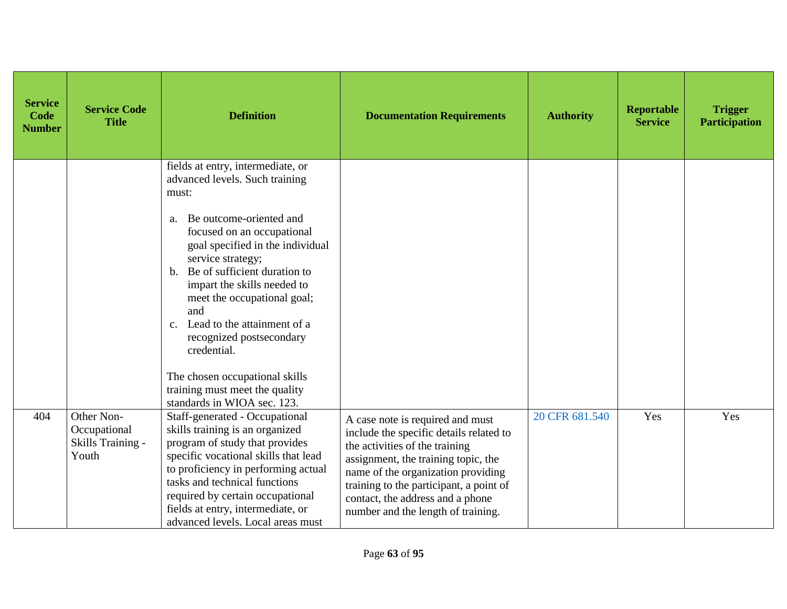| <b>Service</b><br>Code<br><b>Number</b> | <b>Service Code</b><br><b>Title</b>                      | <b>Definition</b>                                                                                                                                                                                                                                                                                                                                                                                                                                                                                                          | <b>Documentation Requirements</b>                                                                                                                                                                                                                                                                               | <b>Authority</b> | <b>Reportable</b><br><b>Service</b> | <b>Trigger</b><br><b>Participation</b> |
|-----------------------------------------|----------------------------------------------------------|----------------------------------------------------------------------------------------------------------------------------------------------------------------------------------------------------------------------------------------------------------------------------------------------------------------------------------------------------------------------------------------------------------------------------------------------------------------------------------------------------------------------------|-----------------------------------------------------------------------------------------------------------------------------------------------------------------------------------------------------------------------------------------------------------------------------------------------------------------|------------------|-------------------------------------|----------------------------------------|
|                                         |                                                          | fields at entry, intermediate, or<br>advanced levels. Such training<br>must:<br>Be outcome-oriented and<br>a.<br>focused on an occupational<br>goal specified in the individual<br>service strategy;<br>Be of sufficient duration to<br>$\mathbf{b}$ .<br>impart the skills needed to<br>meet the occupational goal;<br>and<br>Lead to the attainment of a<br>C <sub>1</sub><br>recognized postsecondary<br>credential.<br>The chosen occupational skills<br>training must meet the quality<br>standards in WIOA sec. 123. |                                                                                                                                                                                                                                                                                                                 |                  |                                     |                                        |
| 404                                     | Other Non-<br>Occupational<br>Skills Training -<br>Youth | Staff-generated - Occupational<br>skills training is an organized<br>program of study that provides<br>specific vocational skills that lead<br>to proficiency in performing actual<br>tasks and technical functions<br>required by certain occupational<br>fields at entry, intermediate, or<br>advanced levels. Local areas must                                                                                                                                                                                          | A case note is required and must<br>include the specific details related to<br>the activities of the training<br>assignment, the training topic, the<br>name of the organization providing<br>training to the participant, a point of<br>contact, the address and a phone<br>number and the length of training. | 20 CFR 681.540   | Yes                                 | Yes                                    |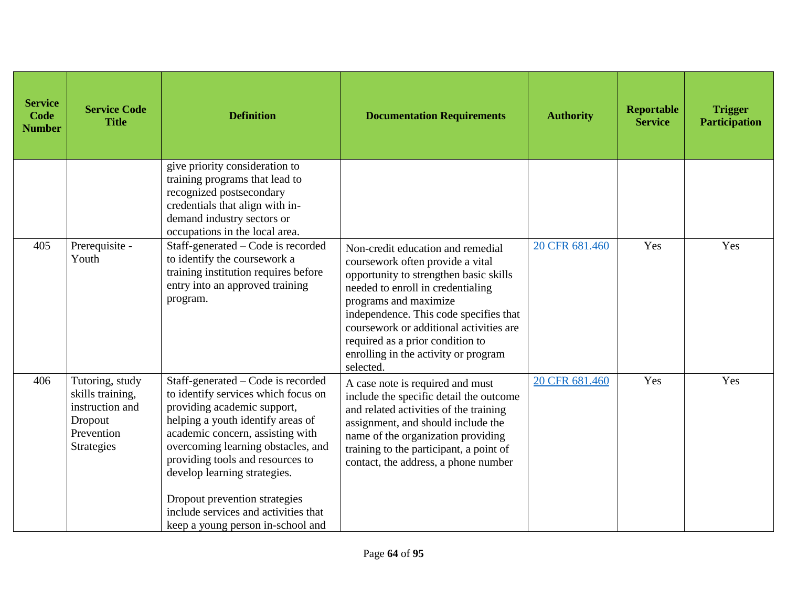| <b>Service</b><br>Code<br><b>Number</b> | <b>Service Code</b><br><b>Title</b>                                                                  | <b>Definition</b>                                                                                                                                                                                                                                                                                                                                                                                         | <b>Documentation Requirements</b>                                                                                                                                                                                                                                                                                                                           | <b>Authority</b> | Reportable<br><b>Service</b> | <b>Trigger</b><br><b>Participation</b> |
|-----------------------------------------|------------------------------------------------------------------------------------------------------|-----------------------------------------------------------------------------------------------------------------------------------------------------------------------------------------------------------------------------------------------------------------------------------------------------------------------------------------------------------------------------------------------------------|-------------------------------------------------------------------------------------------------------------------------------------------------------------------------------------------------------------------------------------------------------------------------------------------------------------------------------------------------------------|------------------|------------------------------|----------------------------------------|
|                                         |                                                                                                      | give priority consideration to<br>training programs that lead to<br>recognized postsecondary<br>credentials that align with in-<br>demand industry sectors or<br>occupations in the local area.                                                                                                                                                                                                           |                                                                                                                                                                                                                                                                                                                                                             |                  |                              |                                        |
| 405                                     | Prerequisite -<br>Youth                                                                              | Staff-generated – Code is recorded<br>to identify the coursework a<br>training institution requires before<br>entry into an approved training<br>program.                                                                                                                                                                                                                                                 | Non-credit education and remedial<br>coursework often provide a vital<br>opportunity to strengthen basic skills<br>needed to enroll in credentialing<br>programs and maximize<br>independence. This code specifies that<br>coursework or additional activities are<br>required as a prior condition to<br>enrolling in the activity or program<br>selected. | 20 CFR 681.460   | Yes                          | Yes                                    |
| 406                                     | Tutoring, study<br>skills training,<br>instruction and<br>Dropout<br>Prevention<br><b>Strategies</b> | Staff-generated – Code is recorded<br>to identify services which focus on<br>providing academic support,<br>helping a youth identify areas of<br>academic concern, assisting with<br>overcoming learning obstacles, and<br>providing tools and resources to<br>develop learning strategies.<br>Dropout prevention strategies<br>include services and activities that<br>keep a young person in-school and | A case note is required and must<br>include the specific detail the outcome<br>and related activities of the training<br>assignment, and should include the<br>name of the organization providing<br>training to the participant, a point of<br>contact, the address, a phone number                                                                        | 20 CFR 681.460   | Yes                          | Yes                                    |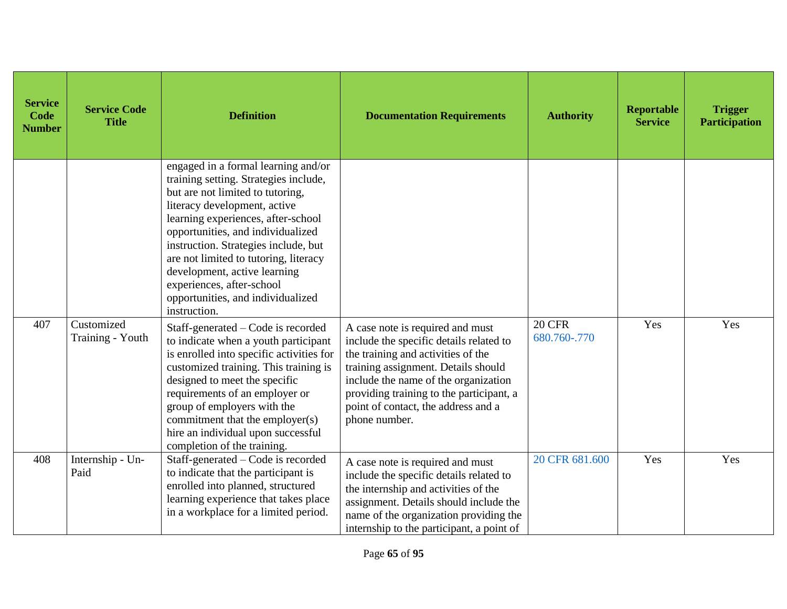| <b>Service</b><br>Code<br><b>Number</b> | <b>Service Code</b><br><b>Title</b> | <b>Definition</b>                                                                                                                                                                                                                                                                                                                                                                                                              | <b>Documentation Requirements</b>                                                                                                                                                                                                                                                                    | <b>Authority</b>              | Reportable<br><b>Service</b> | <b>Trigger</b><br><b>Participation</b> |
|-----------------------------------------|-------------------------------------|--------------------------------------------------------------------------------------------------------------------------------------------------------------------------------------------------------------------------------------------------------------------------------------------------------------------------------------------------------------------------------------------------------------------------------|------------------------------------------------------------------------------------------------------------------------------------------------------------------------------------------------------------------------------------------------------------------------------------------------------|-------------------------------|------------------------------|----------------------------------------|
|                                         |                                     | engaged in a formal learning and/or<br>training setting. Strategies include,<br>but are not limited to tutoring,<br>literacy development, active<br>learning experiences, after-school<br>opportunities, and individualized<br>instruction. Strategies include, but<br>are not limited to tutoring, literacy<br>development, active learning<br>experiences, after-school<br>opportunities, and individualized<br>instruction. |                                                                                                                                                                                                                                                                                                      |                               |                              |                                        |
| 407                                     | Customized<br>Training - Youth      | Staff-generated – Code is recorded<br>to indicate when a youth participant<br>is enrolled into specific activities for<br>customized training. This training is<br>designed to meet the specific<br>requirements of an employer or<br>group of employers with the<br>commitment that the employer(s)<br>hire an individual upon successful<br>completion of the training.                                                      | A case note is required and must<br>include the specific details related to<br>the training and activities of the<br>training assignment. Details should<br>include the name of the organization<br>providing training to the participant, a<br>point of contact, the address and a<br>phone number. | <b>20 CFR</b><br>680.760-.770 | Yes                          | Yes                                    |
| 408                                     | Internship - Un-<br>Paid            | Staff-generated – Code is recorded<br>to indicate that the participant is<br>enrolled into planned, structured<br>learning experience that takes place<br>in a workplace for a limited period.                                                                                                                                                                                                                                 | A case note is required and must<br>include the specific details related to<br>the internship and activities of the<br>assignment. Details should include the<br>name of the organization providing the<br>internship to the participant, a point of                                                 | 20 CFR 681.600                | Yes                          | Yes                                    |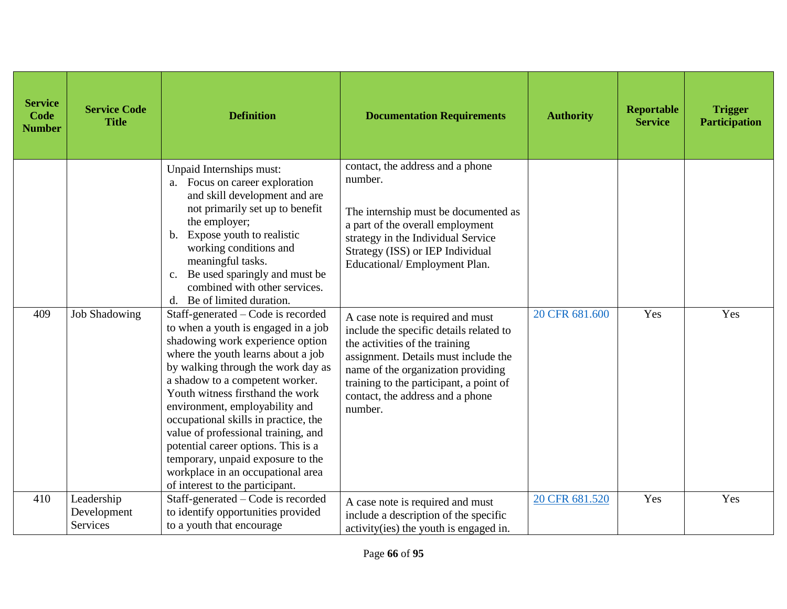| <b>Service</b><br>Code<br><b>Number</b> | <b>Service Code</b><br><b>Title</b> | <b>Definition</b>                                                                                                                                                                                                                                                                                                                                                                                                                                                                                                                                                                                                                                                                                                                                                                                                                                                                                           | <b>Documentation Requirements</b>                                                                                                                                                                                                                                                                                                                                                                                                                                                                                          | <b>Authority</b> | <b>Reportable</b><br><b>Service</b> | <b>Trigger</b><br><b>Participation</b> |
|-----------------------------------------|-------------------------------------|-------------------------------------------------------------------------------------------------------------------------------------------------------------------------------------------------------------------------------------------------------------------------------------------------------------------------------------------------------------------------------------------------------------------------------------------------------------------------------------------------------------------------------------------------------------------------------------------------------------------------------------------------------------------------------------------------------------------------------------------------------------------------------------------------------------------------------------------------------------------------------------------------------------|----------------------------------------------------------------------------------------------------------------------------------------------------------------------------------------------------------------------------------------------------------------------------------------------------------------------------------------------------------------------------------------------------------------------------------------------------------------------------------------------------------------------------|------------------|-------------------------------------|----------------------------------------|
| 409                                     | <b>Job Shadowing</b>                | Unpaid Internships must:<br>a. Focus on career exploration<br>and skill development and are<br>not primarily set up to benefit<br>the employer;<br>Expose youth to realistic<br>$\mathbf{b}$ .<br>working conditions and<br>meaningful tasks.<br>Be used sparingly and must be<br>$\mathbf{c}$ .<br>combined with other services.<br>Be of limited duration.<br>d.<br>Staff-generated – Code is recorded<br>to when a youth is engaged in a job<br>shadowing work experience option<br>where the youth learns about a job<br>by walking through the work day as<br>a shadow to a competent worker.<br>Youth witness firsthand the work<br>environment, employability and<br>occupational skills in practice, the<br>value of professional training, and<br>potential career options. This is a<br>temporary, unpaid exposure to the<br>workplace in an occupational area<br>of interest to the participant. | contact, the address and a phone<br>number.<br>The internship must be documented as<br>a part of the overall employment<br>strategy in the Individual Service<br>Strategy (ISS) or IEP Individual<br>Educational/Employment Plan.<br>A case note is required and must<br>include the specific details related to<br>the activities of the training<br>assignment. Details must include the<br>name of the organization providing<br>training to the participant, a point of<br>contact, the address and a phone<br>number. | 20 CFR 681.600   | Yes                                 | Yes                                    |
| 410                                     | Leadership<br>Development           | Staff-generated – Code is recorded<br>to identify opportunities provided                                                                                                                                                                                                                                                                                                                                                                                                                                                                                                                                                                                                                                                                                                                                                                                                                                    | A case note is required and must                                                                                                                                                                                                                                                                                                                                                                                                                                                                                           | 20 CFR 681.520   | Yes                                 | Yes                                    |
|                                         | Services                            | to a youth that encourage                                                                                                                                                                                                                                                                                                                                                                                                                                                                                                                                                                                                                                                                                                                                                                                                                                                                                   | include a description of the specific<br>activity (ies) the youth is engaged in.                                                                                                                                                                                                                                                                                                                                                                                                                                           |                  |                                     |                                        |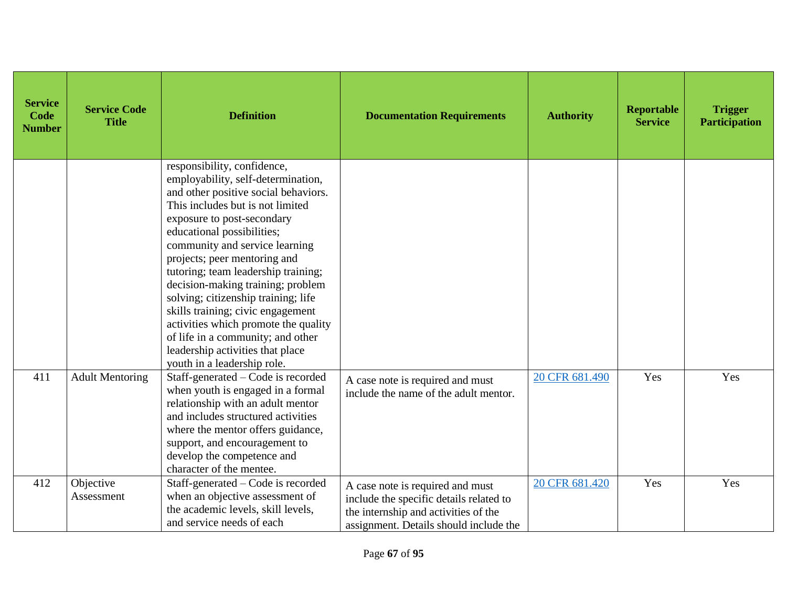| <b>Service</b><br>Code<br><b>Number</b> | <b>Service Code</b><br><b>Title</b> | <b>Definition</b>                                                                                                                                                                                                                                                                                                                                                                                                                                                                                                                                                                   | <b>Documentation Requirements</b>                                                                                                                             | <b>Authority</b> | <b>Reportable</b><br><b>Service</b> | <b>Trigger</b><br><b>Participation</b> |
|-----------------------------------------|-------------------------------------|-------------------------------------------------------------------------------------------------------------------------------------------------------------------------------------------------------------------------------------------------------------------------------------------------------------------------------------------------------------------------------------------------------------------------------------------------------------------------------------------------------------------------------------------------------------------------------------|---------------------------------------------------------------------------------------------------------------------------------------------------------------|------------------|-------------------------------------|----------------------------------------|
|                                         |                                     | responsibility, confidence,<br>employability, self-determination,<br>and other positive social behaviors.<br>This includes but is not limited<br>exposure to post-secondary<br>educational possibilities;<br>community and service learning<br>projects; peer mentoring and<br>tutoring; team leadership training;<br>decision-making training; problem<br>solving; citizenship training; life<br>skills training; civic engagement<br>activities which promote the quality<br>of life in a community; and other<br>leadership activities that place<br>youth in a leadership role. |                                                                                                                                                               |                  |                                     |                                        |
| 411                                     | <b>Adult Mentoring</b>              | Staff-generated - Code is recorded<br>when youth is engaged in a formal<br>relationship with an adult mentor<br>and includes structured activities<br>where the mentor offers guidance,<br>support, and encouragement to<br>develop the competence and<br>character of the mentee.                                                                                                                                                                                                                                                                                                  | A case note is required and must<br>include the name of the adult mentor.                                                                                     | 20 CFR 681.490   | Yes                                 | Yes                                    |
| 412                                     | Objective<br>Assessment             | Staff-generated - Code is recorded<br>when an objective assessment of<br>the academic levels, skill levels,<br>and service needs of each                                                                                                                                                                                                                                                                                                                                                                                                                                            | A case note is required and must<br>include the specific details related to<br>the internship and activities of the<br>assignment. Details should include the | 20 CFR 681.420   | Yes                                 | Yes                                    |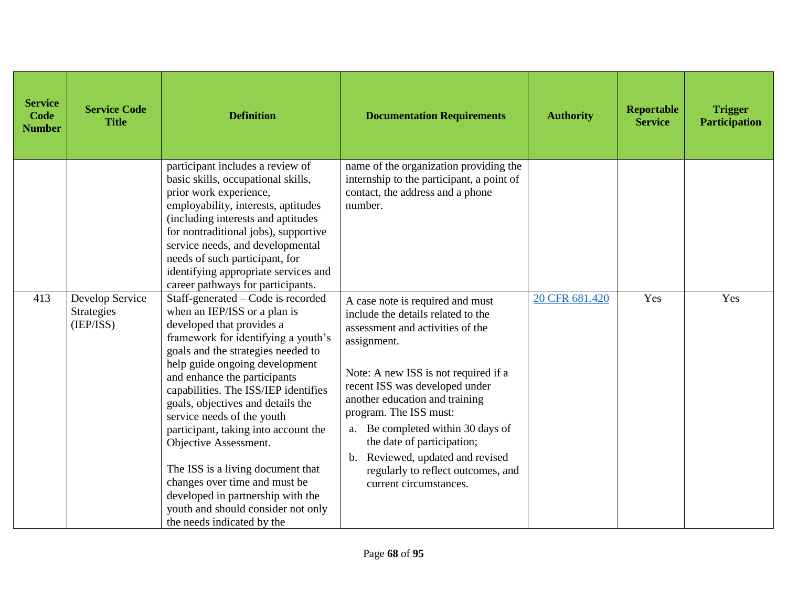| <b>Service</b><br>Code<br><b>Number</b> | <b>Service Code</b><br><b>Title</b>        | <b>Definition</b>                                                                                                                                                                                                                                                                                                                                                                                                                                                                                                                                                                                         | <b>Documentation Requirements</b>                                                                                                                                                                                                                                                                                                                                                                                                            | <b>Authority</b> | <b>Reportable</b><br><b>Service</b> | <b>Trigger</b><br><b>Participation</b> |
|-----------------------------------------|--------------------------------------------|-----------------------------------------------------------------------------------------------------------------------------------------------------------------------------------------------------------------------------------------------------------------------------------------------------------------------------------------------------------------------------------------------------------------------------------------------------------------------------------------------------------------------------------------------------------------------------------------------------------|----------------------------------------------------------------------------------------------------------------------------------------------------------------------------------------------------------------------------------------------------------------------------------------------------------------------------------------------------------------------------------------------------------------------------------------------|------------------|-------------------------------------|----------------------------------------|
|                                         |                                            | participant includes a review of<br>basic skills, occupational skills,<br>prior work experience,<br>employability, interests, aptitudes<br>(including interests and aptitudes<br>for nontraditional jobs), supportive<br>service needs, and developmental<br>needs of such participant, for<br>identifying appropriate services and<br>career pathways for participants.                                                                                                                                                                                                                                  | name of the organization providing the<br>internship to the participant, a point of<br>contact, the address and a phone<br>number.                                                                                                                                                                                                                                                                                                           |                  |                                     |                                        |
| 413                                     | Develop Service<br>Strategies<br>(IEP/ISS) | Staff-generated - Code is recorded<br>when an IEP/ISS or a plan is<br>developed that provides a<br>framework for identifying a youth's<br>goals and the strategies needed to<br>help guide ongoing development<br>and enhance the participants<br>capabilities. The ISS/IEP identifies<br>goals, objectives and details the<br>service needs of the youth<br>participant, taking into account the<br>Objective Assessment.<br>The ISS is a living document that<br>changes over time and must be<br>developed in partnership with the<br>youth and should consider not only<br>the needs indicated by the | A case note is required and must<br>include the details related to the<br>assessment and activities of the<br>assignment.<br>Note: A new ISS is not required if a<br>recent ISS was developed under<br>another education and training<br>program. The ISS must:<br>Be completed within 30 days of<br>a.<br>the date of participation;<br>Reviewed, updated and revised<br>b.<br>regularly to reflect outcomes, and<br>current circumstances. | 20 CFR 681.420   | Yes                                 | Yes                                    |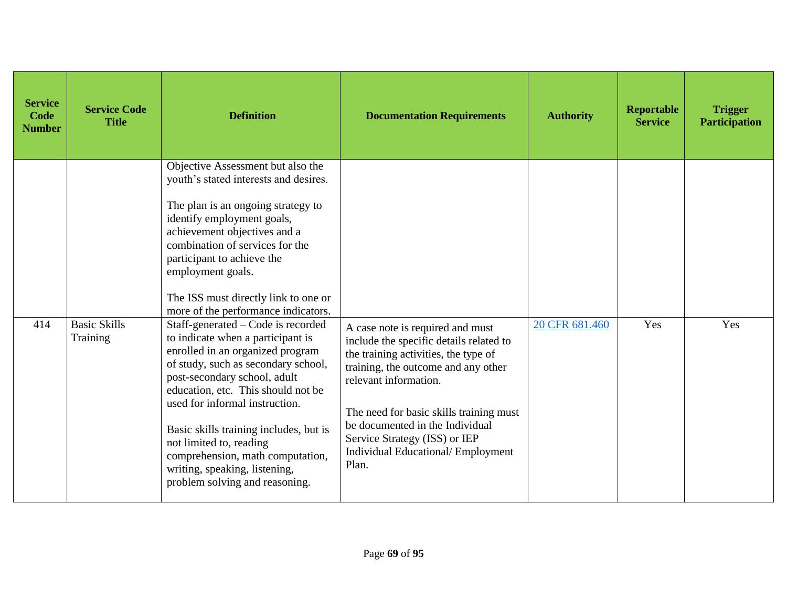| <b>Service</b><br><b>Code</b><br><b>Number</b> | <b>Service Code</b><br><b>Title</b> | <b>Definition</b>                                                                                                                                                                                                                                                                                                                                                                                | <b>Documentation Requirements</b>                                                                                                                                                                                                                                                                             | <b>Authority</b> | Reportable<br><b>Service</b> | <b>Trigger</b><br><b>Participation</b> |
|------------------------------------------------|-------------------------------------|--------------------------------------------------------------------------------------------------------------------------------------------------------------------------------------------------------------------------------------------------------------------------------------------------------------------------------------------------------------------------------------------------|---------------------------------------------------------------------------------------------------------------------------------------------------------------------------------------------------------------------------------------------------------------------------------------------------------------|------------------|------------------------------|----------------------------------------|
| 414                                            | <b>Basic Skills</b>                 | Objective Assessment but also the<br>youth's stated interests and desires.<br>The plan is an ongoing strategy to<br>identify employment goals,<br>achievement objectives and a<br>combination of services for the<br>participant to achieve the<br>employment goals.<br>The ISS must directly link to one or<br>more of the performance indicators.<br>Staff-generated - Code is recorded        | A case note is required and must                                                                                                                                                                                                                                                                              | 20 CFR 681.460   | Yes                          | Yes                                    |
|                                                | Training                            | to indicate when a participant is<br>enrolled in an organized program<br>of study, such as secondary school,<br>post-secondary school, adult<br>education, etc. This should not be<br>used for informal instruction.<br>Basic skills training includes, but is<br>not limited to, reading<br>comprehension, math computation,<br>writing, speaking, listening,<br>problem solving and reasoning. | include the specific details related to<br>the training activities, the type of<br>training, the outcome and any other<br>relevant information.<br>The need for basic skills training must<br>be documented in the Individual<br>Service Strategy (ISS) or IEP<br>Individual Educational/ Employment<br>Plan. |                  |                              |                                        |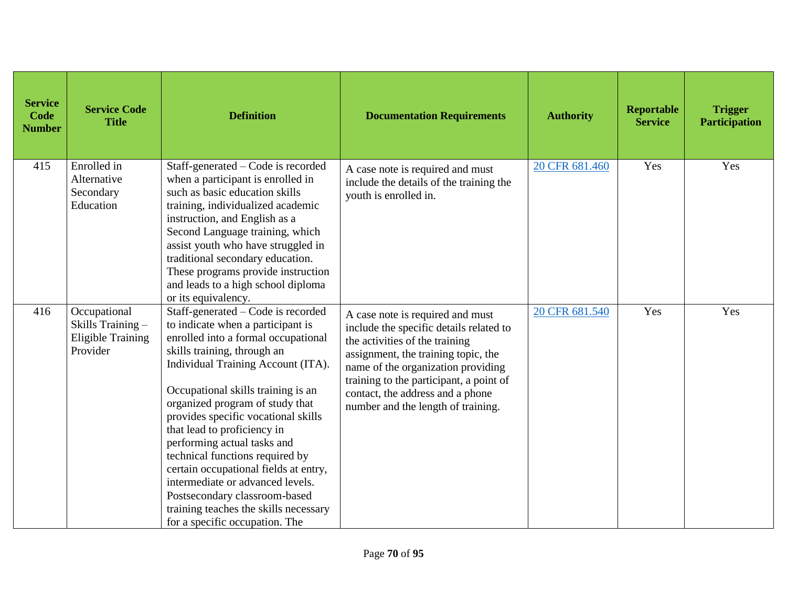| <b>Service</b><br>Code<br><b>Number</b> | <b>Service Code</b><br><b>Title</b>                                       | <b>Definition</b>                                                                                                                                                                                                                                                                                                                                                                                                                                                                                                                                                                             | <b>Documentation Requirements</b>                                                                                                                                                                                                                                                                               | <b>Authority</b> | Reportable<br><b>Service</b> | <b>Trigger</b><br><b>Participation</b> |
|-----------------------------------------|---------------------------------------------------------------------------|-----------------------------------------------------------------------------------------------------------------------------------------------------------------------------------------------------------------------------------------------------------------------------------------------------------------------------------------------------------------------------------------------------------------------------------------------------------------------------------------------------------------------------------------------------------------------------------------------|-----------------------------------------------------------------------------------------------------------------------------------------------------------------------------------------------------------------------------------------------------------------------------------------------------------------|------------------|------------------------------|----------------------------------------|
| 415                                     | Enrolled in<br>Alternative<br>Secondary<br>Education                      | Staff-generated - Code is recorded<br>when a participant is enrolled in<br>such as basic education skills<br>training, individualized academic<br>instruction, and English as a<br>Second Language training, which<br>assist youth who have struggled in<br>traditional secondary education.<br>These programs provide instruction<br>and leads to a high school diploma<br>or its equivalency.                                                                                                                                                                                               | A case note is required and must<br>include the details of the training the<br>youth is enrolled in.                                                                                                                                                                                                            | 20 CFR 681.460   | Yes                          | Yes                                    |
| 416                                     | Occupational<br>Skills Training -<br><b>Eligible Training</b><br>Provider | Staff-generated – Code is recorded<br>to indicate when a participant is<br>enrolled into a formal occupational<br>skills training, through an<br>Individual Training Account (ITA).<br>Occupational skills training is an<br>organized program of study that<br>provides specific vocational skills<br>that lead to proficiency in<br>performing actual tasks and<br>technical functions required by<br>certain occupational fields at entry,<br>intermediate or advanced levels.<br>Postsecondary classroom-based<br>training teaches the skills necessary<br>for a specific occupation. The | A case note is required and must<br>include the specific details related to<br>the activities of the training<br>assignment, the training topic, the<br>name of the organization providing<br>training to the participant, a point of<br>contact, the address and a phone<br>number and the length of training. | 20 CFR 681.540   | Yes                          | Yes                                    |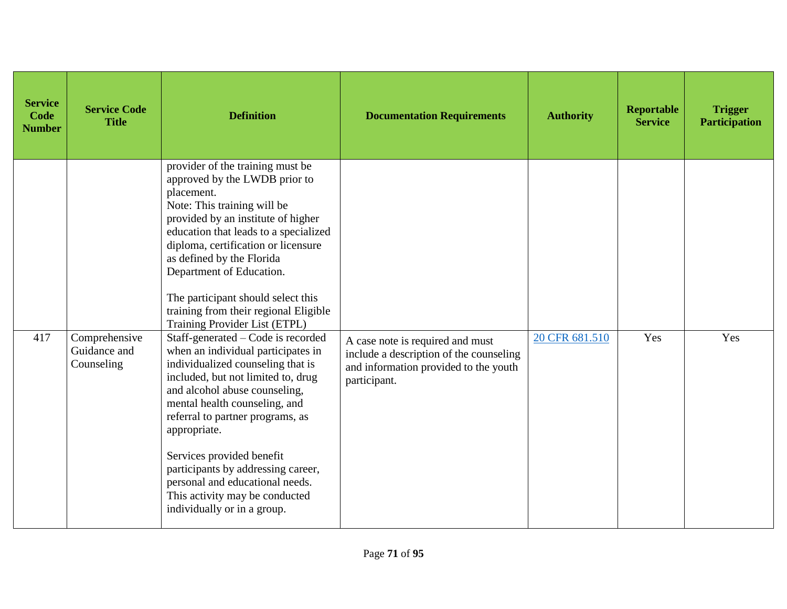| <b>Service</b><br>Code<br><b>Number</b> | <b>Service Code</b><br><b>Title</b>         | <b>Definition</b>                                                                                                                                                                                                                                                                                                                                                                                                                                | <b>Documentation Requirements</b>                                                                                                    | <b>Authority</b> | <b>Reportable</b><br><b>Service</b> | <b>Trigger</b><br><b>Participation</b> |
|-----------------------------------------|---------------------------------------------|--------------------------------------------------------------------------------------------------------------------------------------------------------------------------------------------------------------------------------------------------------------------------------------------------------------------------------------------------------------------------------------------------------------------------------------------------|--------------------------------------------------------------------------------------------------------------------------------------|------------------|-------------------------------------|----------------------------------------|
|                                         |                                             | provider of the training must be<br>approved by the LWDB prior to<br>placement.<br>Note: This training will be<br>provided by an institute of higher<br>education that leads to a specialized<br>diploma, certification or licensure<br>as defined by the Florida<br>Department of Education.<br>The participant should select this<br>training from their regional Eligible<br>Training Provider List (ETPL)                                    |                                                                                                                                      |                  |                                     |                                        |
| 417                                     | Comprehensive<br>Guidance and<br>Counseling | Staff-generated – Code is recorded<br>when an individual participates in<br>individualized counseling that is<br>included, but not limited to, drug<br>and alcohol abuse counseling,<br>mental health counseling, and<br>referral to partner programs, as<br>appropriate.<br>Services provided benefit<br>participants by addressing career,<br>personal and educational needs.<br>This activity may be conducted<br>individually or in a group. | A case note is required and must<br>include a description of the counseling<br>and information provided to the youth<br>participant. | 20 CFR 681.510   | Yes                                 | Yes                                    |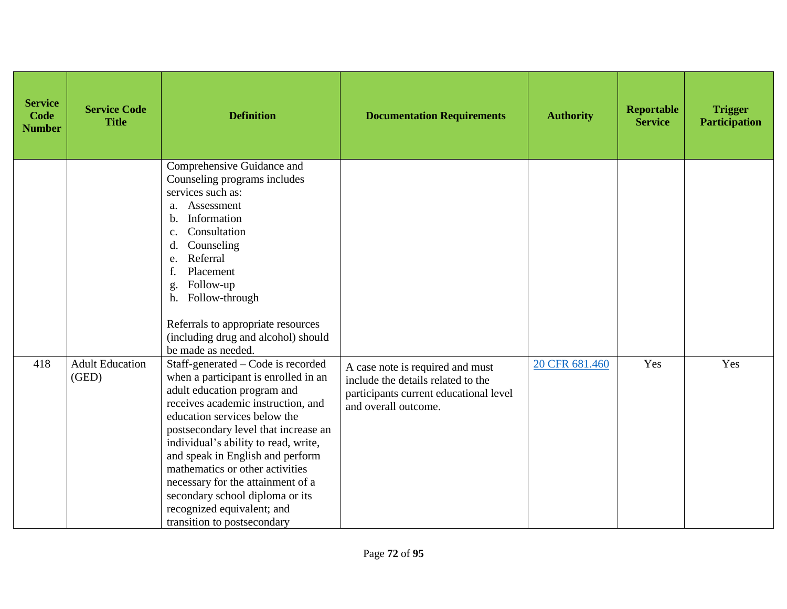| <b>Service</b><br>Code<br><b>Number</b> | <b>Service Code</b><br><b>Title</b> | <b>Definition</b>                                                                                                                                                                                                                                                                                                                                                                                                                                                           | <b>Documentation Requirements</b>                                                                                                        | <b>Authority</b> | <b>Reportable</b><br><b>Service</b> | <b>Trigger</b><br><b>Participation</b> |
|-----------------------------------------|-------------------------------------|-----------------------------------------------------------------------------------------------------------------------------------------------------------------------------------------------------------------------------------------------------------------------------------------------------------------------------------------------------------------------------------------------------------------------------------------------------------------------------|------------------------------------------------------------------------------------------------------------------------------------------|------------------|-------------------------------------|----------------------------------------|
|                                         |                                     | Comprehensive Guidance and<br>Counseling programs includes<br>services such as:<br>Assessment<br>a.<br>Information<br>b.<br>Consultation<br>c.<br>Counseling<br>d.<br>Referral<br>e.<br>Placement<br>Follow-up<br>g<br>Follow-through<br>h.<br>Referrals to appropriate resources<br>(including drug and alcohol) should<br>be made as needed.                                                                                                                              |                                                                                                                                          |                  |                                     |                                        |
| 418                                     | <b>Adult Education</b><br>(GED)     | Staff-generated - Code is recorded<br>when a participant is enrolled in an<br>adult education program and<br>receives academic instruction, and<br>education services below the<br>postsecondary level that increase an<br>individual's ability to read, write,<br>and speak in English and perform<br>mathematics or other activities<br>necessary for the attainment of a<br>secondary school diploma or its<br>recognized equivalent; and<br>transition to postsecondary | A case note is required and must<br>include the details related to the<br>participants current educational level<br>and overall outcome. | 20 CFR 681.460   | Yes                                 | Yes                                    |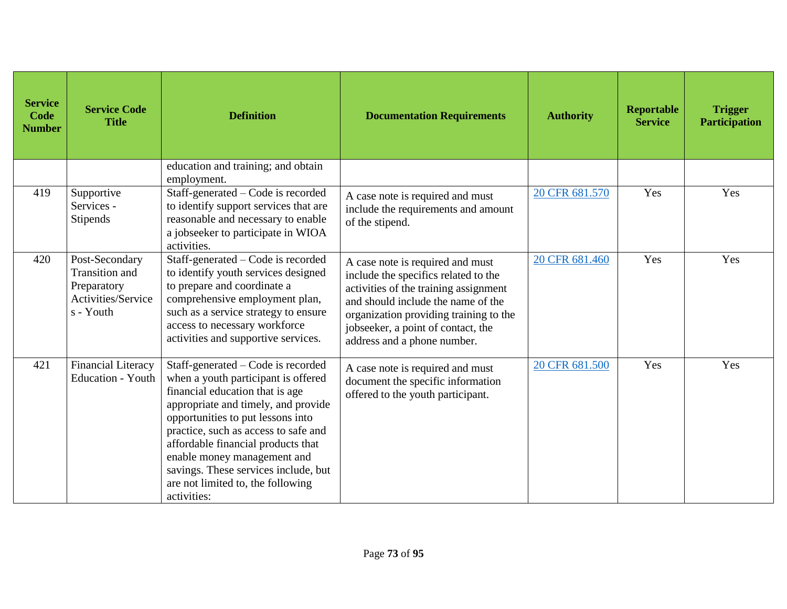| <b>Service</b><br>Code<br><b>Number</b> | <b>Service Code</b><br><b>Title</b>                                                | <b>Definition</b>                                                                                                                                                                                                                                                                                                                                                                                 | <b>Documentation Requirements</b>                                                                                                                                                                                                                                      | <b>Authority</b> | <b>Reportable</b><br><b>Service</b> | <b>Trigger</b><br><b>Participation</b> |
|-----------------------------------------|------------------------------------------------------------------------------------|---------------------------------------------------------------------------------------------------------------------------------------------------------------------------------------------------------------------------------------------------------------------------------------------------------------------------------------------------------------------------------------------------|------------------------------------------------------------------------------------------------------------------------------------------------------------------------------------------------------------------------------------------------------------------------|------------------|-------------------------------------|----------------------------------------|
|                                         |                                                                                    | education and training; and obtain<br>employment.                                                                                                                                                                                                                                                                                                                                                 |                                                                                                                                                                                                                                                                        |                  |                                     |                                        |
| 419                                     | Supportive<br>Services -<br>Stipends                                               | Staff-generated – Code is recorded<br>to identify support services that are<br>reasonable and necessary to enable<br>a jobseeker to participate in WIOA<br>activities.                                                                                                                                                                                                                            | A case note is required and must<br>include the requirements and amount<br>of the stipend.                                                                                                                                                                             | 20 CFR 681.570   | Yes                                 | Yes                                    |
| 420                                     | Post-Secondary<br>Transition and<br>Preparatory<br>Activities/Service<br>s - Youth | Staff-generated - Code is recorded<br>to identify youth services designed<br>to prepare and coordinate a<br>comprehensive employment plan,<br>such as a service strategy to ensure<br>access to necessary workforce<br>activities and supportive services.                                                                                                                                        | A case note is required and must<br>include the specifics related to the<br>activities of the training assignment<br>and should include the name of the<br>organization providing training to the<br>jobseeker, a point of contact, the<br>address and a phone number. | 20 CFR 681.460   | Yes                                 | Yes                                    |
| 421                                     | Financial Literacy<br>Education - Youth                                            | Staff-generated – Code is recorded<br>when a youth participant is offered<br>financial education that is age<br>appropriate and timely, and provide<br>opportunities to put lessons into<br>practice, such as access to safe and<br>affordable financial products that<br>enable money management and<br>savings. These services include, but<br>are not limited to, the following<br>activities: | A case note is required and must<br>document the specific information<br>offered to the youth participant.                                                                                                                                                             | 20 CFR 681.500   | Yes                                 | Yes                                    |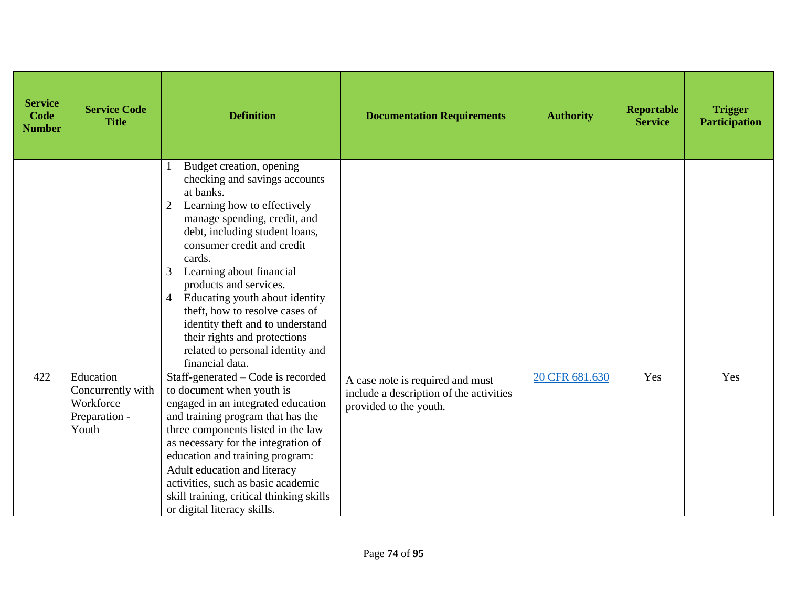| <b>Service</b><br>Code<br><b>Number</b> | <b>Service Code</b><br><b>Title</b>                                   | <b>Definition</b>                                                                                                                                                                                                                                                                                                                                                                                                                                                                                | <b>Documentation Requirements</b>                                                                     | <b>Authority</b> | <b>Reportable</b><br><b>Service</b> | <b>Trigger</b><br><b>Participation</b> |
|-----------------------------------------|-----------------------------------------------------------------------|--------------------------------------------------------------------------------------------------------------------------------------------------------------------------------------------------------------------------------------------------------------------------------------------------------------------------------------------------------------------------------------------------------------------------------------------------------------------------------------------------|-------------------------------------------------------------------------------------------------------|------------------|-------------------------------------|----------------------------------------|
|                                         |                                                                       | Budget creation, opening<br>checking and savings accounts<br>at banks.<br>Learning how to effectively<br>$\overline{2}$<br>manage spending, credit, and<br>debt, including student loans,<br>consumer credit and credit<br>cards.<br>3<br>Learning about financial<br>products and services.<br>Educating youth about identity<br>4<br>theft, how to resolve cases of<br>identity theft and to understand<br>their rights and protections<br>related to personal identity and<br>financial data. |                                                                                                       |                  |                                     |                                        |
| 422                                     | Education<br>Concurrently with<br>Workforce<br>Preparation -<br>Youth | Staff-generated - Code is recorded<br>to document when youth is<br>engaged in an integrated education<br>and training program that has the<br>three components listed in the law<br>as necessary for the integration of<br>education and training program:<br>Adult education and literacy<br>activities, such as basic academic<br>skill training, critical thinking skills<br>or digital literacy skills.                                                                                      | A case note is required and must<br>include a description of the activities<br>provided to the youth. | 20 CFR 681.630   | Yes                                 | Yes                                    |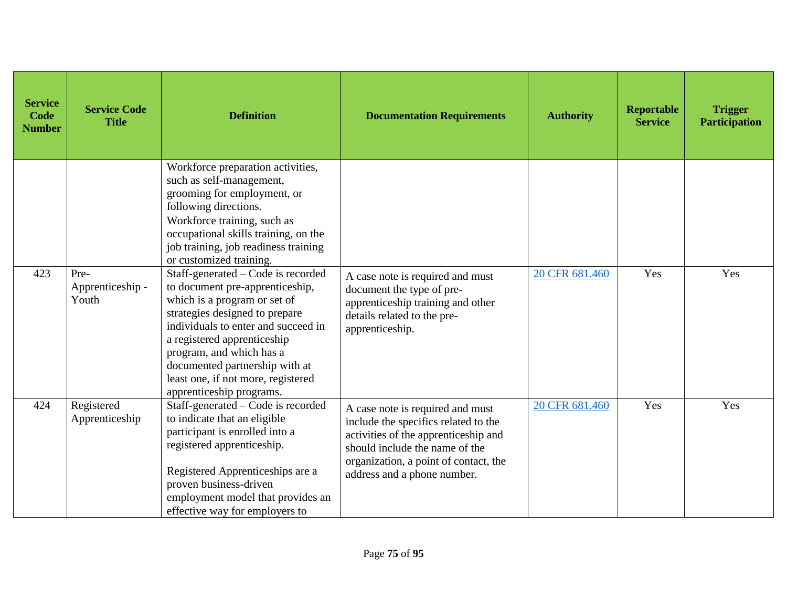| <b>Service</b><br><b>Code</b><br><b>Number</b> | <b>Service Code</b><br><b>Title</b> | <b>Definition</b>                                                                                                                                                                                                                                                                                                                             | <b>Documentation Requirements</b>                                                                                                                                                                                          | <b>Authority</b> | <b>Reportable</b><br><b>Service</b> | <b>Trigger</b><br><b>Participation</b> |
|------------------------------------------------|-------------------------------------|-----------------------------------------------------------------------------------------------------------------------------------------------------------------------------------------------------------------------------------------------------------------------------------------------------------------------------------------------|----------------------------------------------------------------------------------------------------------------------------------------------------------------------------------------------------------------------------|------------------|-------------------------------------|----------------------------------------|
|                                                |                                     | Workforce preparation activities,<br>such as self-management,<br>grooming for employment, or<br>following directions.<br>Workforce training, such as<br>occupational skills training, on the<br>job training, job readiness training<br>or customized training.                                                                               |                                                                                                                                                                                                                            |                  |                                     |                                        |
| 423                                            | Pre-<br>Apprenticeship -<br>Youth   | Staff-generated – Code is recorded<br>to document pre-apprenticeship,<br>which is a program or set of<br>strategies designed to prepare<br>individuals to enter and succeed in<br>a registered apprenticeship<br>program, and which has a<br>documented partnership with at<br>least one, if not more, registered<br>apprenticeship programs. | A case note is required and must<br>document the type of pre-<br>apprenticeship training and other<br>details related to the pre-<br>apprenticeship.                                                                       | 20 CFR 681.460   | Yes                                 | Yes                                    |
| 424                                            | Registered<br>Apprenticeship        | Staff-generated - Code is recorded<br>to indicate that an eligible<br>participant is enrolled into a<br>registered apprenticeship.<br>Registered Apprenticeships are a<br>proven business-driven<br>employment model that provides an<br>effective way for employers to                                                                       | A case note is required and must<br>include the specifics related to the<br>activities of the apprenticeship and<br>should include the name of the<br>organization, a point of contact, the<br>address and a phone number. | 20 CFR 681.460   | Yes                                 | Yes                                    |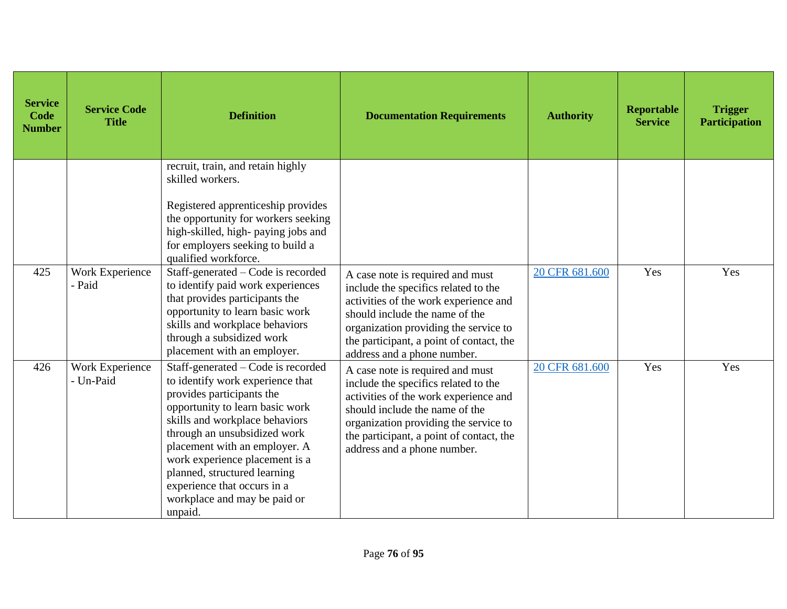| <b>Service</b><br>Code<br><b>Number</b> | <b>Service Code</b><br><b>Title</b> | <b>Definition</b>                                                                                                                                                                                                                                                                                                                                                                     | <b>Documentation Requirements</b>                                                                                                                                                                                                                                       | <b>Authority</b> | <b>Reportable</b><br><b>Service</b> | <b>Trigger</b><br><b>Participation</b> |
|-----------------------------------------|-------------------------------------|---------------------------------------------------------------------------------------------------------------------------------------------------------------------------------------------------------------------------------------------------------------------------------------------------------------------------------------------------------------------------------------|-------------------------------------------------------------------------------------------------------------------------------------------------------------------------------------------------------------------------------------------------------------------------|------------------|-------------------------------------|----------------------------------------|
|                                         |                                     | recruit, train, and retain highly<br>skilled workers.<br>Registered apprenticeship provides<br>the opportunity for workers seeking<br>high-skilled, high-paying jobs and<br>for employers seeking to build a<br>qualified workforce.                                                                                                                                                  |                                                                                                                                                                                                                                                                         |                  |                                     |                                        |
| 425                                     | <b>Work Experience</b><br>- Paid    | Staff-generated – Code is recorded<br>to identify paid work experiences<br>that provides participants the<br>opportunity to learn basic work<br>skills and workplace behaviors<br>through a subsidized work<br>placement with an employer.                                                                                                                                            | A case note is required and must<br>include the specifics related to the<br>activities of the work experience and<br>should include the name of the<br>organization providing the service to<br>the participant, a point of contact, the<br>address and a phone number. | 20 CFR 681.600   | Yes                                 | Yes                                    |
| 426                                     | Work Experience<br>- Un-Paid        | Staff-generated - Code is recorded<br>to identify work experience that<br>provides participants the<br>opportunity to learn basic work<br>skills and workplace behaviors<br>through an unsubsidized work<br>placement with an employer. A<br>work experience placement is a<br>planned, structured learning<br>experience that occurs in a<br>workplace and may be paid or<br>unpaid. | A case note is required and must<br>include the specifics related to the<br>activities of the work experience and<br>should include the name of the<br>organization providing the service to<br>the participant, a point of contact, the<br>address and a phone number. | 20 CFR 681.600   | Yes                                 | Yes                                    |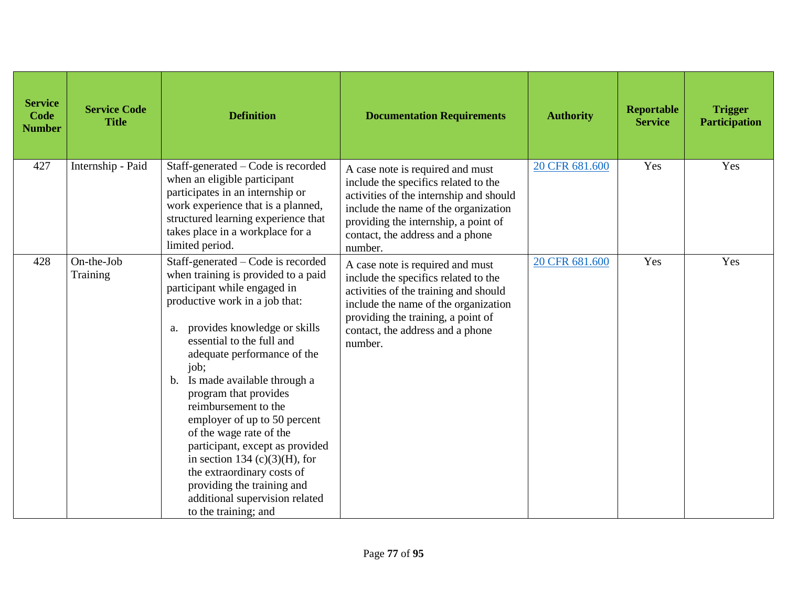| <b>Service</b><br><b>Code</b><br><b>Number</b> | <b>Service Code</b><br><b>Title</b> | <b>Definition</b>                                                                                                                                                                                                                                                                                                                                                                                                                                                                                                                                                                                            | <b>Documentation Requirements</b>                                                                                                                                                                                                                  | <b>Authority</b> | Reportable<br><b>Service</b> | <b>Trigger</b><br><b>Participation</b> |
|------------------------------------------------|-------------------------------------|--------------------------------------------------------------------------------------------------------------------------------------------------------------------------------------------------------------------------------------------------------------------------------------------------------------------------------------------------------------------------------------------------------------------------------------------------------------------------------------------------------------------------------------------------------------------------------------------------------------|----------------------------------------------------------------------------------------------------------------------------------------------------------------------------------------------------------------------------------------------------|------------------|------------------------------|----------------------------------------|
| 427                                            | Internship - Paid                   | Staff-generated – Code is recorded<br>when an eligible participant<br>participates in an internship or<br>work experience that is a planned,<br>structured learning experience that<br>takes place in a workplace for a<br>limited period.                                                                                                                                                                                                                                                                                                                                                                   | A case note is required and must<br>include the specifics related to the<br>activities of the internship and should<br>include the name of the organization<br>providing the internship, a point of<br>contact, the address and a phone<br>number. | 20 CFR 681.600   | Yes                          | Yes                                    |
| 428                                            | On-the-Job<br>Training              | Staff-generated – Code is recorded<br>when training is provided to a paid<br>participant while engaged in<br>productive work in a job that:<br>provides knowledge or skills<br>a.<br>essential to the full and<br>adequate performance of the<br>job;<br>Is made available through a<br>$\mathbf{b}$ .<br>program that provides<br>reimbursement to the<br>employer of up to 50 percent<br>of the wage rate of the<br>participant, except as provided<br>in section 134 (c)(3)(H), for<br>the extraordinary costs of<br>providing the training and<br>additional supervision related<br>to the training; and | A case note is required and must<br>include the specifics related to the<br>activities of the training and should<br>include the name of the organization<br>providing the training, a point of<br>contact, the address and a phone<br>number.     | 20 CFR 681.600   | Yes                          | Yes                                    |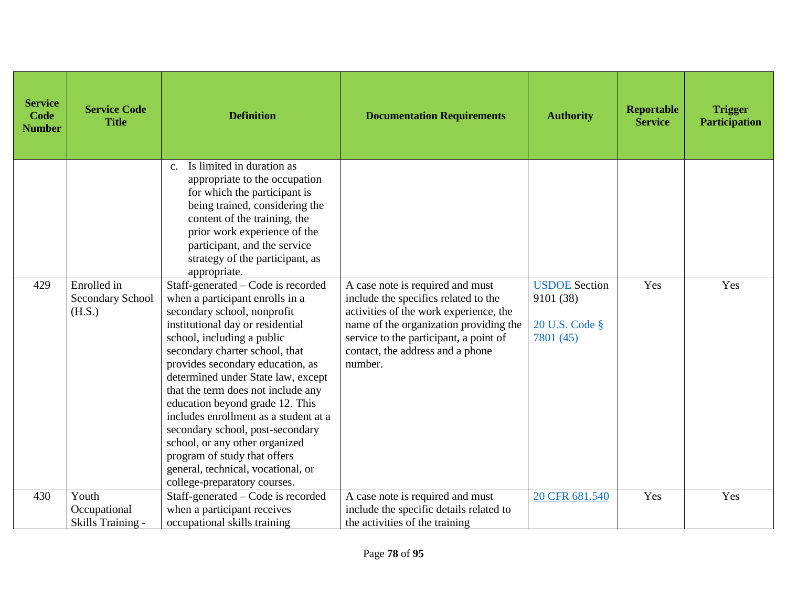| <b>Service</b><br>Code<br><b>Number</b> | <b>Service Code</b><br><b>Title</b>              | <b>Definition</b>                                                                                                                                                                                                                                                                                                                                                                                                                                                                                                                                                                | <b>Documentation Requirements</b>                                                                                                                                                                                                                     | <b>Authority</b>                                                 | <b>Reportable</b><br><b>Service</b> | <b>Trigger</b><br><b>Participation</b> |
|-----------------------------------------|--------------------------------------------------|----------------------------------------------------------------------------------------------------------------------------------------------------------------------------------------------------------------------------------------------------------------------------------------------------------------------------------------------------------------------------------------------------------------------------------------------------------------------------------------------------------------------------------------------------------------------------------|-------------------------------------------------------------------------------------------------------------------------------------------------------------------------------------------------------------------------------------------------------|------------------------------------------------------------------|-------------------------------------|----------------------------------------|
|                                         |                                                  | Is limited in duration as<br>$C_{\cdot}$<br>appropriate to the occupation<br>for which the participant is<br>being trained, considering the<br>content of the training, the<br>prior work experience of the<br>participant, and the service<br>strategy of the participant, as<br>appropriate.                                                                                                                                                                                                                                                                                   |                                                                                                                                                                                                                                                       |                                                                  |                                     |                                        |
| 429                                     | Enrolled in<br><b>Secondary School</b><br>(H.S.) | Staff-generated – Code is recorded<br>when a participant enrolls in a<br>secondary school, nonprofit<br>institutional day or residential<br>school, including a public<br>secondary charter school, that<br>provides secondary education, as<br>determined under State law, except<br>that the term does not include any<br>education beyond grade 12. This<br>includes enrollment as a student at a<br>secondary school, post-secondary<br>school, or any other organized<br>program of study that offers<br>general, technical, vocational, or<br>college-preparatory courses. | A case note is required and must<br>include the specifics related to the<br>activities of the work experience, the<br>name of the organization providing the<br>service to the participant, a point of<br>contact, the address and a phone<br>number. | <b>USDOE</b> Section<br>9101 (38)<br>20 U.S. Code §<br>7801 (45) | Yes                                 | Yes                                    |
| 430                                     | Youth                                            | Staff-generated – Code is recorded                                                                                                                                                                                                                                                                                                                                                                                                                                                                                                                                               | A case note is required and must                                                                                                                                                                                                                      | 20 CFR 681.540                                                   | Yes                                 | Yes                                    |
|                                         | Occupational<br>Skills Training -                | when a participant receives<br>occupational skills training                                                                                                                                                                                                                                                                                                                                                                                                                                                                                                                      | include the specific details related to<br>the activities of the training                                                                                                                                                                             |                                                                  |                                     |                                        |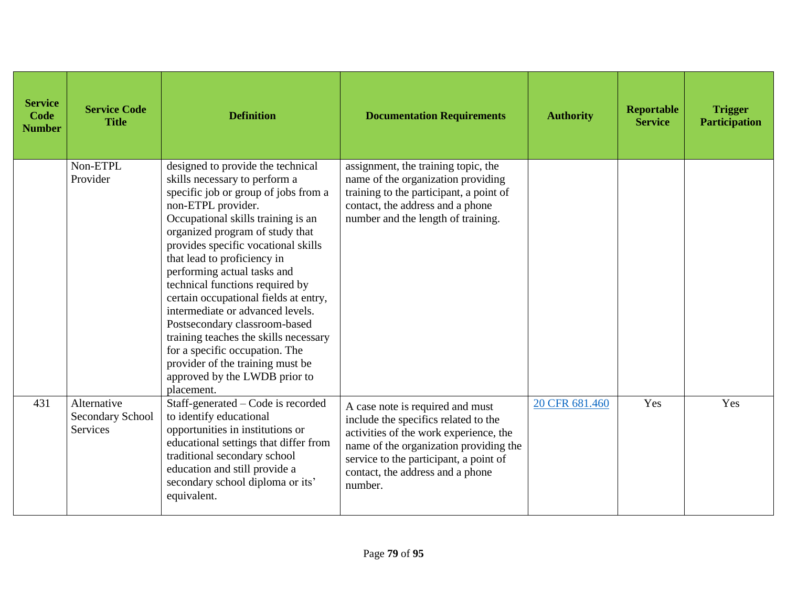| <b>Service</b><br>Code<br><b>Number</b> | <b>Service Code</b><br><b>Title</b>                | <b>Definition</b>                                                                                                                                                                                                                                                                                                                                                                                                                                                                                                                                                                                                             | <b>Documentation Requirements</b>                                                                                                                                                                                                                     | <b>Authority</b> | <b>Reportable</b><br><b>Service</b> | <b>Trigger</b><br><b>Participation</b> |
|-----------------------------------------|----------------------------------------------------|-------------------------------------------------------------------------------------------------------------------------------------------------------------------------------------------------------------------------------------------------------------------------------------------------------------------------------------------------------------------------------------------------------------------------------------------------------------------------------------------------------------------------------------------------------------------------------------------------------------------------------|-------------------------------------------------------------------------------------------------------------------------------------------------------------------------------------------------------------------------------------------------------|------------------|-------------------------------------|----------------------------------------|
|                                         | Non-ETPL<br>Provider                               | designed to provide the technical<br>skills necessary to perform a<br>specific job or group of jobs from a<br>non-ETPL provider.<br>Occupational skills training is an<br>organized program of study that<br>provides specific vocational skills<br>that lead to proficiency in<br>performing actual tasks and<br>technical functions required by<br>certain occupational fields at entry,<br>intermediate or advanced levels.<br>Postsecondary classroom-based<br>training teaches the skills necessary<br>for a specific occupation. The<br>provider of the training must be<br>approved by the LWDB prior to<br>placement. | assignment, the training topic, the<br>name of the organization providing<br>training to the participant, a point of<br>contact, the address and a phone<br>number and the length of training.                                                        |                  |                                     |                                        |
| 431                                     | Alternative<br>Secondary School<br><b>Services</b> | Staff-generated – Code is recorded<br>to identify educational<br>opportunities in institutions or<br>educational settings that differ from<br>traditional secondary school<br>education and still provide a<br>secondary school diploma or its'<br>equivalent.                                                                                                                                                                                                                                                                                                                                                                | A case note is required and must<br>include the specifics related to the<br>activities of the work experience, the<br>name of the organization providing the<br>service to the participant, a point of<br>contact, the address and a phone<br>number. | 20 CFR 681.460   | Yes                                 | Yes                                    |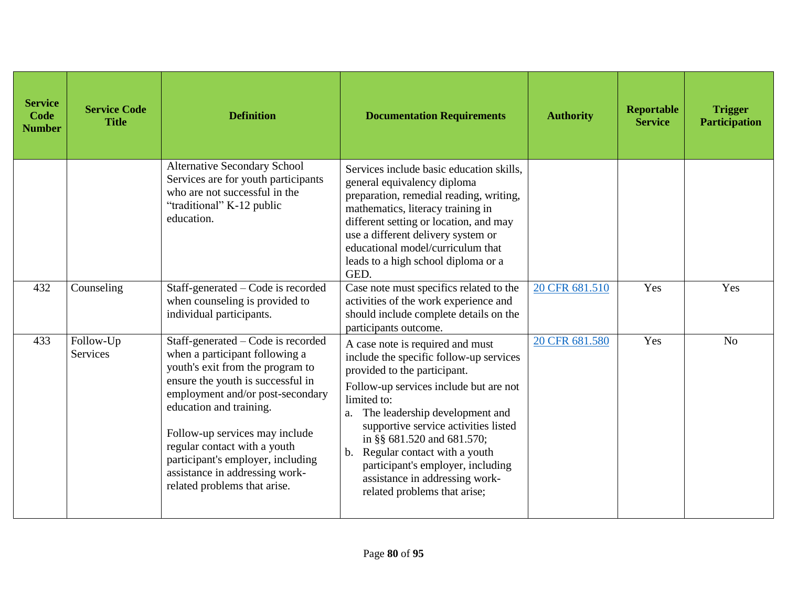| <b>Service</b><br>Code<br><b>Number</b> | <b>Service Code</b><br><b>Title</b> | <b>Definition</b>                                                                                                                                                                                                                                                                                                                                                                     | <b>Documentation Requirements</b>                                                                                                                                                                                                                                                                                                                                                                                               | <b>Authority</b> | Reportable<br><b>Service</b> | <b>Trigger</b><br><b>Participation</b> |
|-----------------------------------------|-------------------------------------|---------------------------------------------------------------------------------------------------------------------------------------------------------------------------------------------------------------------------------------------------------------------------------------------------------------------------------------------------------------------------------------|---------------------------------------------------------------------------------------------------------------------------------------------------------------------------------------------------------------------------------------------------------------------------------------------------------------------------------------------------------------------------------------------------------------------------------|------------------|------------------------------|----------------------------------------|
|                                         |                                     | <b>Alternative Secondary School</b><br>Services are for youth participants<br>who are not successful in the<br>"traditional" K-12 public<br>education.                                                                                                                                                                                                                                | Services include basic education skills.<br>general equivalency diploma<br>preparation, remedial reading, writing,<br>mathematics, literacy training in<br>different setting or location, and may<br>use a different delivery system or<br>educational model/curriculum that<br>leads to a high school diploma or a<br>GED.                                                                                                     |                  |                              |                                        |
| 432                                     | Counseling                          | Staff-generated – Code is recorded<br>when counseling is provided to<br>individual participants.                                                                                                                                                                                                                                                                                      | Case note must specifics related to the<br>activities of the work experience and<br>should include complete details on the<br>participants outcome.                                                                                                                                                                                                                                                                             | 20 CFR 681.510   | Yes                          | Yes                                    |
| 433                                     | Follow-Up<br>Services               | Staff-generated – Code is recorded<br>when a participant following a<br>youth's exit from the program to<br>ensure the youth is successful in<br>employment and/or post-secondary<br>education and training.<br>Follow-up services may include<br>regular contact with a youth<br>participant's employer, including<br>assistance in addressing work-<br>related problems that arise. | A case note is required and must<br>include the specific follow-up services<br>provided to the participant.<br>Follow-up services include but are not<br>limited to:<br>The leadership development and<br>a.<br>supportive service activities listed<br>in §§ 681.520 and 681.570;<br>Regular contact with a youth<br>b.<br>participant's employer, including<br>assistance in addressing work-<br>related problems that arise; | 20 CFR 681.580   | Yes                          | N <sub>o</sub>                         |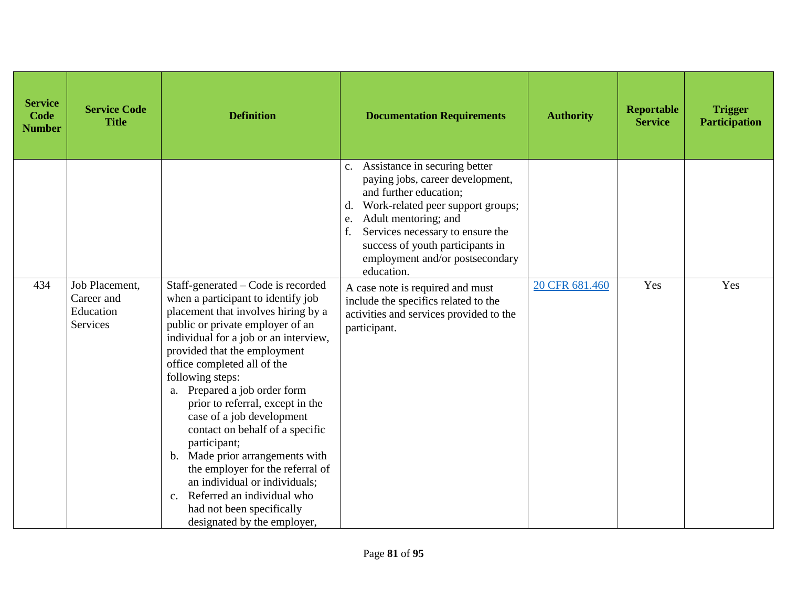| <b>Service</b><br>Code<br><b>Number</b> | <b>Service Code</b><br><b>Title</b>                   | <b>Definition</b>                                                                                                                                                                                                                                                                                                                                                                                                                                                                                                                                                                                                                                                      | <b>Documentation Requirements</b>                                                                                                                                                                                                                                                                      | <b>Authority</b> | Reportable<br><b>Service</b> | <b>Trigger</b><br><b>Participation</b> |
|-----------------------------------------|-------------------------------------------------------|------------------------------------------------------------------------------------------------------------------------------------------------------------------------------------------------------------------------------------------------------------------------------------------------------------------------------------------------------------------------------------------------------------------------------------------------------------------------------------------------------------------------------------------------------------------------------------------------------------------------------------------------------------------------|--------------------------------------------------------------------------------------------------------------------------------------------------------------------------------------------------------------------------------------------------------------------------------------------------------|------------------|------------------------------|----------------------------------------|
|                                         |                                                       |                                                                                                                                                                                                                                                                                                                                                                                                                                                                                                                                                                                                                                                                        | c. Assistance in securing better<br>paying jobs, career development,<br>and further education;<br>Work-related peer support groups;<br>d.<br>Adult mentoring; and<br>e.<br>Services necessary to ensure the<br>f.<br>success of youth participants in<br>employment and/or postsecondary<br>education. |                  |                              |                                        |
| 434                                     | Job Placement,<br>Career and<br>Education<br>Services | Staff-generated - Code is recorded<br>when a participant to identify job<br>placement that involves hiring by a<br>public or private employer of an<br>individual for a job or an interview,<br>provided that the employment<br>office completed all of the<br>following steps:<br>a. Prepared a job order form<br>prior to referral, except in the<br>case of a job development<br>contact on behalf of a specific<br>participant;<br>Made prior arrangements with<br>$\mathbf{b}$ .<br>the employer for the referral of<br>an individual or individuals;<br>Referred an individual who<br>$\mathbf{c}$ .<br>had not been specifically<br>designated by the employer, | A case note is required and must<br>include the specifics related to the<br>activities and services provided to the<br>participant.                                                                                                                                                                    | 20 CFR 681.460   | Yes                          | Yes                                    |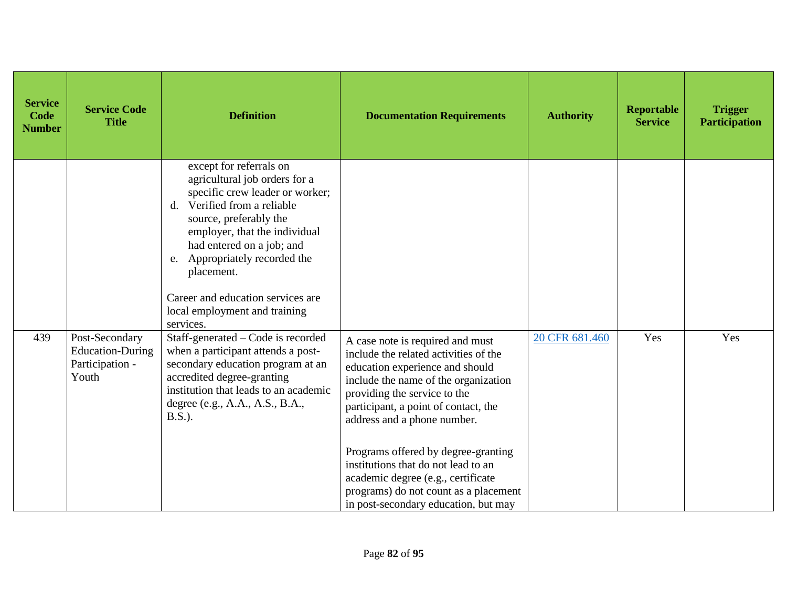| <b>Service</b><br>Code<br><b>Number</b> | <b>Service Code</b><br><b>Title</b>                                   | <b>Definition</b>                                                                                                                                                                                                                                                                                                                                            | <b>Documentation Requirements</b>                                                                                                                                                                                                                                                                                                                                                                                                                                | <b>Authority</b> | Reportable<br><b>Service</b> | <b>Trigger</b><br><b>Participation</b> |
|-----------------------------------------|-----------------------------------------------------------------------|--------------------------------------------------------------------------------------------------------------------------------------------------------------------------------------------------------------------------------------------------------------------------------------------------------------------------------------------------------------|------------------------------------------------------------------------------------------------------------------------------------------------------------------------------------------------------------------------------------------------------------------------------------------------------------------------------------------------------------------------------------------------------------------------------------------------------------------|------------------|------------------------------|----------------------------------------|
|                                         |                                                                       | except for referrals on<br>agricultural job orders for a<br>specific crew leader or worker;<br>Verified from a reliable<br>$d_{-}$<br>source, preferably the<br>employer, that the individual<br>had entered on a job; and<br>e. Appropriately recorded the<br>placement.<br>Career and education services are<br>local employment and training<br>services. |                                                                                                                                                                                                                                                                                                                                                                                                                                                                  |                  |                              |                                        |
| 439                                     | Post-Secondary<br><b>Education-During</b><br>Participation -<br>Youth | Staff-generated – Code is recorded<br>when a participant attends a post-<br>secondary education program at an<br>accredited degree-granting<br>institution that leads to an academic<br>degree (e.g., A.A., A.S., B.A.,<br>$B.S.$ ).                                                                                                                         | A case note is required and must<br>include the related activities of the<br>education experience and should<br>include the name of the organization<br>providing the service to the<br>participant, a point of contact, the<br>address and a phone number.<br>Programs offered by degree-granting<br>institutions that do not lead to an<br>academic degree (e.g., certificate<br>programs) do not count as a placement<br>in post-secondary education, but may | 20 CFR 681.460   | Yes                          | Yes                                    |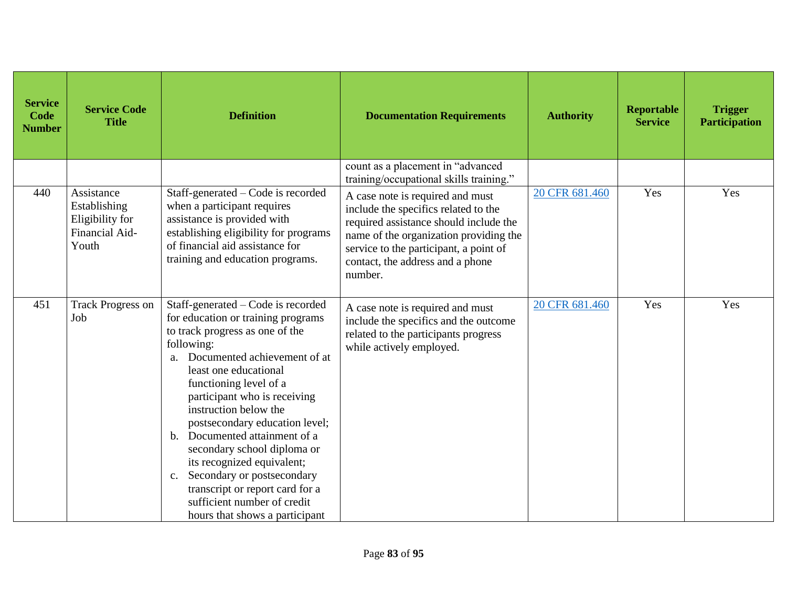| <b>Service</b><br>Code<br><b>Number</b> | <b>Service Code</b><br><b>Title</b>                                      | <b>Definition</b>                                                                                                                                                                                                                                                                                                                                                                                                                                                                                                                                                       | <b>Documentation Requirements</b>                                                                                                                                                                                                                     | <b>Authority</b> | <b>Reportable</b><br><b>Service</b> | <b>Trigger</b><br><b>Participation</b> |
|-----------------------------------------|--------------------------------------------------------------------------|-------------------------------------------------------------------------------------------------------------------------------------------------------------------------------------------------------------------------------------------------------------------------------------------------------------------------------------------------------------------------------------------------------------------------------------------------------------------------------------------------------------------------------------------------------------------------|-------------------------------------------------------------------------------------------------------------------------------------------------------------------------------------------------------------------------------------------------------|------------------|-------------------------------------|----------------------------------------|
|                                         |                                                                          |                                                                                                                                                                                                                                                                                                                                                                                                                                                                                                                                                                         | count as a placement in "advanced<br>training/occupational skills training."                                                                                                                                                                          |                  |                                     |                                        |
| 440                                     | Assistance<br>Establishing<br>Eligibility for<br>Financial Aid-<br>Youth | Staff-generated – Code is recorded<br>when a participant requires<br>assistance is provided with<br>establishing eligibility for programs<br>of financial aid assistance for<br>training and education programs.                                                                                                                                                                                                                                                                                                                                                        | A case note is required and must<br>include the specifics related to the<br>required assistance should include the<br>name of the organization providing the<br>service to the participant, a point of<br>contact, the address and a phone<br>number. | 20 CFR 681.460   | Yes                                 | Yes                                    |
| 451                                     | <b>Track Progress on</b><br>Job                                          | Staff-generated – Code is recorded<br>for education or training programs<br>to track progress as one of the<br>following:<br>Documented achievement of at<br>$a_{-}$<br>least one educational<br>functioning level of a<br>participant who is receiving<br>instruction below the<br>postsecondary education level;<br>Documented attainment of a<br>$\mathbf{b}$ .<br>secondary school diploma or<br>its recognized equivalent;<br>Secondary or postsecondary<br>c.<br>transcript or report card for a<br>sufficient number of credit<br>hours that shows a participant | A case note is required and must<br>include the specifics and the outcome<br>related to the participants progress<br>while actively employed.                                                                                                         | 20 CFR 681.460   | Yes                                 | Yes                                    |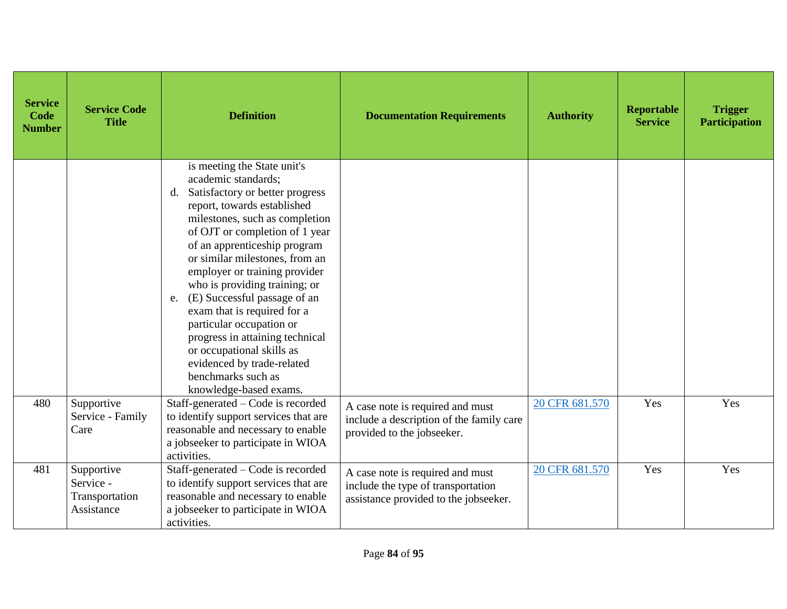| <b>Service</b><br>Code<br><b>Number</b> | <b>Service Code</b><br><b>Title</b>                     | <b>Definition</b>                                                                                                                                                                                                                                                                                                                                                                                                                                                                                                                                                                 | <b>Documentation Requirements</b>                                                                               | <b>Authority</b> | <b>Reportable</b><br><b>Service</b> | <b>Trigger</b><br><b>Participation</b> |
|-----------------------------------------|---------------------------------------------------------|-----------------------------------------------------------------------------------------------------------------------------------------------------------------------------------------------------------------------------------------------------------------------------------------------------------------------------------------------------------------------------------------------------------------------------------------------------------------------------------------------------------------------------------------------------------------------------------|-----------------------------------------------------------------------------------------------------------------|------------------|-------------------------------------|----------------------------------------|
|                                         |                                                         | is meeting the State unit's<br>academic standards;<br>Satisfactory or better progress<br>d.<br>report, towards established<br>milestones, such as completion<br>of OJT or completion of 1 year<br>of an apprenticeship program<br>or similar milestones, from an<br>employer or training provider<br>who is providing training; or<br>(E) Successful passage of an<br>e.<br>exam that is required for a<br>particular occupation or<br>progress in attaining technical<br>or occupational skills as<br>evidenced by trade-related<br>benchmarks such as<br>knowledge-based exams. |                                                                                                                 |                  |                                     |                                        |
| 480                                     | Supportive<br>Service - Family<br>Care                  | Staff-generated – Code is recorded<br>to identify support services that are<br>reasonable and necessary to enable<br>a jobseeker to participate in WIOA<br>activities.                                                                                                                                                                                                                                                                                                                                                                                                            | A case note is required and must<br>include a description of the family care<br>provided to the jobseeker.      | 20 CFR 681.570   | Yes                                 | Yes                                    |
| 481                                     | Supportive<br>Service -<br>Transportation<br>Assistance | Staff-generated – Code is recorded<br>to identify support services that are<br>reasonable and necessary to enable<br>a jobseeker to participate in WIOA<br>activities.                                                                                                                                                                                                                                                                                                                                                                                                            | A case note is required and must<br>include the type of transportation<br>assistance provided to the jobseeker. | 20 CFR 681.570   | Yes                                 | Yes                                    |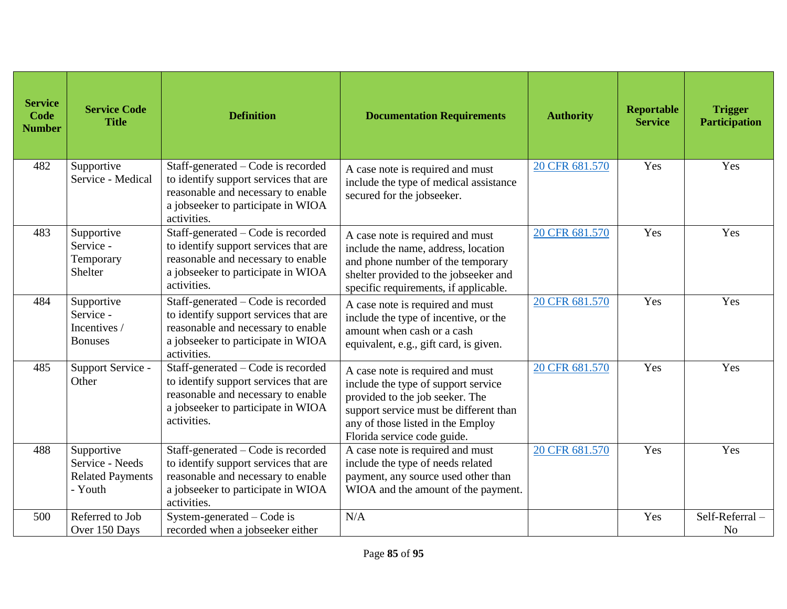| <b>Service</b><br>Code<br><b>Number</b> | <b>Service Code</b><br><b>Title</b>                                 | <b>Definition</b>                                                                                                                                                      | <b>Documentation Requirements</b>                                                                                                                                                                                        | <b>Authority</b> | <b>Reportable</b><br><b>Service</b> | <b>Trigger</b><br><b>Participation</b> |
|-----------------------------------------|---------------------------------------------------------------------|------------------------------------------------------------------------------------------------------------------------------------------------------------------------|--------------------------------------------------------------------------------------------------------------------------------------------------------------------------------------------------------------------------|------------------|-------------------------------------|----------------------------------------|
| 482                                     | Supportive<br>Service - Medical                                     | Staff-generated – Code is recorded<br>to identify support services that are<br>reasonable and necessary to enable<br>a jobseeker to participate in WIOA<br>activities. | A case note is required and must<br>include the type of medical assistance<br>secured for the jobseeker.                                                                                                                 | 20 CFR 681.570   | Yes                                 | Yes                                    |
| 483                                     | Supportive<br>Service -<br>Temporary<br>Shelter                     | Staff-generated – Code is recorded<br>to identify support services that are<br>reasonable and necessary to enable<br>a jobseeker to participate in WIOA<br>activities. | A case note is required and must<br>include the name, address, location<br>and phone number of the temporary<br>shelter provided to the jobseeker and<br>specific requirements, if applicable.                           | 20 CFR 681.570   | Yes                                 | Yes                                    |
| 484                                     | Supportive<br>Service -<br>Incentives /<br><b>Bonuses</b>           | Staff-generated – Code is recorded<br>to identify support services that are<br>reasonable and necessary to enable<br>a jobseeker to participate in WIOA<br>activities. | A case note is required and must<br>include the type of incentive, or the<br>amount when cash or a cash<br>equivalent, e.g., gift card, is given.                                                                        | 20 CFR 681.570   | Yes                                 | Yes                                    |
| 485                                     | Support Service -<br>Other                                          | Staff-generated - Code is recorded<br>to identify support services that are<br>reasonable and necessary to enable<br>a jobseeker to participate in WIOA<br>activities. | A case note is required and must<br>include the type of support service<br>provided to the job seeker. The<br>support service must be different than<br>any of those listed in the Employ<br>Florida service code guide. | 20 CFR 681.570   | Yes                                 | Yes                                    |
| 488                                     | Supportive<br>Service - Needs<br><b>Related Payments</b><br>- Youth | Staff-generated – Code is recorded<br>to identify support services that are<br>reasonable and necessary to enable<br>a jobseeker to participate in WIOA<br>activities. | A case note is required and must<br>include the type of needs related<br>payment, any source used other than<br>WIOA and the amount of the payment.                                                                      | 20 CFR 681.570   | Yes                                 | Yes                                    |
| 500                                     | Referred to Job<br>Over 150 Days                                    | System-generated – Code is<br>recorded when a jobseeker either                                                                                                         | N/A                                                                                                                                                                                                                      |                  | Yes                                 | Self-Referral-<br>N <sub>o</sub>       |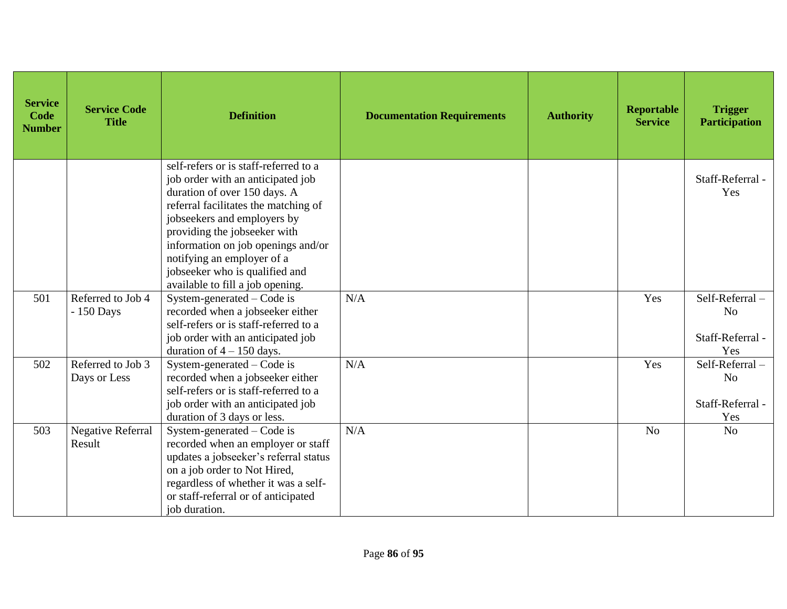| <b>Service</b><br>Code<br><b>Number</b> | <b>Service Code</b><br><b>Title</b> | <b>Definition</b>                                                                                                                                                                                                                                                                                                                                           | <b>Documentation Requirements</b> | <b>Authority</b> | <b>Reportable</b><br><b>Service</b> | <b>Trigger</b><br><b>Participation</b>                      |
|-----------------------------------------|-------------------------------------|-------------------------------------------------------------------------------------------------------------------------------------------------------------------------------------------------------------------------------------------------------------------------------------------------------------------------------------------------------------|-----------------------------------|------------------|-------------------------------------|-------------------------------------------------------------|
|                                         |                                     | self-refers or is staff-referred to a<br>job order with an anticipated job<br>duration of over 150 days. A<br>referral facilitates the matching of<br>jobseekers and employers by<br>providing the jobseeker with<br>information on job openings and/or<br>notifying an employer of a<br>jobseeker who is qualified and<br>available to fill a job opening. |                                   |                  |                                     | Staff-Referral -<br>Yes                                     |
| 501                                     | Referred to Job 4<br>- 150 Days     | System-generated – Code is<br>recorded when a jobseeker either<br>self-refers or is staff-referred to a<br>job order with an anticipated job<br>duration of $4 - 150$ days.                                                                                                                                                                                 | N/A                               |                  | Yes                                 | Self-Referral-<br>N <sub>o</sub><br>Staff-Referral -<br>Yes |
| 502                                     | Referred to Job 3<br>Days or Less   | System-generated – Code is<br>recorded when a jobseeker either<br>self-refers or is staff-referred to a<br>job order with an anticipated job<br>duration of 3 days or less.                                                                                                                                                                                 | N/A                               |                  | Yes                                 | Self-Referral-<br>N <sub>o</sub><br>Staff-Referral -<br>Yes |
| 503                                     | <b>Negative Referral</b><br>Result  | System-generated – Code is<br>recorded when an employer or staff<br>updates a jobseeker's referral status<br>on a job order to Not Hired,<br>regardless of whether it was a self-<br>or staff-referral or of anticipated<br>job duration.                                                                                                                   | N/A                               |                  | N <sub>o</sub>                      | N <sub>o</sub>                                              |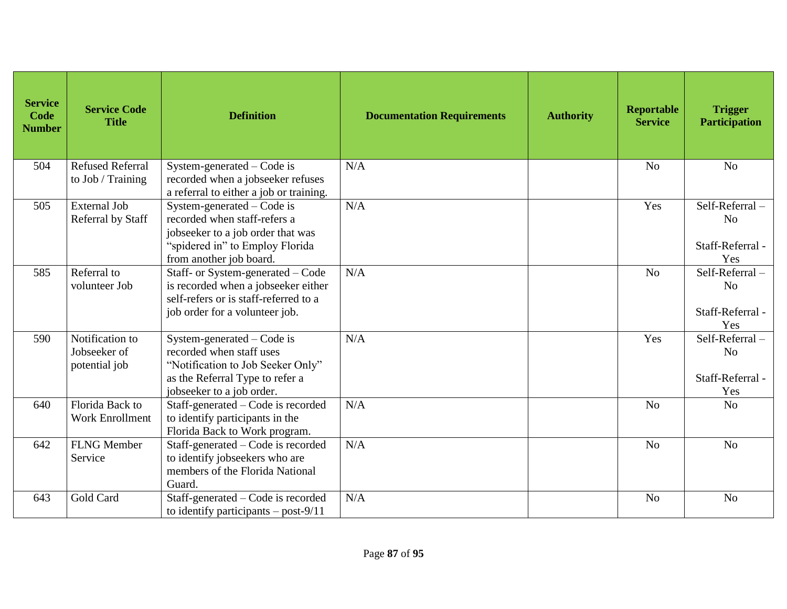| <b>Service</b><br>Code<br><b>Number</b> | <b>Service Code</b><br><b>Title</b>                                                                                                                               | <b>Definition</b>                                                                                                                                             | <b>Documentation Requirements</b> | <b>Authority</b> | <b>Reportable</b><br><b>Service</b> | <b>Trigger</b><br><b>Participation</b>                      |
|-----------------------------------------|-------------------------------------------------------------------------------------------------------------------------------------------------------------------|---------------------------------------------------------------------------------------------------------------------------------------------------------------|-----------------------------------|------------------|-------------------------------------|-------------------------------------------------------------|
| 504                                     | <b>Refused Referral</b><br>N/A<br>System-generated – Code is<br>recorded when a jobseeker refuses<br>to Job / Training<br>a referral to either a job or training. |                                                                                                                                                               |                                   |                  | N <sub>o</sub>                      | N <sub>o</sub>                                              |
| 505                                     | <b>External Job</b><br>Referral by Staff                                                                                                                          | System-generated – Code is<br>recorded when staff-refers a<br>jobseeker to a job order that was<br>"spidered in" to Employ Florida<br>from another job board. | N/A                               |                  | Yes                                 | Self-Referral-<br>N <sub>o</sub><br>Staff-Referral -<br>Yes |
| 585                                     | Referral to<br>volunteer Job                                                                                                                                      | Staff- or System-generated - Code<br>is recorded when a jobseeker either<br>self-refers or is staff-referred to a<br>job order for a volunteer job.           | N/A                               |                  | N <sub>o</sub>                      | Self-Referral-<br>N <sub>o</sub><br>Staff-Referral -<br>Yes |
| 590                                     | Notification to<br>Jobseeker of<br>potential job                                                                                                                  | System-generated – Code is<br>recorded when staff uses<br>"Notification to Job Seeker Only"<br>as the Referral Type to refer a<br>jobseeker to a job order.   | N/A                               |                  | Yes                                 | Self-Referral-<br>N <sub>o</sub><br>Staff-Referral -<br>Yes |
| 640                                     | Florida Back to<br><b>Work Enrollment</b>                                                                                                                         | Staff-generated – Code is recorded<br>to identify participants in the<br>Florida Back to Work program.                                                        | N/A                               |                  | N <sub>o</sub>                      | N <sub>o</sub>                                              |
| 642                                     | <b>FLNG Member</b><br>Service                                                                                                                                     | Staff-generated – Code is recorded<br>to identify jobseekers who are<br>members of the Florida National<br>Guard.                                             | N/A                               |                  | N <sub>o</sub>                      | N <sub>o</sub>                                              |
| 643                                     | Gold Card                                                                                                                                                         | Staff-generated – Code is recorded<br>to identify participants – post- $9/11$                                                                                 | N/A                               |                  | N <sub>o</sub>                      | N <sub>o</sub>                                              |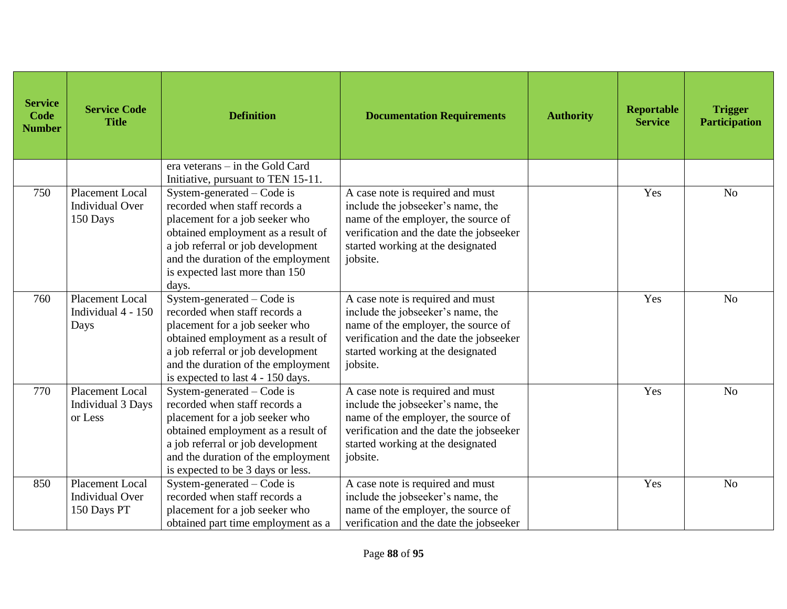| <b>Service</b><br>Code<br><b>Number</b> | <b>Service Code</b><br><b>Title</b>                             | <b>Definition</b>                                                                                                                                                                                                                                           | <b>Documentation Requirements</b>                                                                                                                                                                        | <b>Authority</b> | <b>Reportable</b><br><b>Service</b> | <b>Trigger</b><br><b>Participation</b> |
|-----------------------------------------|-----------------------------------------------------------------|-------------------------------------------------------------------------------------------------------------------------------------------------------------------------------------------------------------------------------------------------------------|----------------------------------------------------------------------------------------------------------------------------------------------------------------------------------------------------------|------------------|-------------------------------------|----------------------------------------|
|                                         |                                                                 | era veterans – in the Gold Card<br>Initiative, pursuant to TEN 15-11.                                                                                                                                                                                       |                                                                                                                                                                                                          |                  |                                     |                                        |
| 750                                     | <b>Placement Local</b><br><b>Individual Over</b><br>150 Days    | System-generated $-$ Code is<br>recorded when staff records a<br>placement for a job seeker who<br>obtained employment as a result of<br>a job referral or job development<br>and the duration of the employment<br>is expected last more than 150<br>days. | A case note is required and must<br>include the jobseeker's name, the<br>name of the employer, the source of<br>verification and the date the jobseeker<br>started working at the designated<br>jobsite. |                  | Yes                                 | N <sub>o</sub>                         |
| 760                                     | <b>Placement Local</b><br>Individual 4 - 150<br>Days            | System-generated $-$ Code is<br>recorded when staff records a<br>placement for a job seeker who<br>obtained employment as a result of<br>a job referral or job development<br>and the duration of the employment<br>is expected to last 4 - 150 days.       | A case note is required and must<br>include the jobseeker's name, the<br>name of the employer, the source of<br>verification and the date the jobseeker<br>started working at the designated<br>jobsite. |                  | Yes                                 | N <sub>o</sub>                         |
| 770                                     | <b>Placement Local</b><br><b>Individual 3 Days</b><br>or Less   | System-generated $-$ Code is<br>recorded when staff records a<br>placement for a job seeker who<br>obtained employment as a result of<br>a job referral or job development<br>and the duration of the employment<br>is expected to be 3 days or less.       | A case note is required and must<br>include the jobseeker's name, the<br>name of the employer, the source of<br>verification and the date the jobseeker<br>started working at the designated<br>jobsite. |                  | Yes                                 | N <sub>o</sub>                         |
| 850                                     | <b>Placement Local</b><br><b>Individual Over</b><br>150 Days PT | System-generated – Code is<br>recorded when staff records a<br>placement for a job seeker who<br>obtained part time employment as a                                                                                                                         | A case note is required and must<br>include the jobseeker's name, the<br>name of the employer, the source of<br>verification and the date the jobseeker                                                  |                  | Yes                                 | N <sub>o</sub>                         |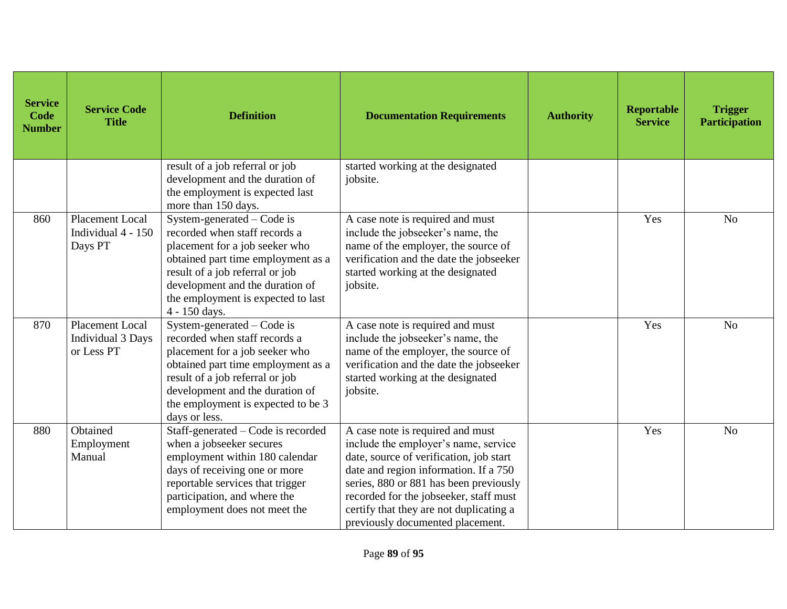| <b>Service</b><br>Code<br><b>Number</b> | <b>Service Code</b><br><b>Title</b>                       | <b>Definition</b>                                                                                                                                                                                                                                                  | <b>Documentation Requirements</b>                                                                                                                                                                                                                                                                                               | <b>Authority</b> | <b>Reportable</b><br><b>Service</b> | <b>Trigger</b><br><b>Participation</b> |
|-----------------------------------------|-----------------------------------------------------------|--------------------------------------------------------------------------------------------------------------------------------------------------------------------------------------------------------------------------------------------------------------------|---------------------------------------------------------------------------------------------------------------------------------------------------------------------------------------------------------------------------------------------------------------------------------------------------------------------------------|------------------|-------------------------------------|----------------------------------------|
|                                         |                                                           | result of a job referral or job<br>development and the duration of<br>the employment is expected last<br>more than 150 days.                                                                                                                                       | started working at the designated<br>jobsite.                                                                                                                                                                                                                                                                                   |                  |                                     |                                        |
| 860                                     | <b>Placement Local</b><br>Individual 4 - 150<br>Days PT   | System-generated $-$ Code is<br>recorded when staff records a<br>placement for a job seeker who<br>obtained part time employment as a<br>result of a job referral or job<br>development and the duration of<br>the employment is expected to last<br>4 - 150 days. | A case note is required and must<br>include the jobseeker's name, the<br>name of the employer, the source of<br>verification and the date the jobseeker<br>started working at the designated<br>jobsite.                                                                                                                        |                  | Yes                                 | N <sub>o</sub>                         |
| 870                                     | <b>Placement Local</b><br>Individual 3 Days<br>or Less PT | System-generated – Code is<br>recorded when staff records a<br>placement for a job seeker who<br>obtained part time employment as a<br>result of a job referral or job<br>development and the duration of<br>the employment is expected to be 3<br>days or less.   | A case note is required and must<br>include the jobseeker's name, the<br>name of the employer, the source of<br>verification and the date the jobseeker<br>started working at the designated<br>jobsite.                                                                                                                        |                  | Yes                                 | N <sub>o</sub>                         |
| 880                                     | Obtained<br>Employment<br>Manual                          | Staff-generated – Code is recorded<br>when a jobseeker secures<br>employment within 180 calendar<br>days of receiving one or more<br>reportable services that trigger<br>participation, and where the<br>employment does not meet the                              | A case note is required and must<br>include the employer's name, service<br>date, source of verification, job start<br>date and region information. If a 750<br>series, 880 or 881 has been previously<br>recorded for the jobseeker, staff must<br>certify that they are not duplicating a<br>previously documented placement. |                  | Yes                                 | N <sub>o</sub>                         |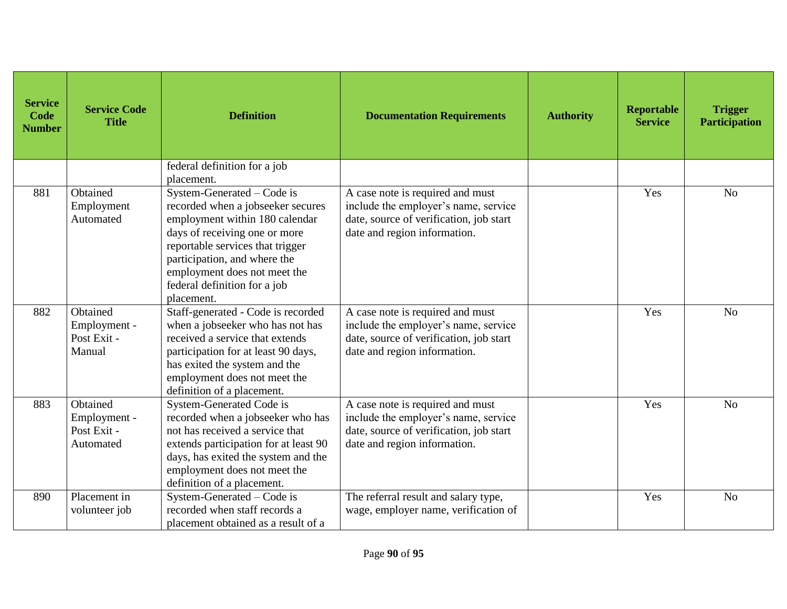| <b>Service</b><br>Code<br><b>Number</b> | <b>Service Code</b><br><b>Title</b>                  | <b>Definition</b><br><b>Documentation Requirements</b><br><b>Authority</b>                                                                                                                                                                                                                                                                                                                                                                    |                                                                                                                                                     | Reportable<br><b>Service</b> | <b>Trigger</b><br><b>Participation</b> |                |
|-----------------------------------------|------------------------------------------------------|-----------------------------------------------------------------------------------------------------------------------------------------------------------------------------------------------------------------------------------------------------------------------------------------------------------------------------------------------------------------------------------------------------------------------------------------------|-----------------------------------------------------------------------------------------------------------------------------------------------------|------------------------------|----------------------------------------|----------------|
|                                         |                                                      | federal definition for a job<br>placement.                                                                                                                                                                                                                                                                                                                                                                                                    |                                                                                                                                                     |                              |                                        |                |
| 881                                     | Obtained<br>Employment<br>Automated                  | System-Generated $-$ Code is<br>A case note is required and must<br>include the employer's name, service<br>recorded when a jobseeker secures<br>date, source of verification, job start<br>employment within 180 calendar<br>days of receiving one or more<br>date and region information.<br>reportable services that trigger<br>participation, and where the<br>employment does not meet the<br>federal definition for a job<br>placement. |                                                                                                                                                     | Yes                          | N <sub>o</sub>                         |                |
| 882                                     | Obtained<br>Employment -<br>Post Exit -<br>Manual    | Staff-generated - Code is recorded<br>when a jobseeker who has not has<br>received a service that extends<br>participation for at least 90 days,<br>has exited the system and the<br>employment does not meet the<br>definition of a placement.                                                                                                                                                                                               | A case note is required and must<br>include the employer's name, service<br>date, source of verification, job start<br>date and region information. |                              | Yes                                    | N <sub>o</sub> |
| 883                                     | Obtained<br>Employment -<br>Post Exit -<br>Automated | System-Generated Code is<br>Yes<br>A case note is required and must<br>include the employer's name, service<br>recorded when a jobseeker who has<br>not has received a service that<br>date, source of verification, job start<br>date and region information.<br>extends participation for at least 90<br>days, has exited the system and the<br>employment does not meet the<br>definition of a placement.                                  |                                                                                                                                                     | N <sub>o</sub>               |                                        |                |
| 890                                     | Placement in<br>volunteer job                        | System-Generated - Code is<br>recorded when staff records a<br>placement obtained as a result of a                                                                                                                                                                                                                                                                                                                                            | The referral result and salary type,<br>wage, employer name, verification of                                                                        |                              | Yes                                    | N <sub>o</sub> |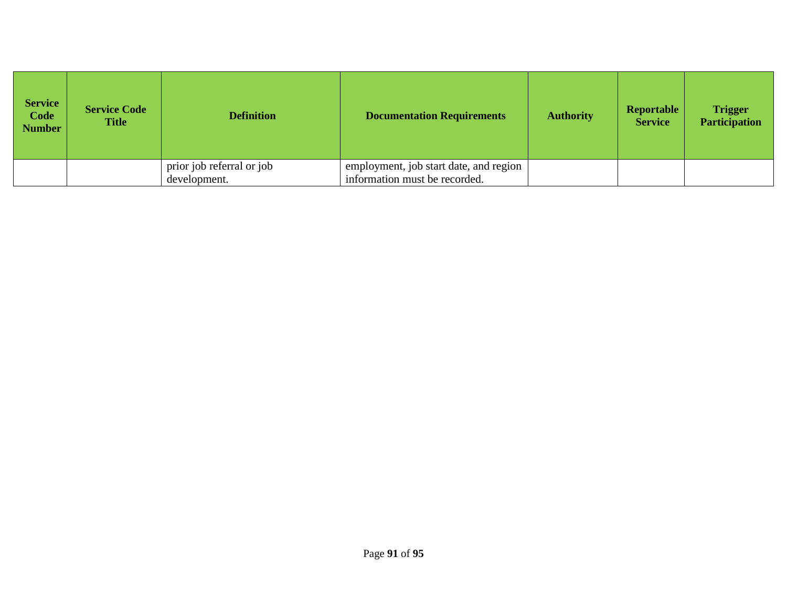| <b>Service</b><br>Code<br><b>Number</b> | <b>Service Code</b><br><b>Title</b> | <b>Definition</b>                         | <b>Documentation Requirements</b>                                       | <b>Authority</b> | Reportable<br><b>Service</b> | <b>Trigger</b><br><b>Participation</b> |
|-----------------------------------------|-------------------------------------|-------------------------------------------|-------------------------------------------------------------------------|------------------|------------------------------|----------------------------------------|
|                                         |                                     | prior job referral or job<br>development. | employment, job start date, and region<br>information must be recorded. |                  |                              |                                        |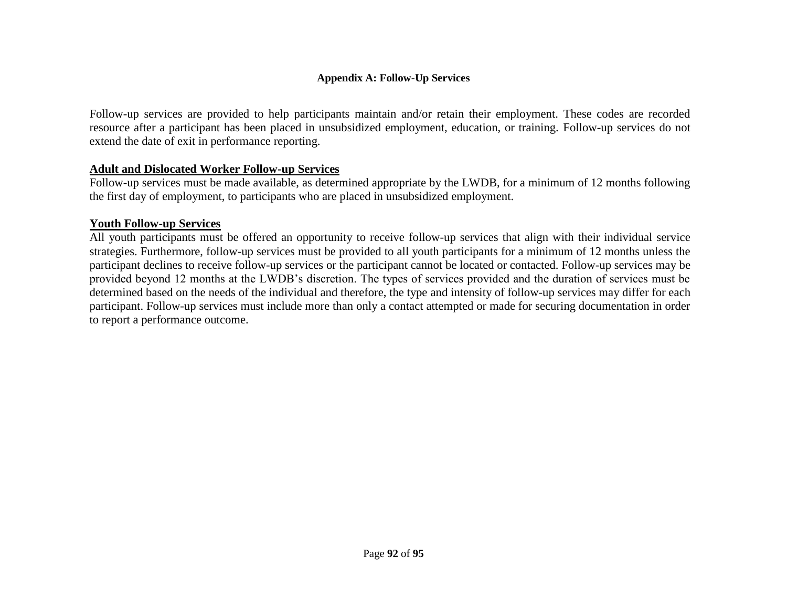## **Appendix A: Follow-Up Services**

Follow-up services are provided to help participants maintain and/or retain their employment. These codes are recorded resource after a participant has been placed in unsubsidized employment, education, or training. Follow-up services do not extend the date of exit in performance reporting.

## **Adult and Dislocated Worker Follow-up Services**

Follow-up services must be made available, as determined appropriate by the LWDB, for a minimum of 12 months following the first day of employment, to participants who are placed in unsubsidized employment.

## **Youth Follow-up Services**

All youth participants must be offered an opportunity to receive follow-up services that align with their individual service strategies. Furthermore, follow-up services must be provided to all youth participants for a minimum of 12 months unless the participant declines to receive follow-up services or the participant cannot be located or contacted. Follow-up services may be provided beyond 12 months at the LWDB's discretion. The types of services provided and the duration of services must be determined based on the needs of the individual and therefore, the type and intensity of follow-up services may differ for each participant. Follow-up services must include more than only a contact attempted or made for securing documentation in order to report a performance outcome.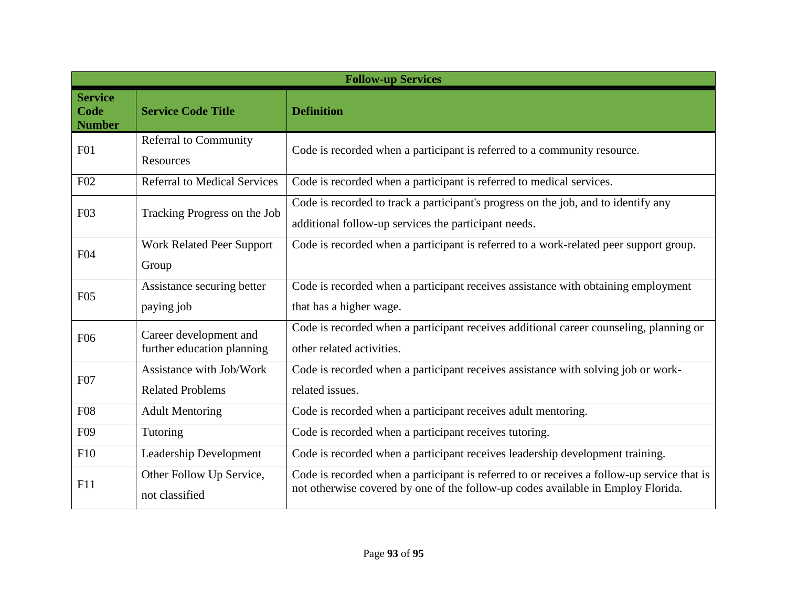| <b>Follow-up Services</b>               |                                                      |                                                                                                                                                                                |  |
|-----------------------------------------|------------------------------------------------------|--------------------------------------------------------------------------------------------------------------------------------------------------------------------------------|--|
| <b>Service</b><br>Code<br><b>Number</b> | <b>Service Code Title</b>                            | <b>Definition</b>                                                                                                                                                              |  |
| F01                                     | <b>Referral to Community</b><br>Resources            | Code is recorded when a participant is referred to a community resource.                                                                                                       |  |
| F02                                     | <b>Referral to Medical Services</b>                  | Code is recorded when a participant is referred to medical services.                                                                                                           |  |
| F03                                     | Tracking Progress on the Job                         | Code is recorded to track a participant's progress on the job, and to identify any<br>additional follow-up services the participant needs.                                     |  |
| F <sub>04</sub>                         | Work Related Peer Support<br>Group                   | Code is recorded when a participant is referred to a work-related peer support group.                                                                                          |  |
| F <sub>05</sub>                         | Assistance securing better<br>paying job             | Code is recorded when a participant receives assistance with obtaining employment<br>that has a higher wage.                                                                   |  |
| F <sub>06</sub>                         | Career development and<br>further education planning | Code is recorded when a participant receives additional career counseling, planning or<br>other related activities.                                                            |  |
| F07                                     | Assistance with Job/Work<br><b>Related Problems</b>  | Code is recorded when a participant receives assistance with solving job or work-<br>related issues.                                                                           |  |
| <b>F08</b>                              | <b>Adult Mentoring</b>                               | Code is recorded when a participant receives adult mentoring.                                                                                                                  |  |
| F <sub>09</sub>                         | Tutoring                                             | Code is recorded when a participant receives tutoring.                                                                                                                         |  |
| F10                                     | Leadership Development                               | Code is recorded when a participant receives leadership development training.                                                                                                  |  |
| F11                                     | Other Follow Up Service,<br>not classified           | Code is recorded when a participant is referred to or receives a follow-up service that is<br>not otherwise covered by one of the follow-up codes available in Employ Florida. |  |